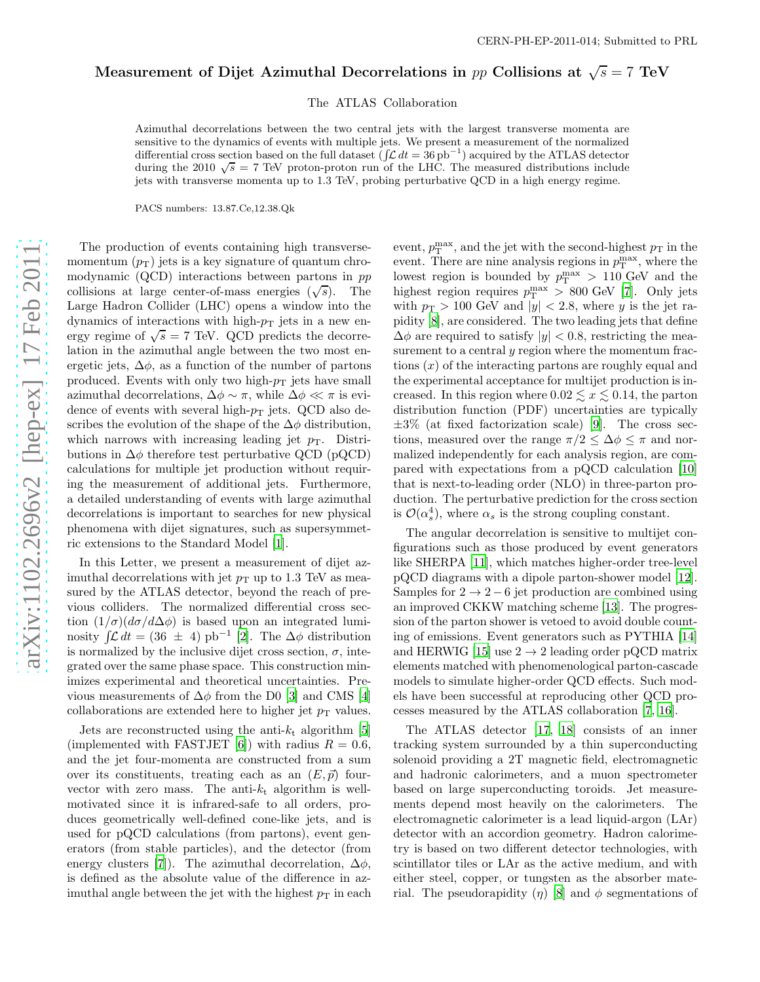## Measurement of Dijet Azimuthal Decorrelations in  $pp$  Collisions at  $\sqrt{s} = 7 \text{ TeV}$

The ATLAS Collaboration

Azimuthal decorrelations between the two central jets with the largest transverse momenta are sensitive to the dynamics of events with multiple jets. We present a measurement of the normalized differential cross section based on the full dataset  $(\int \mathcal{L} dt = 36 \text{ pb}^{-1})$  acquired by the ATLAS detector during the 2010  $\sqrt{s} = 7$  TeV proton-proton run of the LHC. The measured distributions include jets with transverse momenta up to 1 .3 TeV, probing perturbative QCD in a high energy regime.

PACS numbers: 13.87.Ce,12.38.Qk

The production of events containing high transversemomentum  $(p_T)$  jets is a key signature of quantum chromodynamic (QCD) interactions between partons in pp collisions at large center-of-mass energies  $(\sqrt{s})$ . The Large Hadron Collider (LHC) opens a window into the dynamics of interactions with high- $p<sub>T</sub>$  jets in a new energy regime of  $\sqrt{s} = 7$  TeV. QCD predicts the decorrelation in the azimuthal angle between the two most energetic jets,  $\Delta\phi$ , as a function of the number of partons produced. Events with only two high- $p<sub>T</sub>$  jets have small azimuthal decorrelations,  $\Delta \phi \sim \pi$ , while  $\Delta \phi \ll \pi$  is evidence of events with several high- $p_T$  jets. QCD also describes the evolution of the shape of the  $\Delta\phi$  distribution, which narrows with increasing leading jet  $p_T$ . Distributions in  $\Delta\phi$  therefore test perturbative QCD (pQCD) calculations for multiple jet production without requiring the measurement of additional jets. Furthermore, a detailed understanding of events with large azimuthal decorrelations is important to searches for new physical phenomena with dijet signatures, such as supersymmetric extensions to the Standard Model [\[1](#page-3-0)].

In this Letter, we present a measurement of dijet azimuthal decorrelations with jet  $p_T$  up to 1.3 TeV as measured by the ATLAS detector, beyond the reach of previous colliders. The normalized differential cross section  $(1/\sigma)(d\sigma/d\Delta\phi)$  is based upon an integrated luminosity  $\int \mathcal{L} dt = (36 \pm 4) \text{ pb}^{-1}$  [\[2](#page-3-1)]. The  $\Delta \phi$  distribution is normalized by the inclusive dijet cross section,  $\sigma$ , integrated over the same phase space. This construction minimizes experimental and theoretical uncertainties. Previous measurements of  $\Delta\phi$  from the D0 [\[3\]](#page-3-2) and CMS [\[4](#page-3-3)] collaborations are extended here to higher jet  $p_T$  values.

Jets are reconstructed using the anti- $k_t$  algorithm [\[5](#page-3-4)] (implemented with FASTJET [\[6\]](#page-3-5)) with radius  $R = 0.6$ , and the jet four-momenta are constructed from a sum over its constituents, treating each as an  $(E, \vec{p})$  fourvector with zero mass. The anti- $k_t$  algorithm is wellmotivated since it is infrared-safe to all orders, produces geometrically well-defined cone-like jets, and is used for pQCD calculations (from partons), event generators (from stable particles), and the detector (from energy clusters [\[7\]](#page-3-6)). The azimuthal decorrelation,  $\Delta \phi$ , is defined as the absolute value of the difference in azimuthal angle between the jet with the highest  $p_T$  in each

event,  $p_T^{\max}$ , and the jet with the second-highest  $p_T$  in the event. There are nine analysis regions in  $p_T^{\max}$ , where the lowest region is bounded by  $p_T^{\max} > 110$  GeV and the highest region requires  $p_T^{\max} > 800$  GeV [\[7](#page-3-6)]. Only jets with  $p_T > 100$  GeV and  $|y| < 2.8$ , where y is the jet rapidity [\[8\]](#page-3-7), are considered. The two leading jets that define  $\Delta\phi$  are required to satisfy  $|y| < 0.8$ , restricting the measurement to a central  $y$  region where the momentum fractions  $(x)$  of the interacting partons are roughly equal and the experimental acceptance for multijet production is increased. In this region where  $0.02 \le x \le 0.14$ , the parton distribution function (PDF) uncertainties are typically  $\pm 3\%$  (at fixed factorization scale) [\[9\]](#page-3-8). The cross sections, measured over the range  $\pi/2 \leq \Delta \phi \leq \pi$  and normalized independently for each analysis region, are compared with expectations from a pQCD calculation [\[10](#page-3-9)] that is next-to-leading order (NLO) in three-parton production. The perturbative prediction for the cross section is  $\mathcal{O}(\alpha_s^4)$ , where  $\alpha_s$  is the strong coupling constant.

The angular decorrelation is sensitive to multijet configurations such as those produced by event generators like SHERPA [\[11](#page-3-10)], which matches higher-order tree-level pQCD diagrams with a dipole parton-shower model [\[12\]](#page-3-11). Samples for  $2 \rightarrow 2-6$  jet production are combined using an improved CKKW matching scheme [\[13\]](#page-3-12). The progression of the parton shower is vetoed to avoid double counting of emissions. Event generators such as PYTHIA [\[14](#page-3-13)] and HERWIG [\[15](#page-3-14)] use  $2 \rightarrow 2$  leading order pQCD matrix elements matched with phenomenological parton-cascade models to simulate higher-order QCD effects. Such models have been successful at reproducing other QCD processes measured by the ATLAS collaboration [\[7,](#page-3-6) [16](#page-3-15)].

The ATLAS detector [\[17](#page-3-16), [18\]](#page-3-17) consists of an inner tracking system surrounded by a thin superconducting solenoid providing a 2T magnetic field, electromagnetic and hadronic calorimeters, and a muon spectrometer based on large superconducting toroids. Jet measurements depend most heavily on the calorimeters. The electromagnetic calorimeter is a lead liquid-argon (LAr) detector with an accordion geometry. Hadron calorimetry is based on two different detector technologies, with scintillator tiles or LAr as the active medium, and with either steel, copper, or tungsten as the absorber material. The pseudorapidity  $(\eta)$  [\[8](#page-3-7)] and  $\phi$  segmentations of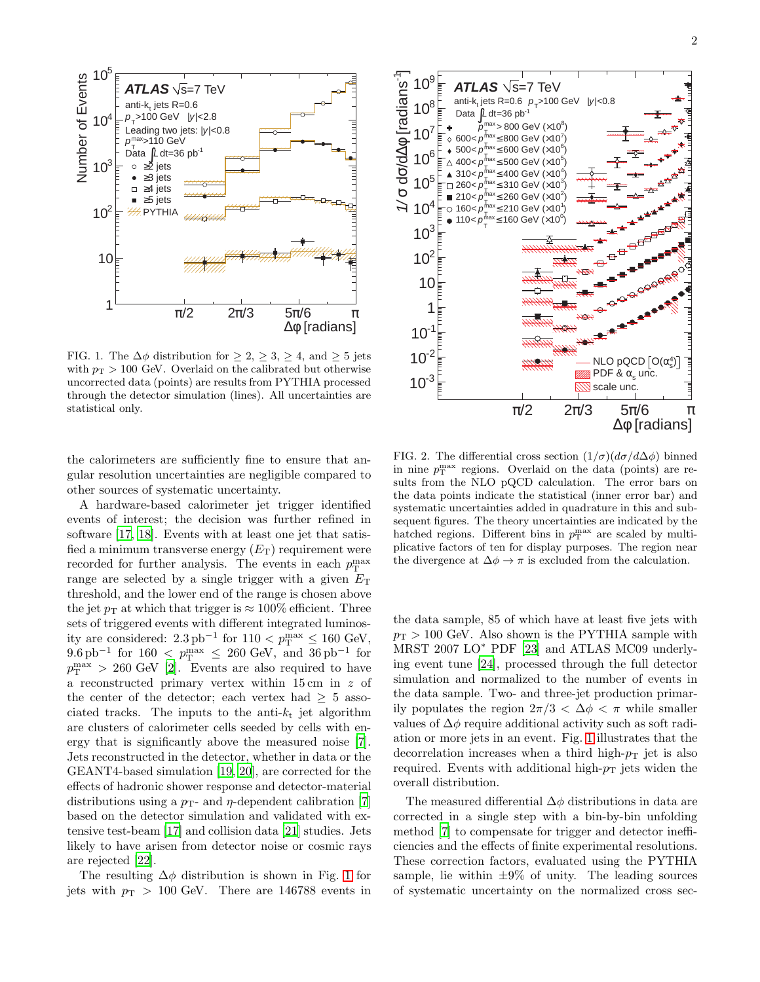

<span id="page-1-0"></span>FIG. 1. The  $\Delta\phi$  distribution for  $\geq 2$ ,  $\geq 3$ ,  $\geq 4$ , and  $\geq 5$  jets with  $p_T > 100$  GeV. Overlaid on the calibrated but otherwise uncorrected data (points) are results from PYTHIA processed through the detector simulation (lines). All uncertainties are statistical only.

the calorimeters are sufficiently fine to ensure that angular resolution uncertainties are negligible compared to other sources of systematic uncertainty.

A hardware-based calorimeter jet trigger identified events of interest; the decision was further refined in software [\[17,](#page-3-16) [18\]](#page-3-17). Events with at least one jet that satisfied a minimum transverse energy  $(E_T)$  requirement were recorded for further analysis. The events in each  $p_T^{\max}$ range are selected by a single trigger with a given  $E<sub>T</sub>$ threshold, and the lower end of the range is chosen above the jet  $p_T$  at which that trigger is  $\approx 100\%$  efficient. Three sets of triggered events with different integrated luminosity are considered:  $2.3 \text{ pb}^{-1}$  for  $110 < p_T^{\text{max}} \le 160 \text{ GeV}$ ,  $9.6 \text{ pb}^{-1}$  for  $160 < p_T^{\text{max}} \leq 260 \text{ GeV}$ , and  $36 \text{ pb}^{-1}$  for  $p_T^{\text{max}} > 260 \text{ GeV}$  [\[2](#page-3-1)]. Events are also required to have a reconstructed primary vertex within 15 cm in z of the center of the detector; each vertex had  $\geq 5$  associated tracks. The inputs to the anti- $k_t$  jet algorithm are clusters of calorimeter cells seeded by cells with energy that is significantly above the measured noise [\[7\]](#page-3-6). Jets reconstructed in the detector, whether in data or the GEANT4-based simulation [\[19](#page-3-18), [20\]](#page-3-19), are corrected for the effects of hadronic shower response and detector-material distributions using a  $p_T$ - and  $\eta$ -dependent calibration [\[7](#page-3-6)] based on the detector simulation and validated with extensive test-beam [\[17](#page-3-16)] and collision data [\[21\]](#page-3-20) studies. Jets likely to have arisen from detector noise or cosmic rays are rejected [\[22\]](#page-3-21).

The resulting  $\Delta \phi$  distribution is shown in Fig. [1](#page-1-0) for jets with  $p_T > 100$  GeV. There are 146788 events in



<span id="page-1-1"></span>FIG. 2. The differential cross section  $(1/\sigma)(d\sigma/d\Delta\phi)$  binned in nine  $p_T^{\max}$  regions. Overlaid on the data (points) are results from the NLO pQCD calculation. The error bars on the data points indicate the statistical (inner error bar) and systematic uncertainties added in quadrature in this and subsequent figures. The theory uncertainties are indicated by the hatched regions. Different bins in  $p_T^{\max}$  are scaled by multiplicative factors of ten for display purposes. The region near the divergence at  $\Delta \phi \rightarrow \pi$  is excluded from the calculation.

the data sample, 85 of which have at least five jets with  $p_T > 100$  GeV. Also shown is the PYTHIA sample with MRST 2007 LO<sup>\*</sup> PDF [\[23\]](#page-3-22) and ATLAS MC09 underlying event tune [\[24](#page-3-23)], processed through the full detector simulation and normalized to the number of events in the data sample. Two- and three-jet production primarily populates the region  $2\pi/3 < \Delta\phi < \pi$  while smaller values of  $\Delta \phi$  require additional activity such as soft radiation or more jets in an event. Fig. [1](#page-1-0) illustrates that the decorrelation increases when a third high- $p_T$  jet is also required. Events with additional high- $p<sub>T</sub>$  jets widen the overall distribution.

The measured differential  $\Delta\phi$  distributions in data are corrected in a single step with a bin-by-bin unfolding method [\[7\]](#page-3-6) to compensate for trigger and detector inefficiencies and the effects of finite experimental resolutions. These correction factors, evaluated using the PYTHIA sample, lie within  $\pm 9\%$  of unity. The leading sources of systematic uncertainty on the normalized cross sec-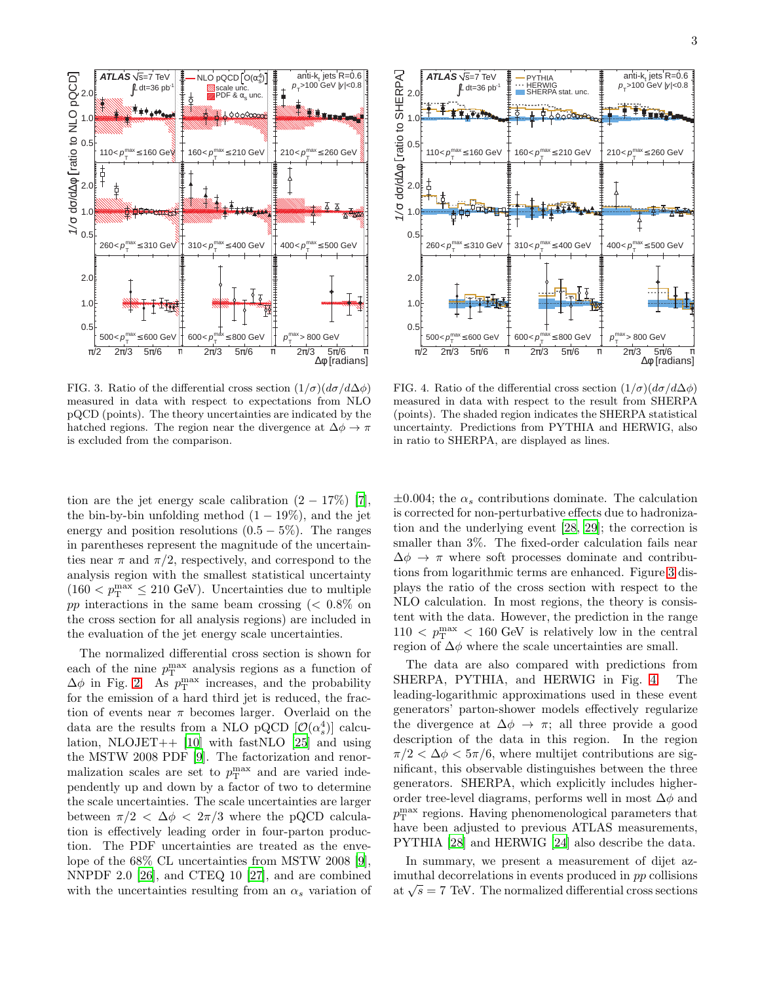

<span id="page-2-0"></span>FIG. 3. Ratio of the differential cross section  $(1/\sigma)(d\sigma/d\Delta\phi)$ measured in data with respect to expectations from NLO pQCD (points). The theory uncertainties are indicated by the hatched regions. The region near the divergence at  $\Delta \phi \rightarrow \pi$ is excluded from the comparison.



<span id="page-2-1"></span>FIG. 4. Ratio of the differential cross section  $(1/\sigma)(d\sigma/d\Delta\phi)$ measured in data with respect to the result from SHERPA (points). The shaded region indicates the SHERPA statistical uncertainty. Predictions from PYTHIA and HERWIG, also in ratio to SHERPA, are displayed as lines.

tion are the jet energy scale calibration  $(2 - 17\%)$  [\[7\]](#page-3-6), the bin-by-bin unfolding method  $(1 - 19\%)$ , and the jet energy and position resolutions  $(0.5 - 5\%)$ . The ranges in parentheses represent the magnitude of the uncertainties near  $\pi$  and  $\pi/2$ , respectively, and correspond to the analysis region with the smallest statistical uncertainty  $(160 < p_{\rm T}^{\rm max} \le 210 \text{ GeV})$ . Uncertainties due to multiple pp interactions in the same beam crossing  $\approx 0.8\%$  on the cross section for all analysis regions) are included in the evaluation of the jet energy scale uncertainties.

The normalized differential cross section is shown for each of the nine  $p_T^{\max}$  analysis regions as a function of  $\Delta\phi$  in Fig. [2.](#page-1-1) As  $p_T^{\max}$  increases, and the probability for the emission of a hard third jet is reduced, the fraction of events near  $\pi$  becomes larger. Overlaid on the data are the results from a NLO pQCD  $[O(\alpha_s^4)]$  calculation, NLOJET++  $[10]$  with fastNLO  $[25]$  and using the MSTW 2008 PDF [\[9](#page-3-8)]. The factorization and renormalization scales are set to  $p_T^{\max}$  and are varied independently up and down by a factor of two to determine the scale uncertainties. The scale uncertainties are larger between  $\pi/2 < \Delta \phi < 2\pi/3$  where the pQCD calculation is effectively leading order in four-parton production. The PDF uncertainties are treated as the envelope of the 68% CL uncertainties from MSTW 2008 [\[9\]](#page-3-8), NNPDF 2.0 [\[26\]](#page-3-25), and CTEQ 10 [\[27\]](#page-3-26), and are combined with the uncertainties resulting from an  $\alpha_s$  variation of

 $\pm 0.004$ ; the  $\alpha_s$  contributions dominate. The calculation is corrected for non-perturbative effects due to hadronization and the underlying event [\[28,](#page-3-27) [29](#page-3-28)]; the correction is smaller than 3%. The fixed-order calculation fails near  $\Delta \phi \rightarrow \pi$  where soft processes dominate and contributions from logarithmic terms are enhanced. Figure [3](#page-2-0) displays the ratio of the cross section with respect to the NLO calculation. In most regions, the theory is consistent with the data. However, the prediction in the range  $110 < p_{\rm T}^{\rm max} < 160$  GeV is relatively low in the central region of  $\Delta \phi$  where the scale uncertainties are small.

The data are also compared with predictions from SHERPA, PYTHIA, and HERWIG in Fig. [4.](#page-2-1) The leading-logarithmic approximations used in these event generators' parton-shower models effectively regularize the divergence at  $\Delta \phi \rightarrow \pi$ ; all three provide a good description of the data in this region. In the region  $\pi/2 < \Delta \phi < 5\pi/6$ , where multijet contributions are significant, this observable distinguishes between the three generators. SHERPA, which explicitly includes higherorder tree-level diagrams, performs well in most  $\Delta \phi$  and  $p_{\rm T}^{\rm max}$  regions. Having phenomenological parameters that have been adjusted to previous ATLAS measurements, PYTHIA [\[28](#page-3-27)] and HERWIG [\[24\]](#page-3-23) also describe the data.

In summary, we present a measurement of dijet azimuthal decorrelations in events produced in pp collisions at  $\sqrt{s}$  = 7 TeV. The normalized differential cross sections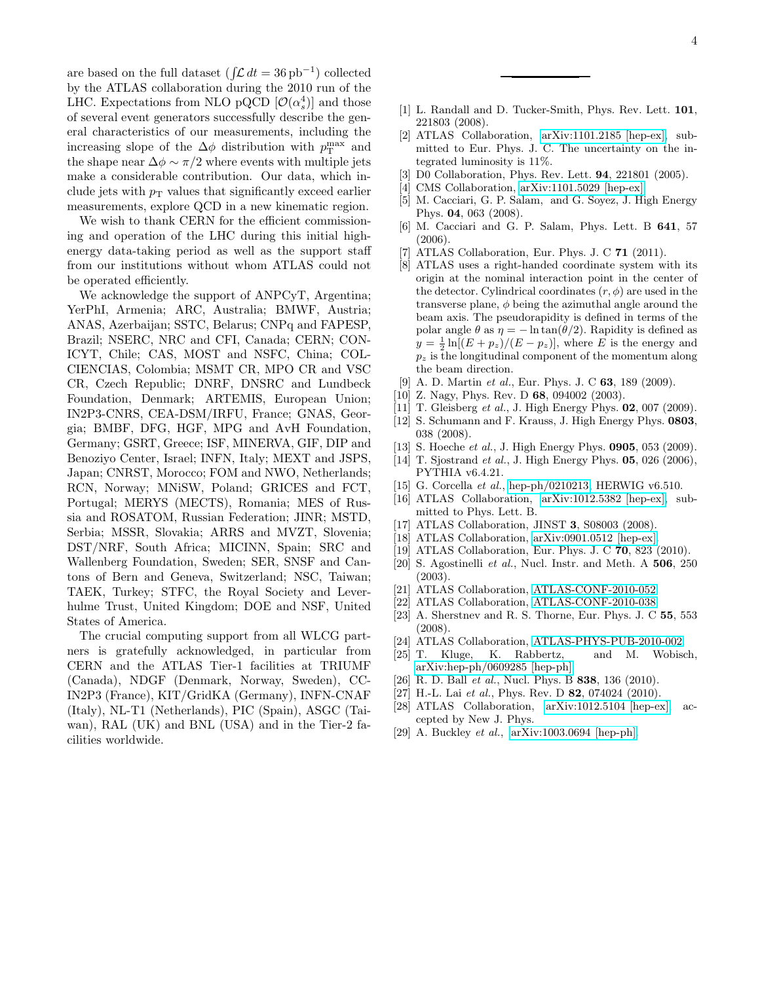are based on the full dataset  $(\int \mathcal{L} dt = 36 \text{ pb}^{-1})$  collected by the ATLAS collaboration during the 2010 run of the LHC. Expectations from NLO pQCD  $[O(\alpha_s^4)]$  and those of several event generators successfully describe the general characteristics of our measurements, including the increasing slope of the  $\Delta \phi$  distribution with  $p_T^{\text{max}}$  and the shape near  $\Delta \phi \sim \pi/2$  where events with multiple jets make a considerable contribution. Our data, which include jets with  $p<sub>T</sub>$  values that significantly exceed earlier measurements, explore QCD in a new kinematic region.

We wish to thank CERN for the efficient commissioning and operation of the LHC during this initial highenergy data-taking period as well as the support staff from our institutions without whom ATLAS could not be operated efficiently.

We acknowledge the support of ANPCyT, Argentina; YerPhI, Armenia; ARC, Australia; BMWF, Austria; ANAS, Azerbaijan; SSTC, Belarus; CNPq and FAPESP, Brazil; NSERC, NRC and CFI, Canada; CERN; CON-ICYT, Chile; CAS, MOST and NSFC, China; COL-CIENCIAS, Colombia; MSMT CR, MPO CR and VSC CR, Czech Republic; DNRF, DNSRC and Lundbeck Foundation, Denmark; ARTEMIS, European Union; IN2P3-CNRS, CEA-DSM/IRFU, France; GNAS, Georgia; BMBF, DFG, HGF, MPG and AvH Foundation, Germany; GSRT, Greece; ISF, MINERVA, GIF, DIP and Benoziyo Center, Israel; INFN, Italy; MEXT and JSPS, Japan; CNRST, Morocco; FOM and NWO, Netherlands; RCN, Norway; MNiSW, Poland; GRICES and FCT, Portugal; MERYS (MECTS), Romania; MES of Russia and ROSATOM, Russian Federation; JINR; MSTD, Serbia; MSSR, Slovakia; ARRS and MVZT, Slovenia; DST/NRF, South Africa; MICINN, Spain; SRC and Wallenberg Foundation, Sweden; SER, SNSF and Cantons of Bern and Geneva, Switzerland; NSC, Taiwan; TAEK, Turkey; STFC, the Royal Society and Leverhulme Trust, United Kingdom; DOE and NSF, United States of America.

The crucial computing support from all WLCG partners is gratefully acknowledged, in particular from CERN and the ATLAS Tier-1 facilities at TRIUMF (Canada), NDGF (Denmark, Norway, Sweden), CC-IN2P3 (France), KIT/GridKA (Germany), INFN-CNAF (Italy), NL-T1 (Netherlands), PIC (Spain), ASGC (Taiwan), RAL (UK) and BNL (USA) and in the Tier-2 facilities worldwide.

- <span id="page-3-0"></span>[1] L. Randall and D. Tucker-Smith, Phys. Rev. Lett. **101**, 221803 (2008).
- <span id="page-3-1"></span>[2] ATLAS Collaboration, [arXiv:1101.2185 \[hep-ex\],](http://arxiv.org/abs/1101.2185) submitted to Eur. Phys. J. C. The uncertainty on the integrated luminosity is 11%.
- <span id="page-3-2"></span>[3] D0 Collaboration, Phys. Rev. Lett. 94, 221801 (2005).
- <span id="page-3-3"></span>[4] CMS Collaboration, [arXiv:1101.5029 \[hep-ex\].](http://arxiv.org/abs/1101.5029)
- <span id="page-3-4"></span>[5] M. Cacciari, G. P. Salam, and G. Soyez, J. High Energy Phys. 04, 063 (2008).
- <span id="page-3-5"></span>[6] M. Cacciari and G. P. Salam, Phys. Lett. B 641, 57 (2006).
- <span id="page-3-6"></span>[7] ATLAS Collaboration, Eur. Phys. J. C 71 (2011).
- <span id="page-3-7"></span>[8] ATLAS uses a right-handed coordinate system with its origin at the nominal interaction point in the center of the detector. Cylindrical coordinates  $(r, \phi)$  are used in the transverse plane,  $\phi$  being the azimuthal angle around the beam axis. The pseudorapidity is defined in terms of the polar angle  $\theta$  as  $\eta = -\ln \tan(\theta/2)$ . Rapidity is defined as  $y = \frac{1}{2} \ln[(E + p_z)/(E - p_z)],$  where E is the energy and  $p_z$  is the longitudinal component of the momentum along the beam direction.
- <span id="page-3-8"></span>[9] A. D. Martin *et al.*, Eur. Phys. J. C **63**, 189 (2009).
- <span id="page-3-9"></span>[10] Z. Nagy, Phys. Rev. D 68, 094002 (2003).
- <span id="page-3-10"></span>[11] T. Gleisberg et al., J. High Energy Phys. 02, 007 (2009).
- <span id="page-3-11"></span>[12] S. Schumann and F. Krauss, J. High Energy Phys. 0803, 038 (2008).
- <span id="page-3-12"></span>[13] S. Hoeche et al., J. High Energy Phys. 0905, 053 (2009).
- <span id="page-3-13"></span>[14] T. Sjostrand *et al.*, J. High Energy Phys. **05**, 026 (2006), PYTHIA v6.4.21.
- <span id="page-3-14"></span>[15] G. Corcella et al., [hep-ph/0210213,](http://arxiv.org/abs/hep-ph/0210213) HERWIG v6.510.
- <span id="page-3-15"></span>[16] ATLAS Collaboration, [arXiv:1012.5382 \[hep-ex\],](http://arxiv.org/abs/1012.5382) submitted to Phys. Lett. B.
- <span id="page-3-16"></span>[17] ATLAS Collaboration, JINST 3, S08003 (2008).
- <span id="page-3-17"></span>[18] ATLAS Collaboration, [arXiv:0901.0512 \[hep-ex\].](http://arxiv.org/abs/0901.0512)
- <span id="page-3-18"></span>[19] ATLAS Collaboration, Eur. Phys. J. C 70, 823 (2010).
- <span id="page-3-19"></span>[20] S. Agostinelli et al., Nucl. Instr. and Meth. A 506, 250 (2003).
- <span id="page-3-20"></span>[21] ATLAS Collaboration, [ATLAS-CONF-2010-052.](http://cdsweb.cern.ch/record/1281309)
- <span id="page-3-21"></span>[22] ATLAS Collaboration, [ATLAS-CONF-2010-038.](http://cdsweb.cern.ch/record/1277678)
- <span id="page-3-22"></span>[23] A. Sherstnev and R. S. Thorne, Eur. Phys. J. C 55, 553 (2008).
- <span id="page-3-23"></span>[24] ATLAS Collaboration, [ATLAS-PHYS-PUB-2010-002.](http://cdsweb.cern.ch/record/1247375)
- <span id="page-3-24"></span>[25] T. Kluge, K. Rabbertz, and M. Wobisch, [arXiv:hep-ph/0609285 \[hep-ph\].](http://arxiv.org/abs/hep-ph/0609285)
- <span id="page-3-25"></span>[26] R. D. Ball et al., Nucl. Phys. B 838, 136 (2010).
- <span id="page-3-26"></span>[27] H.-L. Lai et al., Phys. Rev. D  $82$ , 074024 (2010).
- <span id="page-3-27"></span>[28] ATLAS Collaboration, [arXiv:1012.5104 \[hep-ex\],](http://arxiv.org/abs/1012.5104) accepted by New J. Phys.
- <span id="page-3-28"></span>[29] A. Buckley et al., [arXiv:1003.0694 \[hep-ph\].](http://arxiv.org/abs/1003.0694)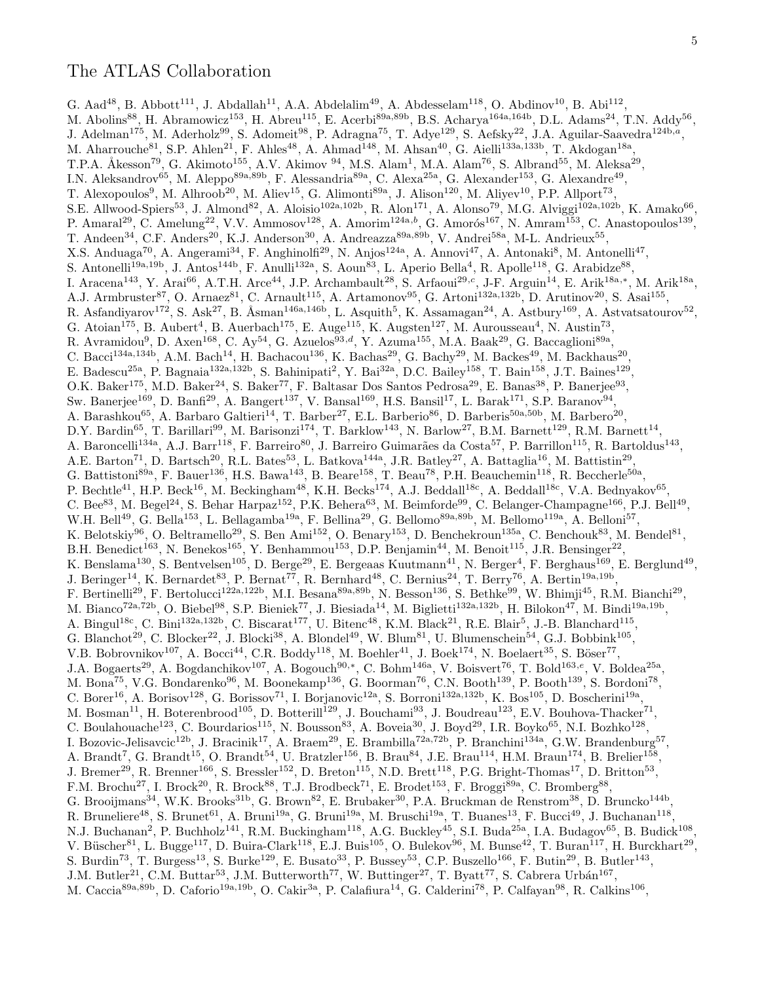G. Aad<sup>48</sup>, B. Abbott<sup>111</sup>, J. Abdallah<sup>11</sup>, A.A. Abdelalim<sup>49</sup>, A. Abdesselam<sup>118</sup>, O. Abdinov<sup>10</sup>, B. Abi<sup>112</sup>, M. Abolins<sup>88</sup>, H. Abramowicz<sup>153</sup>, H. Abreu<sup>115</sup>, E. Acerbi<sup>89a,89b</sup>, B.S. Acharya<sup>164a,164b</sup>, D.L. Adams<sup>24</sup>, T.N. Addy<sup>56</sup>, J. Adelman<sup>175</sup>, M. Aderholz<sup>99</sup>, S. Adomeit<sup>98</sup>, P. Adragna<sup>75</sup>, T. Adye<sup>129</sup>, S. Aefsky<sup>22</sup>, J.A. Aguilar-Saavedra<sup>124b,a</sup>, M. Aharrouche<sup>81</sup>, S.P. Ahlen<sup>21</sup>, F. Ahles<sup>48</sup>, A. Ahmad<sup>148</sup>, M. Ahsan<sup>40</sup>, G. Aielli<sup>133a,133b</sup>, T. Akdogan<sup>18a</sup>, T.P.A. Åkesson<sup>79</sup>, G. Akimoto<sup>155</sup>, A.V. Akimov <sup>94</sup>, M.S. Alam<sup>1</sup>, M.A. Alam<sup>76</sup>, S. Albrand<sup>55</sup>, M. Aleksa<sup>29</sup>, I.N. Aleksandrov<sup>65</sup>, M. Aleppo<sup>89a,89b</sup>, F. Alessandria<sup>89a</sup>, C. Alexa<sup>25a</sup>, G. Alexander<sup>153</sup>, G. Alexandre<sup>49</sup>, T. Alexopoulos<sup>9</sup>, M. Alhroob<sup>20</sup>, M. Aliev<sup>15</sup>, G. Alimonti<sup>89a</sup>, J. Alison<sup>120</sup>, M. Aliyev<sup>10</sup>, P.P. Allport<sup>73</sup>, S.E. Allwood-Spiers<sup>53</sup>, J. Almond<sup>82</sup>, A. Aloisio<sup>102a,102b</sup>, R. Alon<sup>171</sup>, A. Alonso<sup>79</sup>, M.G. Alviggi<sup>102a,102b</sup>, K. Amako<sup>66</sup>, P. Amaral<sup>29</sup>, C. Amelung<sup>22</sup>, V.V. Ammosov<sup>128</sup>, A. Amorim<sup>124a,b</sup>, G. Amorós<sup>167</sup>, N. Amram<sup>153</sup>, C. Anastopoulos<sup>139</sup>, T. Andeen<sup>34</sup>, C.F. Anders<sup>20</sup>, K.J. Anderson<sup>30</sup>, A. Andreazza<sup>89a,89b</sup>, V. Andrei<sup>58a</sup>, M-L. Andrieux<sup>55</sup>, X.S. Anduaga<sup>70</sup>, A. Angerami<sup>34</sup>, F. Anghinolfi<sup>29</sup>, N. Anjos<sup>124a</sup>, A. Annovi<sup>47</sup>, A. Antonaki<sup>8</sup>, M. Antonelli<sup>47</sup>, S. Antonelli<sup>19a,19b</sup>, J. Antos<sup>144b</sup>, F. Anulli<sup>132a</sup>, S. Aoun<sup>83</sup>, L. Aperio Bella<sup>4</sup>, R. Apolle<sup>118</sup>, G. Arabidze<sup>88</sup>, I. Aracena<sup>143</sup>, Y. Arai<sup>66</sup>, A.T.H. Arce<sup>44</sup>, J.P. Archambault<sup>28</sup>, S. Arfaoui<sup>29,c</sup>, J-F. Arguin<sup>14</sup>, E. Arik<sup>18a,\*</sup>, M. Arik<sup>18a</sup>, A.J. Armbruster<sup>87</sup>, O. Arnaez<sup>81</sup>, C. Arnault<sup>115</sup>, A. Artamonov<sup>95</sup>, G. Artoni<sup>132a,132b</sup>, D. Arutinov<sup>20</sup>, S. Asai<sup>155</sup>, R. Asfandiyarov<sup>172</sup>, S. Ask<sup>27</sup>, B. Åsman<sup>146a,146b</sup>, L. Asquith<sup>5</sup>, K. Assamagan<sup>24</sup>, A. Astbury<sup>169</sup>, A. Astvatsatourov<sup>52</sup>, G. Atoian<sup>175</sup>, B. Aubert<sup>4</sup>, B. Auerbach<sup>175</sup>, E. Auge<sup>115</sup>, K. Augsten<sup>127</sup>, M. Aurousseau<sup>4</sup>, N. Austin<sup>73</sup>, R. Avramidou<sup>9</sup>, D. Axen<sup>168</sup>, C. Ay<sup>54</sup>, G. Azuelos<sup>93,d</sup>, Y. Azuma<sup>155</sup>, M.A. Baak<sup>29</sup>, G. Baccaglioni<sup>89a</sup>, C. Bacci<sup>134a,134b</sup>, A.M. Bach<sup>14</sup>, H. Bachacou<sup>136</sup>, K. Bachas<sup>29</sup>, G. Bachy<sup>29</sup>, M. Backes<sup>49</sup>, M. Backhaus<sup>20</sup>, E. Badescu<sup>25a</sup>, P. Bagnaia<sup>132a,132b</sup>, S. Bahinipati<sup>2</sup>, Y. Bai<sup>32a</sup>, D.C. Bailey<sup>158</sup>, T. Bain<sup>158</sup>, J.T. Baines<sup>129</sup>, O.K. Baker<sup>175</sup>, M.D. Baker<sup>24</sup>, S. Baker<sup>77</sup>, F. Baltasar Dos Santos Pedrosa<sup>29</sup>, E. Banas<sup>38</sup>, P. Banerjee<sup>93</sup>, Sw. Banerjee<sup>169</sup>, D. Banfi<sup>29</sup>, A. Bangert<sup>137</sup>, V. Bansal<sup>169</sup>, H.S. Bansil<sup>17</sup>, L. Barak<sup>171</sup>, S.P. Baranov<sup>94</sup>, A. Barashkou<sup>65</sup>, A. Barbaro Galtieri<sup>14</sup>, T. Barber<sup>27</sup>, E.L. Barberio<sup>86</sup>, D. Barberis<sup>50a,50b</sup>, M. Barbero<sup>20</sup>, D.Y. Bardin<sup>65</sup>, T. Barillari<sup>99</sup>, M. Barisonzi<sup>174</sup>, T. Barklow<sup>143</sup>, N. Barlow<sup>27</sup>, B.M. Barnett<sup>129</sup>, R.M. Barnett<sup>14</sup>, A. Baroncelli<sup>134a</sup>, A.J. Barr<sup>118</sup>, F. Barreiro<sup>80</sup>, J. Barreiro Guimarães da Costa<sup>57</sup>, P. Barrillon<sup>115</sup>, R. Bartoldus<sup>143</sup>, A.E. Barton<sup>71</sup>, D. Bartsch<sup>20</sup>, R.L. Bates<sup>53</sup>, L. Batkova<sup>144a</sup>, J.R. Batley<sup>27</sup>, A. Battaglia<sup>16</sup>, M. Battistin<sup>29</sup>, G. Battistoni<sup>89a</sup>, F. Bauer<sup>136</sup>, H.S. Bawa<sup>143</sup>, B. Beare<sup>158</sup>, T. Beau<sup>78</sup>, P.H. Beauchemin<sup>118</sup>, R. Beccherle<sup>50a</sup>, P. Bechtle<sup>41</sup>, H.P. Beck<sup>16</sup>, M. Beckingham<sup>48</sup>, K.H. Becks<sup>174</sup>, A.J. Beddall<sup>18c</sup>, A. Beddall<sup>18c</sup>, V.A. Bednyakov<sup>65</sup>, C. Bee<sup>83</sup>, M. Begel<sup>24</sup>, S. Behar Harpaz<sup>152</sup>, P.K. Behera<sup>63</sup>, M. Beimforde<sup>99</sup>, C. Belanger-Champagne<sup>166</sup>, P.J. Bell<sup>49</sup>, W.H. Bell<sup>49</sup>, G. Bella<sup>153</sup>, L. Bellagamba<sup>19a</sup>, F. Bellina<sup>29</sup>, G. Bellomo<sup>89a,89b</sup>, M. Bellomo<sup>119a</sup>, A. Belloni<sup>57</sup>, K. Belotskiy<sup>96</sup>, O. Beltramello<sup>29</sup>, S. Ben Ami<sup>152</sup>, O. Benary<sup>153</sup>, D. Benchekroun<sup>135a</sup>, C. Benchouk<sup>83</sup>, M. Bendel<sup>81</sup>, B.H. Benedict<sup>163</sup>, N. Benekos<sup>165</sup>, Y. Benhammou<sup>153</sup>, D.P. Benjamin<sup>44</sup>, M. Benoit<sup>115</sup>, J.R. Bensinger<sup>22</sup>, K. Benslama<sup>130</sup>, S. Bentvelsen<sup>105</sup>, D. Berge<sup>29</sup>, E. Bergeaas Kuutmann<sup>41</sup>, N. Berger<sup>4</sup>, F. Berghaus<sup>169</sup>, E. Berglund<sup>49</sup>, J. Beringer<sup>14</sup>, K. Bernardet<sup>83</sup>, P. Bernat<sup>77</sup>, R. Bernhard<sup>48</sup>, C. Bernius<sup>24</sup>, T. Berry<sup>76</sup>, A. Bertin<sup>19a,19b</sup>, F. Bertinelli<sup>29</sup>, F. Bertolucci<sup>122a,122b</sup>, M.I. Besana<sup>89a,89b</sup>, N. Besson<sup>136</sup>, S. Bethke<sup>99</sup>, W. Bhimji<sup>45</sup>, R.M. Bianchi<sup>29</sup>, M. Bianco<sup>72a,72b</sup>, O. Biebel<sup>98</sup>, S.P. Bieniek<sup>77</sup>, J. Biesiada<sup>14</sup>, M. Biglietti<sup>132a,132b</sup>, H. Bilokon<sup>47</sup>, M. Bindi<sup>19a,19b</sup>, A. Bingul<sup>18c</sup>, C. Bini<sup>132a,132b</sup>, C. Biscarat<sup>177</sup>, U. Bitenc<sup>48</sup>, K.M. Black<sup>21</sup>, R.E. Blair<sup>5</sup>, J.-B. Blanchard<sup>115</sup>, G. Blanchot<sup>29</sup>, C. Blocker<sup>22</sup>, J. Blocki<sup>38</sup>, A. Blondel<sup>49</sup>, W. Blum<sup>81</sup>, U. Blumenschein<sup>54</sup>, G.J. Bobbink<sup>105</sup>, V.B. Bobrovnikov<sup>107</sup>, A. Bocci<sup>44</sup>, C.R. Boddy<sup>118</sup>, M. Boehler<sup>41</sup>, J. Boek<sup>174</sup>, N. Boelaert<sup>35</sup>, S. Böser<sup>77</sup>, J.A. Bogaerts<sup>29</sup>, A. Bogdanchikov<sup>107</sup>, A. Bogouch<sup>90,\*</sup>, C. Bohm<sup>146a</sup>, V. Boisvert<sup>76</sup>, T. Bold<sup>163,e</sup>, V. Boldea<sup>25a</sup>, M. Bona<sup>75</sup>, V.G. Bondarenko<sup>96</sup>, M. Boonekamp<sup>136</sup>, G. Boorman<sup>76</sup>, C.N. Booth<sup>139</sup>, P. Booth<sup>139</sup>, S. Bordoni<sup>78</sup>, C. Borer<sup>16</sup>, A. Borisov<sup>128</sup>, G. Borissov<sup>71</sup>, I. Borjanovic<sup>12a</sup>, S. Borroni<sup>132a,132b</sup>, K. Bos<sup>105</sup>, D. Boscherini<sup>19a</sup>, M. Bosman<sup>11</sup>, H. Boterenbrood<sup>105</sup>, D. Botterill<sup>129</sup>, J. Bouchami<sup>93</sup>, J. Boudreau<sup>123</sup>, E.V. Bouhova-Thacker<sup>71</sup>, C. Boulahouache<sup>123</sup>, C. Bourdarios<sup>115</sup>, N. Bousson<sup>83</sup>, A. Boveia<sup>30</sup>, J. Boyd<sup>29</sup>, I.R. Boyko<sup>65</sup>, N.I. Bozhko<sup>128</sup>, I. Bozovic-Jelisavcic<sup>12b</sup>, J. Bracinik<sup>17</sup>, A. Braem<sup>29</sup>, E. Brambilla<sup>72a,72b</sup>, P. Branchini<sup>134a</sup>, G.W. Brandenburg<sup>57</sup>, A. Brandt<sup>7</sup>, G. Brandt<sup>15</sup>, O. Brandt<sup>54</sup>, U. Bratzler<sup>156</sup>, B. Brau<sup>84</sup>, J.E. Brau<sup>114</sup>, H.M. Braun<sup>174</sup>, B. Brelier<sup>158</sup>, J. Bremer<sup>29</sup>, R. Brenner<sup>166</sup>, S. Bressler<sup>152</sup>, D. Breton<sup>115</sup>, N.D. Brett<sup>118</sup>, P.G. Bright-Thomas<sup>17</sup>, D. Britton<sup>53</sup>, F.M. Brochu<sup>27</sup>, I. Brock<sup>20</sup>, R. Brock<sup>88</sup>, T.J. Brodbeck<sup>71</sup>, E. Brodet<sup>153</sup>, F. Broggi<sup>89a</sup>, C. Bromberg<sup>88</sup>, G. Brooijmans<sup>34</sup>, W.K. Brooks<sup>31b</sup>, G. Brown<sup>82</sup>, E. Brubaker<sup>30</sup>, P.A. Bruckman de Renstrom<sup>38</sup>, D. Bruncko<sup>144b</sup>, R. Bruneliere<sup>48</sup>, S. Brunet<sup>61</sup>, A. Bruni<sup>19a</sup>, G. Bruni<sup>19a</sup>, M. Bruschi<sup>19a</sup>, T. Buanes<sup>13</sup>, F. Bucci<sup>49</sup>, J. Buchanan<sup>118</sup>, N.J. Buchanan<sup>2</sup>, P. Buchholz<sup>141</sup>, R.M. Buckingham<sup>118</sup>, A.G. Buckley<sup>45</sup>, S.I. Buda<sup>25a</sup>, I.A. Budagov<sup>65</sup>, B. Budick<sup>108</sup>, V. Büscher<sup>81</sup>, L. Bugge<sup>117</sup>, D. Buira-Clark<sup>118</sup>, E.J. Buis<sup>105</sup>, O. Bulekov<sup>96</sup>, M. Bunse<sup>42</sup>, T. Buran<sup>117</sup>, H. Burckhart<sup>29</sup>, S. Burdin<sup>73</sup>, T. Burgess<sup>13</sup>, S. Burke<sup>129</sup>, E. Busato<sup>33</sup>, P. Bussey<sup>53</sup>, C.P. Buszello<sup>166</sup>, F. Butin<sup>29</sup>, B. Butler<sup>143</sup>, J.M. Butler<sup>21</sup>, C.M. Buttar<sup>53</sup>, J.M. Butterworth<sup>77</sup>, W. Buttinger<sup>27</sup>, T. Byatt<sup>77</sup>, S. Cabrera Urbán<sup>167</sup>, M. Caccia<sup>89a,89b</sup>, D. Caforio<sup>19a,19b</sup>, O. Cakir<sup>3a</sup>, P. Calafiura<sup>14</sup>, G. Calderini<sup>78</sup>, P. Calfayan<sup>98</sup>, R. Calkins<sup>106</sup>,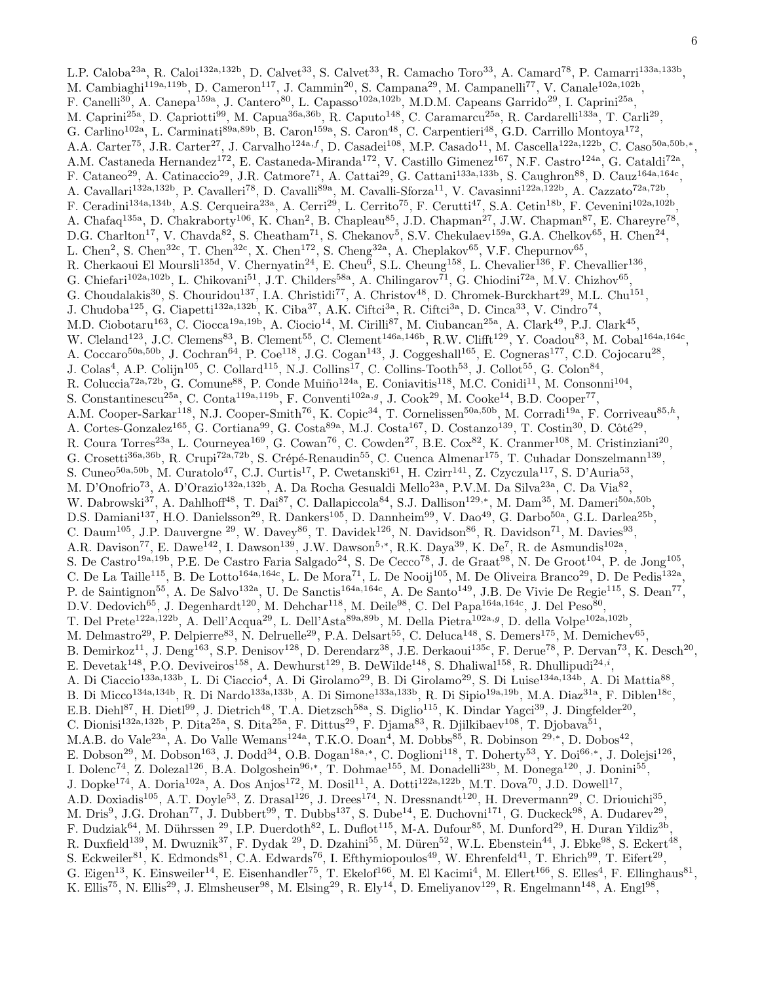L.P. Caloba<sup>23a</sup>, R. Caloi<sup>132a,132b</sup>, D. Calvet<sup>33</sup>, S. Calvet<sup>33</sup>, R. Camacho Toro<sup>33</sup>, A. Camard<sup>78</sup>, P. Camarri<sup>133a,133b</sup>, M. Cambiaghi<sup>119a,119b</sup>, D. Cameron<sup>117</sup>, J. Cammin<sup>20</sup>, S. Campana<sup>29</sup>, M. Campanelli<sup>77</sup>, V. Canale<sup>102a,102b</sup>, F. Canelli<sup>30</sup>, A. Canepa<sup>159a</sup>, J. Cantero<sup>80</sup>, L. Capasso<sup>102a,102b</sup>, M.D.M. Capeans Garrido<sup>29</sup>, I. Caprini<sup>25a</sup>, M. Caprini<sup>25a</sup>, D. Capriotti<sup>99</sup>, M. Capua<sup>36a,36b</sup>, R. Caputo<sup>148</sup>, C. Caramarcu<sup>25a</sup>, R. Cardarelli<sup>133a</sup>, T. Carli<sup>29</sup>, G. Carlino<sup>102a</sup>, L. Carminati<sup>89a,89b</sup>, B. Caron<sup>159a</sup>, S. Caron<sup>48</sup>, C. Carpentieri<sup>48</sup>, G.D. Carrillo Montoya<sup>172</sup>, A.A. Carter<sup>75</sup>, J.R. Carter<sup>27</sup>, J. Carvalho<sup>124a,f</sup>, D. Casadei<sup>108</sup>, M.P. Casado<sup>11</sup>, M. Cascella<sup>122a,122b</sup>, C. Caso<sup>50a,50b,\*</sup>, A.M. Castaneda Hernandez<sup>172</sup>, E. Castaneda-Miranda<sup>172</sup>, V. Castillo Gimenez<sup>167</sup>, N.F. Castro<sup>124a</sup>, G. Cataldi<sup>72a</sup>, F. Cataneo<sup>29</sup>, A. Catinaccio<sup>29</sup>, J.R. Catmore<sup>71</sup>, A. Cattai<sup>29</sup>, G. Cattani<sup>133a,133b</sup>, S. Caughron<sup>88</sup>, D. Cauz<sup>164a,164c</sup>, A. Cavallari<sup>132a,132b</sup>, P. Cavalleri<sup>78</sup>, D. Cavalli<sup>89a</sup>, M. Cavalli-Sforza<sup>11</sup>, V. Cavasinni<sup>122a,122b</sup>, A. Cazzato<sup>72a,72b</sup>, F. Ceradini<sup>134a,134b</sup>, A.S. Cerqueira<sup>23a</sup>, A. Cerri<sup>29</sup>, L. Cerrito<sup>75</sup>, F. Cerutti<sup>47</sup>, S.A. Cetin<sup>18b</sup>, F. Cevenini<sup>102a,102b</sup>, A. Chafaq<sup>135a</sup>, D. Chakraborty<sup>106</sup>, K. Chan<sup>2</sup>, B. Chapleau<sup>85</sup>, J.D. Chapman<sup>27</sup>, J.W. Chapman<sup>87</sup>, E. Chareyre<sup>78</sup>, D.G. Charlton<sup>17</sup>, V. Chavda<sup>82</sup>, S. Cheatham<sup>71</sup>, S. Chekanov<sup>5</sup>, S.V. Chekulaev<sup>159a</sup>, G.A. Chelkov<sup>65</sup>, H. Chen<sup>24</sup>, L. Chen<sup>2</sup>, S. Chen<sup>32c</sup>, T. Chen<sup>32c</sup>, X. Chen<sup>172</sup>, S. Cheng<sup>32a</sup>, A. Cheplakov<sup>65</sup>, V.F. Chepurnov<sup>65</sup>, R. Cherkaoui El Moursli<sup>135d</sup>, V. Chernyatin<sup>24</sup>, E. Cheu<sup>6</sup>, S.L. Cheung<sup>158</sup>, L. Chevalier<sup>136</sup>, F. Chevallier<sup>136</sup>, G. Chiefari<sup>102a,102b</sup>, L. Chikovani<sup>51</sup>, J.T. Childers<sup>58a</sup>, A. Chilingarov<sup>71</sup>, G. Chiodini<sup>72a</sup>, M.V. Chizhov<sup>65</sup>, G. Choudalakis<sup>30</sup>, S. Chouridou<sup>137</sup>, I.A. Christidi<sup>77</sup>, A. Christov<sup>48</sup>, D. Chromek-Burckhart<sup>29</sup>, M.L. Chu<sup>151</sup>, J. Chudoba<sup>125</sup>, G. Ciapetti<sup>132a,132b</sup>, K. Ciba<sup>37</sup>, A.K. Ciftci<sup>3a</sup>, R. Ciftci<sup>3a</sup>, D. Cinca<sup>33</sup>, V. Cindro<sup>74</sup>, M.D. Ciobotaru<sup>163</sup>, C. Ciocca<sup>19a,19b</sup>, A. Ciocio<sup>14</sup>, M. Cirilli<sup>87</sup>, M. Ciubancan<sup>25a</sup>, A. Clark<sup>49</sup>, P.J. Clark<sup>45</sup>, W. Cleland<sup>123</sup>, J.C. Clemens<sup>83</sup>, B. Clement<sup>55</sup>, C. Clement<sup>146a,146b</sup>, R.W. Clifft<sup>129</sup>, Y. Coadou<sup>83</sup>, M. Cobal<sup>164a,164c</sup>, A. Coccaro<sup>50a,50b</sup>, J. Cochran<sup>64</sup>, P. Coe<sup>118</sup>, J.G. Cogan<sup>143</sup>, J. Coggeshall<sup>165</sup>, E. Cogneras<sup>177</sup>, C.D. Cojocaru<sup>28</sup>, J. Colas<sup>4</sup>, A.P. Colijn<sup>105</sup>, C. Collard<sup>115</sup>, N.J. Collins<sup>17</sup>, C. Collins-Tooth<sup>53</sup>, J. Collot<sup>55</sup>, G. Colon<sup>84</sup>, R. Coluccia<sup>72a,72b</sup>, G. Comune<sup>88</sup>, P. Conde Muiño<sup>124a</sup>, E. Coniavitis<sup>118</sup>, M.C. Conidi<sup>11</sup>, M. Consonni<sup>104</sup>, S. Constantinescu<sup>25a</sup>, C. Conta<sup>119a,119b</sup>, F. Conventi<sup>102a,g</sup>, J. Cook<sup>29</sup>, M. Cooke<sup>14</sup>, B.D. Cooper<sup>77</sup>, A.M. Cooper-Sarkar<sup>118</sup>, N.J. Cooper-Smith<sup>76</sup>, K. Copic<sup>34</sup>, T. Cornelissen<sup>50a,50b</sup>, M. Corradi<sup>19a</sup>, F. Corriveau<sup>85,h</sup>, A. Cortes-Gonzalez<sup>165</sup>, G. Cortiana<sup>99</sup>, G. Costa<sup>89a</sup>, M.J. Costa<sup>167</sup>, D. Costanzo<sup>139</sup>, T. Costin<sup>30</sup>, D. Côté<sup>29</sup>, R. Coura Torres<sup>23a</sup>, L. Courneyea<sup>169</sup>, G. Cowan<sup>76</sup>, C. Cowden<sup>27</sup>, B.E. Cox<sup>82</sup>, K. Cranmer<sup>108</sup>, M. Cristinziani<sup>20</sup>, G. Crosetti<sup>36a,36b</sup>, R. Crupi<sup>72a,72b</sup>, S. Crépé-Renaudin<sup>55</sup>, C. Cuenca Almenar<sup>175</sup>, T. Cuhadar Donszelmann<sup>139</sup>, S. Cuneo<sup>50a,50b</sup>, M. Curatolo<sup>47</sup>, C.J. Curtis<sup>17</sup>, P. Cwetanski<sup>61</sup>, H. Czirr<sup>141</sup>, Z. Czyczula<sup>117</sup>, S. D'Auria<sup>53</sup>, M. D'Onofrio<sup>73</sup>, A. D'Orazio<sup>132a,132b</sup>, A. Da Rocha Gesualdi Mello<sup>23a</sup>, P.V.M. Da Silva<sup>23a</sup>, C. Da Via<sup>82</sup>, W. Dabrowski<sup>37</sup>, A. Dahlhoff<sup>48</sup>, T. Dai<sup>87</sup>, C. Dallapiccola<sup>84</sup>, S.J. Dallison<sup>129,\*</sup>, M. Dam<sup>35</sup>, M. Dameri<sup>50a,50b</sup>, D.S. Damiani<sup>137</sup>, H.O. Danielsson<sup>29</sup>, R. Dankers<sup>105</sup>, D. Dannheim<sup>99</sup>, V. Dao<sup>49</sup>, G. Darbo<sup>50a</sup>, G.L. Darlea<sup>25b</sup>, C. Daum<sup>105</sup>, J.P. Dauvergne <sup>29</sup>, W. Davey<sup>86</sup>, T. Davidek<sup>126</sup>, N. Davidson<sup>86</sup>, R. Davidson<sup>71</sup>, M. Davies<sup>93</sup>, A.R. Davison<sup>77</sup>, E. Dawe<sup>142</sup>, I. Dawson<sup>139</sup>, J.W. Dawson<sup>5,\*</sup>, R.K. Daya<sup>39</sup>, K. De<sup>7</sup>, R. de Asmundis<sup>102a</sup>, S. De Castro<sup>19a, 19b</sup>, P.E. De Castro Faria Salgado<sup>24</sup>, S. De Cecco<sup>78</sup>, J. de Graat<sup>98</sup>, N. De Groot<sup>104</sup>, P. de Jong<sup>105</sup>, C. De La Taille<sup>115</sup>, B. De Lotto<sup>164a,164c</sup>, L. De Mora<sup>71</sup>, L. De Nooij<sup>105</sup>, M. De Oliveira Branco<sup>29</sup>, D. De Pedis<sup>132a</sup>, P. de Saintignon<sup>55</sup>, A. De Salvo<sup>132a</sup>, U. De Sanctis<sup>164a,164c</sup>, A. De Santo<sup>149</sup>, J.B. De Vivie De Regie<sup>115</sup>, S. Dean<sup>77</sup>, D.V. Dedovich<sup>65</sup>, J. Degenhardt<sup>120</sup>, M. Dehchar<sup>118</sup>, M. Deile<sup>98</sup>, C. Del Papa<sup>164a,164c</sup>, J. Del Peso<sup>80</sup>, T. Del Prete<sup>122a,122b</sup>, A. Dell'Acqua<sup>29</sup>, L. Dell'Asta<sup>89a,89b</sup>, M. Della Pietra<sup>102a,g</sup>, D. della Volpe<sup>102a,102b</sup>, M. Delmastro<sup>29</sup>, P. Delpierre<sup>83</sup>, N. Delruelle<sup>29</sup>, P.A. Delsart<sup>55</sup>, C. Deluca<sup>148</sup>, S. Demers<sup>175</sup>, M. Demichev<sup>65</sup>, B. Demirkoz<sup>11</sup>, J. Deng<sup>163</sup>, S.P. Denisov<sup>128</sup>, D. Derendarz<sup>38</sup>, J.E. Derkaoui<sup>135c</sup>, F. Derue<sup>78</sup>, P. Dervan<sup>73</sup>, K. Desch<sup>20</sup>, E. Devetak<sup>148</sup>, P.O. Deviveiros<sup>158</sup>, A. Dewhurst<sup>129</sup>, B. DeWilde<sup>148</sup>, S. Dhaliwal<sup>158</sup>, R. Dhullipudi<sup>24,*i*</sup>, A. Di Ciaccio<sup>133a,133b</sup>, L. Di Ciaccio<sup>4</sup>, A. Di Girolamo<sup>29</sup>, B. Di Girolamo<sup>29</sup>, S. Di Luise<sup>134a,134b</sup>, A. Di Mattia<sup>88</sup>, B. Di Micco<sup>134a,134b</sup>, R. Di Nardo<sup>133a,133b</sup>, A. Di Simone<sup>133a,133b</sup>, R. Di Sipio<sup>19a,19b</sup>, M.A. Diaz<sup>31a</sup>, F. Diblen<sup>18c</sup>, E.B. Diehl<sup>87</sup>, H. Dietl<sup>99</sup>, J. Dietrich<sup>48</sup>, T.A. Dietzsch<sup>58a</sup>, S. Diglio<sup>115</sup>, K. Dindar Yagci<sup>39</sup>, J. Dingfelder<sup>20</sup>, C. Dionisi<sup>132a,132b</sup>, P. Dita<sup>25a</sup>, S. Dita<sup>25a</sup>, F. Dittus<sup>29</sup>, F. Djama<sup>83</sup>, R. Djilkibaev<sup>108</sup>, T. Djobava<sup>51</sup>, M.A.B. do Vale<sup>23a</sup>, A. Do Valle Wemans<sup>124a</sup>, T.K.O. Doan<sup>4</sup>, M. Dobbs<sup>85</sup>, R. Dobinson <sup>29,\*</sup>, D. Dobos<sup>42</sup>, E. Dobson<sup>29</sup>, M. Dobson<sup>163</sup>, J. Dodd<sup>34</sup>, O.B. Dogan<sup>18a,\*</sup>, C. Doglioni<sup>118</sup>, T. Doherty<sup>53</sup>, Y. Doi<sup>66,\*</sup>, J. Dolejsi<sup>126</sup>, I. Dolenc<sup>74</sup>, Z. Dolezal<sup>126</sup>, B.A. Dolgoshein<sup>96,\*</sup>, T. Dohmae<sup>155</sup>, M. Donadelli<sup>23b</sup>, M. Donega<sup>120</sup>, J. Donini<sup>55</sup>, J. Dopke<sup>174</sup>, A. Doria<sup>102a</sup>, A. Dos Anjos<sup>172</sup>, M. Dosil<sup>11</sup>, A. Dotti<sup>122a,122b</sup>, M.T. Dova<sup>70</sup>, J.D. Dowell<sup>17</sup>, A.D. Doxiadis<sup>105</sup>, A.T. Doyle<sup>53</sup>, Z. Drasal<sup>126</sup>, J. Drees<sup>174</sup>, N. Dressnandt<sup>120</sup>, H. Drevermann<sup>29</sup>, C. Driouichi<sup>35</sup>, M. Dris<sup>9</sup>, J.G. Drohan<sup>77</sup>, J. Dubbert<sup>99</sup>, T. Dubbs<sup>137</sup>, S. Dube<sup>14</sup>, E. Duchovni<sup>171</sup>, G. Duckeck<sup>98</sup>, A. Dudarev<sup>29</sup>, F. Dudziak<sup>64</sup>, M. Dührssen <sup>29</sup>, I.P. Duerdoth<sup>82</sup>, L. Duflot<sup>115</sup>, M-A. Dufour<sup>85</sup>, M. Dunford<sup>29</sup>, H. Duran Yildiz<sup>3b</sup>, R. Duxfield<sup>139</sup>, M. Dwuznik<sup>37</sup>, F. Dydak <sup>29</sup>, D. Dzahini<sup>55</sup>, M. Düren<sup>52</sup>, W.L. Ebenstein<sup>44</sup>, J. Ebke<sup>98</sup>, S. Eckert<sup>48</sup>, S. Eckweiler<sup>81</sup>, K. Edmonds<sup>81</sup>, C.A. Edwards<sup>76</sup>, I. Efthymiopoulos<sup>49</sup>, W. Ehrenfeld<sup>41</sup>, T. Ehrich<sup>99</sup>, T. Eifert<sup>29</sup>, G. Eigen<sup>13</sup>, K. Einsweiler<sup>14</sup>, E. Eisenhandler<sup>75</sup>, T. Ekelof<sup>166</sup>, M. El Kacimi<sup>4</sup>, M. Ellert<sup>166</sup>, S. Elles<sup>4</sup>, F. Ellinghaus<sup>81</sup>, K. Ellis<sup>75</sup>, N. Ellis<sup>29</sup>, J. Elmsheuser<sup>98</sup>, M. Elsing<sup>29</sup>, R. Ely<sup>14</sup>, D. Emeliyanov<sup>129</sup>, R. Engelmann<sup>148</sup>, A. Engl<sup>98</sup>,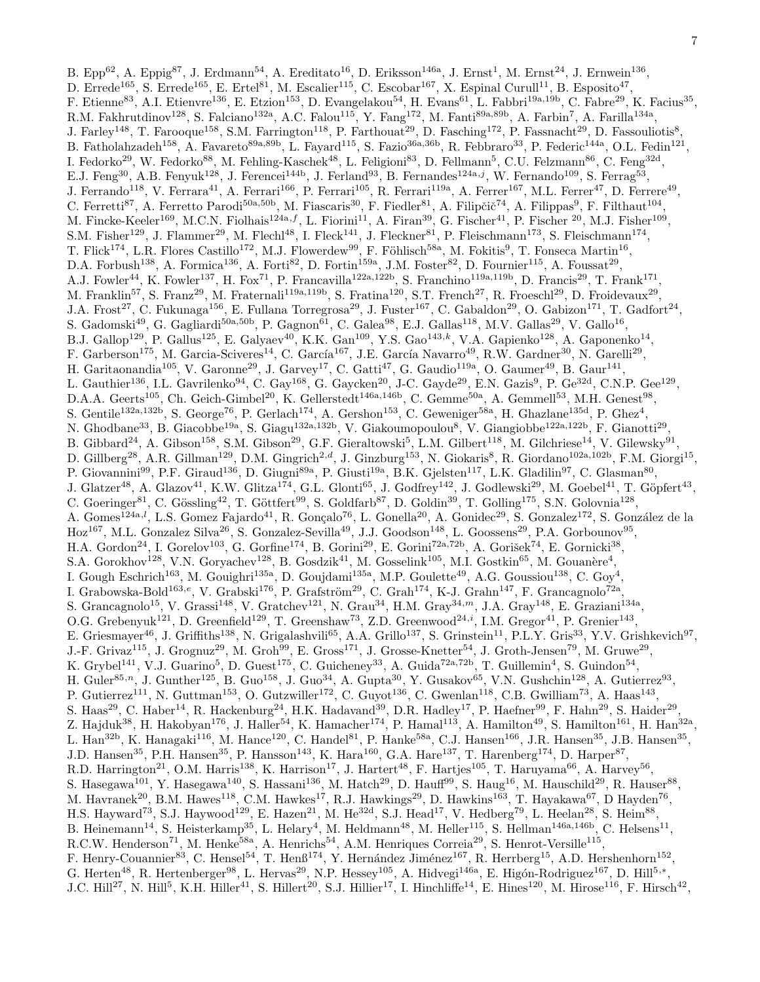B. Epp<sup>62</sup>, A. Eppig<sup>87</sup>, J. Erdmann<sup>54</sup>, A. Ereditato<sup>16</sup>, D. Eriksson<sup>146a</sup>, J. Ernst<sup>1</sup>, M. Ernst<sup>24</sup>, J. Ernwein<sup>136</sup>, D. Errede<sup>165</sup>, S. Errede<sup>165</sup>, E. Ertel<sup>81</sup>, M. Escalier<sup>115</sup>, C. Escobar<sup>167</sup>, X. Espinal Curull<sup>11</sup>, B. Esposito<sup>47</sup>, F. Etienne<sup>83</sup>, A.I. Etienvre<sup>136</sup>, E. Etzion<sup>153</sup>, D. Evangelakou<sup>54</sup>, H. Evans<sup>61</sup>, L. Fabbri<sup>19a,19b</sup>, C. Fabre<sup>29</sup>, K. Facius<sup>35</sup>, R.M. Fakhrutdinov<sup>128</sup>, S. Falciano<sup>132a</sup>, A.C. Falou<sup>115</sup>, Y. Fang<sup>172</sup>, M. Fanti<sup>89a,89b</sup>, A. Farbin<sup>7</sup>, A. Farilla<sup>134a</sup>, J. Farley<sup>148</sup>, T. Farooque<sup>158</sup>, S.M. Farrington<sup>118</sup>, P. Farthouat<sup>29</sup>, D. Fasching<sup>172</sup>, P. Fassnacht<sup>29</sup>, D. Fassouliotis<sup>8</sup>, B. Fatholahzadeh<sup>158</sup>, A. Favareto<sup>89a,89b</sup>, L. Fayard<sup>115</sup>, S. Fazio<sup>36a,36b</sup>, R. Febbraro<sup>33</sup>, P. Federic<sup>144a</sup>, O.L. Fedin<sup>121</sup>, I. Fedorko<sup>29</sup>, W. Fedorko<sup>88</sup>, M. Fehling-Kaschek<sup>48</sup>, L. Feligioni<sup>83</sup>, D. Fellmann<sup>5</sup>, C.U. Felzmann<sup>86</sup>, C. Feng<sup>32d</sup>, E.J. Feng<sup>30</sup>, A.B. Fenyuk<sup>128</sup>, J. Ferencei<sup>144b</sup>, J. Ferland<sup>93</sup>, B. Fernandes<sup>124a,j</sup>, W. Fernando<sup>109</sup>, S. Ferrag<sup>53</sup>, J. Ferrando<sup>118</sup>, V. Ferrara<sup>41</sup>, A. Ferrari<sup>166</sup>, P. Ferrari<sup>105</sup>, R. Ferrari<sup>119a</sup>, A. Ferrer<sup>167</sup>, M.L. Ferrer<sup>47</sup>, D. Ferrere<sup>49</sup>, C. Ferretti<sup>87</sup>, A. Ferretto Parodi<sup>50a,50b</sup>, M. Fiascaris<sup>30</sup>, F. Fiedler<sup>81</sup>, A. Filipčič<sup>74</sup>, A. Filippas<sup>9</sup>, F. Filthaut<sup>104</sup>, M. Fincke-Keeler<sup>169</sup>, M.C.N. Fiolhais<sup>124a,f</sup>, L. Fiorini<sup>11</sup>, A. Firan<sup>39</sup>, G. Fischer<sup>41</sup>, P. Fischer <sup>20</sup>, M.J. Fisher<sup>109</sup>, S.M. Fisher<sup>129</sup>, J. Flammer<sup>29</sup>, M. Flechl<sup>48</sup>, I. Fleck<sup>141</sup>, J. Fleckner<sup>81</sup>, P. Fleischmann<sup>173</sup>, S. Fleischmann<sup>174</sup>, T. Flick<sup>174</sup>, L.R. Flores Castillo<sup>172</sup>, M.J. Flowerdew<sup>99</sup>, F. Föhlisch<sup>58a</sup>, M. Fokitis<sup>9</sup>, T. Fonseca Martin<sup>16</sup>, D.A. Forbush<sup>138</sup>, A. Formica<sup>136</sup>, A. Forti<sup>82</sup>, D. Fortin<sup>159a</sup>, J.M. Foster<sup>82</sup>, D. Fournier<sup>115</sup>, A. Foussat<sup>29</sup>, A.J. Fowler<sup>44</sup>, K. Fowler<sup>137</sup>, H. Fox<sup>71</sup>, P. Francavilla<sup>122a,122b</sup>, S. Franchino<sup>119a,119b</sup>, D. Francis<sup>29</sup>, T. Frank<sup>171</sup>, M. Franklin<sup>57</sup>, S. Franz<sup>29</sup>, M. Fraternali<sup>119a,119b</sup>, S. Fratina<sup>120</sup>, S.T. French<sup>27</sup>, R. Froeschl<sup>29</sup>, D. Froidevaux<sup>29</sup>, J.A. Frost<sup>27</sup>, C. Fukunaga<sup>156</sup>, E. Fullana Torregrosa<sup>29</sup>, J. Fuster<sup>167</sup>, C. Gabaldon<sup>29</sup>, O. Gabizon<sup>171</sup>, T. Gadfort<sup>24</sup>, S. Gadomski<sup>49</sup>, G. Gagliardi<sup>50a,50b</sup>, P. Gagnon<sup>61</sup>, C. Galea<sup>98</sup>, E.J. Gallas<sup>118</sup>, M.V. Gallas<sup>29</sup>, V. Gallo<sup>16</sup>, B.J. Gallop<sup>129</sup>, P. Gallus<sup>125</sup>, E. Galyaev<sup>40</sup>, K.K. Gan<sup>109</sup>, Y.S. Gao<sup>143,k</sup>, V.A. Gapienko<sup>128</sup>, A. Gaponenko<sup>14</sup>, F. Garberson<sup>175</sup>, M. Garcia-Sciveres<sup>14</sup>, C. García<sup>167</sup>, J.E. García Navarro<sup>49</sup>, R.W. Gardner<sup>30</sup>, N. Garelli<sup>29</sup>, H. Garitaonandia<sup>105</sup>, V. Garonne<sup>29</sup>, J. Garvey<sup>17</sup>, C. Gatti<sup>47</sup>, G. Gaudio<sup>119a</sup>, O. Gaumer<sup>49</sup>, B. Gaur<sup>141</sup>, L. Gauthier<sup>136</sup>, I.L. Gavrilenko<sup>94</sup>, C. Gay<sup>168</sup>, G. Gaycken<sup>20</sup>, J-C. Gayde<sup>29</sup>, E.N. Gazis<sup>9</sup>, P. Ge<sup>32d</sup>, C.N.P. Gee<sup>129</sup>, D.A.A. Geerts<sup>105</sup>, Ch. Geich-Gimbel<sup>20</sup>, K. Gellerstedt<sup>146a,146b</sup>, C. Gemme<sup>50a</sup>, A. Gemmell<sup>53</sup>, M.H. Genest<sup>98</sup>, S. Gentile<sup>132a,132b</sup>, S. George<sup>76</sup>, P. Gerlach<sup>174</sup>, A. Gershon<sup>153</sup>, C. Geweniger<sup>58a</sup>, H. Ghazlane<sup>135d</sup>, P. Ghez<sup>4</sup>, N. Ghodbane<sup>33</sup>, B. Giacobbe<sup>19a</sup>, S. Giagu<sup>132a,132b</sup>, V. Giakoumopoulou<sup>8</sup>, V. Giangiobbe<sup>122a,122b</sup>, F. Gianotti<sup>29</sup>, B. Gibbard<sup>24</sup>, A. Gibson<sup>158</sup>, S.M. Gibson<sup>29</sup>, G.F. Gieraltowski<sup>5</sup>, L.M. Gilbert<sup>118</sup>, M. Gilchriese<sup>14</sup>, V. Gilewsky<sup>91</sup>, D. Gillberg<sup>28</sup>, A.R. Gillman<sup>129</sup>, D.M. Gingrich<sup>2,d</sup>, J. Ginzburg<sup>153</sup>, N. Giokaris<sup>8</sup>, R. Giordano<sup>102a,102b</sup>, F.M. Giorgi<sup>15</sup>, P. Giovannini<sup>99</sup>, P.F. Giraud<sup>136</sup>, D. Giugni<sup>89a</sup>, P. Giusti<sup>19a</sup>, B.K. Gjelsten<sup>117</sup>, L.K. Gladilin<sup>97</sup>, C. Glasman<sup>80</sup>, J. Glatzer<sup>48</sup>, A. Glazov<sup>41</sup>, K.W. Glitza<sup>174</sup>, G.L. Glonti<sup>65</sup>, J. Godfrey<sup>142</sup>, J. Godlewski<sup>29</sup>, M. Goebel<sup>41</sup>, T. Göpfert<sup>43</sup>, C. Goeringer<sup>81</sup>, C. Gössling<sup>42</sup>, T. Göttfert<sup>99</sup>, S. Goldfarb<sup>87</sup>, D. Goldin<sup>39</sup>, T. Golling<sup>175</sup>, S.N. Golovnia<sup>128</sup>, A. Gomes<sup>124a,l</sup>, L.S. Gomez Fajardo<sup>41</sup>, R. Gonçalo<sup>76</sup>, L. Gonella<sup>20</sup>, A. Gonidec<sup>29</sup>, S. Gonzalez<sup>172</sup>, S. González de la Hoz<sup>167</sup>, M.L. Gonzalez Silva<sup>26</sup>, S. Gonzalez-Sevilla<sup>49</sup>, J.J. Goodson<sup>148</sup>, L. Goossens<sup>29</sup>, P.A. Gorbounov<sup>95</sup>, H.A. Gordon<sup>24</sup>, I. Gorelov<sup>103</sup>, G. Gorfine<sup>174</sup>, B. Gorini<sup>29</sup>, E. Gorini<sup>72a,72b</sup>, A. Gorišek<sup>74</sup>, E. Gornicki<sup>38</sup>, S.A. Gorokhov<sup>128</sup>, V.N. Goryachev<sup>128</sup>, B. Gosdzik<sup>41</sup>, M. Gosselink<sup>105</sup>, M.I. Gostkin<sup>65</sup>, M. Gouanère<sup>4</sup>, I. Gough Eschrich<sup>163</sup>, M. Gouighri<sup>135a</sup>, D. Goujdami<sup>135a</sup>, M.P. Goulette<sup>49</sup>, A.G. Goussiou<sup>138</sup>, C. Goy<sup>4</sup>, I. Grabowska-Bold<sup>163,e</sup>, V. Grabski<sup>176</sup>, P. Grafström<sup>29</sup>, C. Grah<sup>174</sup>, K-J. Grahn<sup>147</sup>, F. Grancagnolo<sup>72a</sup>, S. Grancagnolo<sup>15</sup>, V. Grassi<sup>148</sup>, V. Gratchev<sup>121</sup>, N. Grau<sup>34</sup>, H.M. Gray<sup>34,*m*</sup>, J.A. Gray<sup>148</sup>, E. Graziani<sup>134a</sup>, O.G. Grebenyuk<sup>121</sup>, D. Greenfield<sup>129</sup>, T. Greenshaw<sup>73</sup>, Z.D. Greenwood<sup>24,*i*</sup>, I.M. Gregor<sup>41</sup>, P. Grenier<sup>143</sup>, E. Griesmayer<sup>46</sup>, J. Griffiths<sup>138</sup>, N. Grigalashvili<sup>65</sup>, A.A. Grillo<sup>137</sup>, S. Grinstein<sup>11</sup>, P.L.Y. Gris<sup>33</sup>, Y.V. Grishkevich<sup>97</sup>, J.-F. Grivaz<sup>115</sup>, J. Grognuz<sup>29</sup>, M. Groh<sup>99</sup>, E. Gross<sup>171</sup>, J. Grosse-Knetter<sup>54</sup>, J. Groth-Jensen<sup>79</sup>, M. Gruwe<sup>29</sup>, K. Grybel<sup>141</sup>, V.J. Guarino<sup>5</sup>, D. Guest<sup>175</sup>, C. Guicheney<sup>33</sup>, A. Guida<sup>72a,72b</sup>, T. Guillemin<sup>4</sup>, S. Guindon<sup>54</sup>, H. Guler<sup>85,n</sup>, J. Gunther<sup>125</sup>, B. Guo<sup>158</sup>, J. Guo<sup>34</sup>, A. Gupta<sup>30</sup>, Y. Gusakov<sup>65</sup>, V.N. Gushchin<sup>128</sup>, A. Gutierrez<sup>93</sup>, P. Gutierrez<sup>111</sup>, N. Guttman<sup>153</sup>, O. Gutzwiller<sup>172</sup>, C. Guyot<sup>136</sup>, C. Gwenlan<sup>118</sup>, C.B. Gwilliam<sup>73</sup>, A. Haas<sup>143</sup>, S. Haas<sup>29</sup>, C. Haber<sup>14</sup>, R. Hackenburg<sup>24</sup>, H.K. Hadavand<sup>39</sup>, D.R. Hadley<sup>17</sup>, P. Haefner<sup>99</sup>, F. Hahn<sup>29</sup>, S. Haider<sup>29</sup>, , Z. Hajduk<sup>38</sup>, H. Hakobyan<sup>176</sup>, J. Haller<sup>54</sup>, K. Hamacher<sup>174</sup>, P. Hamal<sup>113</sup>, A. Hamilton<sup>49</sup>, S. Hamilton<sup>161</sup>, H. Han<sup>32a</sup>, L. Han<sup>32b</sup>, K. Hanagaki<sup>116</sup>, M. Hance<sup>120</sup>, C. Handel<sup>81</sup>, P. Hanke<sup>58a</sup>, C.J. Hansen<sup>166</sup>, J.R. Hansen<sup>35</sup>, J.B. Hansen<sup>35</sup>, J.D. Hansen<sup>35</sup>, P.H. Hansen<sup>35</sup>, P. Hansson<sup>143</sup>, K. Hara<sup>160</sup>, G.A. Hare<sup>137</sup>, T. Harenberg<sup>174</sup>, D. Harper<sup>87</sup>, R.D. Harrington<sup>21</sup>, O.M. Harris<sup>138</sup>, K. Harrison<sup>17</sup>, J. Hartert<sup>48</sup>, F. Hartjes<sup>105</sup>, T. Haruyama<sup>66</sup>, A. Harvey<sup>56</sup>, S. Hasegawa<sup>101</sup>, Y. Hasegawa<sup>140</sup>, S. Hassani<sup>136</sup>, M. Hatch<sup>29</sup>, D. Hauff<sup>99</sup>, S. Haug<sup>16</sup>, M. Hauschild<sup>29</sup>, R. Hauser<sup>88</sup>, M. Havranek<sup>20</sup>, B.M. Hawes<sup>118</sup>, C.M. Hawkes<sup>17</sup>, R.J. Hawkings<sup>29</sup>, D. Hawkins<sup>163</sup>, T. Hayakawa<sup>67</sup>, D Hayden<sup>76</sup>, H.S. Hayward<sup>73</sup>, S.J. Haywood<sup>129</sup>, E. Hazen<sup>21</sup>, M. He<sup>32d</sup>, S.J. Head<sup>17</sup>, V. Hedberg<sup>79</sup>, L. Heelan<sup>28</sup>, S. Heim<sup>88</sup>, B. Heinemann<sup>14</sup>, S. Heisterkamp<sup>35</sup>, L. Helary<sup>4</sup>, M. Heldmann<sup>48</sup>, M. Heller<sup>115</sup>, S. Hellman<sup>146a,146b</sup>, C. Helsens<sup>11</sup>, R.C.W. Henderson<sup>71</sup>, M. Henke<sup>58a</sup>, A. Henrichs<sup>54</sup>, A.M. Henriques Correia<sup>29</sup>, S. Henrot-Versille<sup>115</sup>, F. Henry-Couannier<sup>83</sup>, C. Hensel<sup>54</sup>, T. Henß<sup>174</sup>, Y. Hernández Jiménez<sup>167</sup>, R. Herrberg<sup>15</sup>, A.D. Hershenhorn<sup>152</sup>, G. Herten<sup>48</sup>, R. Hertenberger<sup>98</sup>, L. Hervas<sup>29</sup>, N.P. Hessey<sup>105</sup>, A. Hidvegi<sup>146a</sup>, E. Higón-Rodriguez<sup>167</sup>, D. Hill<sup>5,\*</sup>, J.C. Hill<sup>27</sup>, N. Hill<sup>5</sup>, K.H. Hiller<sup>41</sup>, S. Hillert<sup>20</sup>, S.J. Hillier<sup>17</sup>, I. Hinchliffe<sup>14</sup>, E. Hines<sup>120</sup>, M. Hirose<sup>116</sup>, F. Hirsch<sup>42</sup>,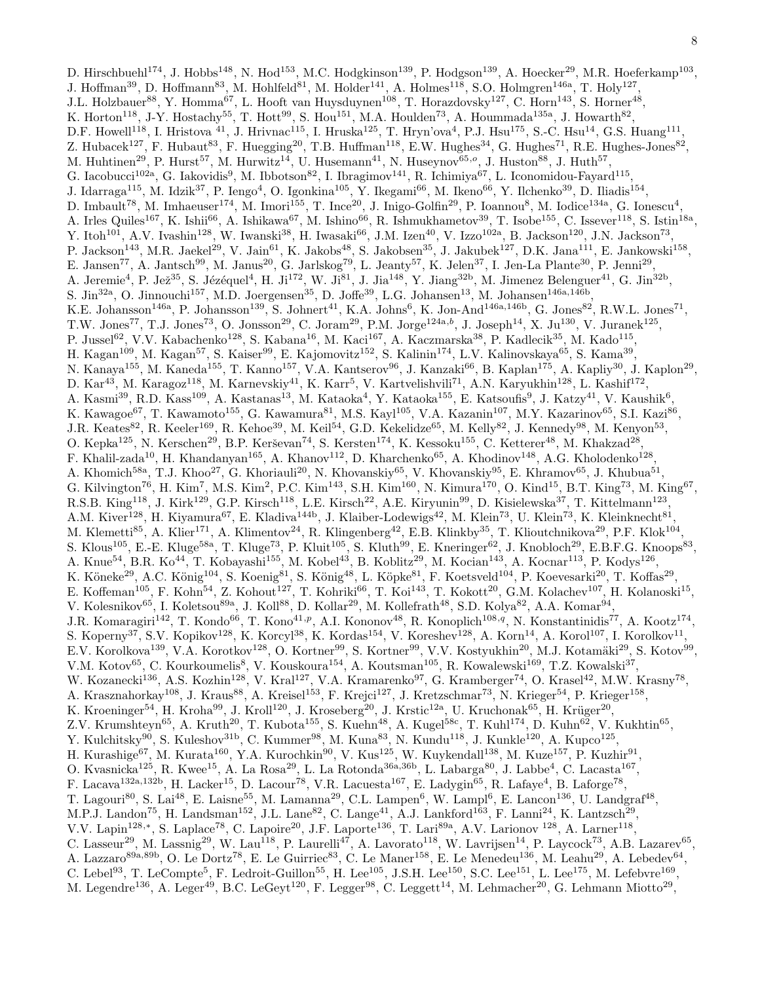D. Hirschbuehl<sup>174</sup>, J. Hobbs<sup>148</sup>, N. Hod<sup>153</sup>, M.C. Hodgkinson<sup>139</sup>, P. Hodgson<sup>139</sup>, A. Hoecker<sup>29</sup>, M.R. Hoeferkamp<sup>103</sup>, J. Hoffman<sup>39</sup>, D. Hoffmann<sup>83</sup>, M. Hohlfeld<sup>81</sup>, M. Holder<sup>141</sup>, A. Holmes<sup>118</sup>, S.O. Holmgren<sup>146a</sup>, T. Holy<sup>127</sup>, J.L. Holzbauer<sup>88</sup>, Y. Homma<sup>67</sup>, L. Hooft van Huysduynen<sup>108</sup>, T. Horazdovsky<sup>127</sup>, C. Horn<sup>143</sup>, S. Horner<sup>48</sup>, K. Horton<sup>118</sup>, J-Y. Hostachy<sup>55</sup>, T. Hott<sup>99</sup>, S. Hou<sup>151</sup>, M.A. Houlden<sup>73</sup>, A. Hoummada<sup>135a</sup>, J. Howarth<sup>82</sup>, D.F. Howell<sup>118</sup>, I. Hristova <sup>41</sup>, J. Hrivnac<sup>115</sup>, I. Hruska<sup>125</sup>, T. Hryn'ova<sup>4</sup>, P.J. Hsu<sup>175</sup>, S.-C. Hsu<sup>14</sup>, G.S. Huang<sup>111</sup>, Z. Hubacek<sup>127</sup>, F. Hubaut<sup>83</sup>, F. Huegging<sup>20</sup>, T.B. Huffman<sup>118</sup>, E.W. Hughes<sup>34</sup>, G. Hughes<sup>71</sup>, R.E. Hughes-Jones<sup>82</sup>, M. Huhtinen<sup>29</sup>, P. Hurst<sup>57</sup>, M. Hurwitz<sup>14</sup>, U. Husemann<sup>41</sup>, N. Huseynov<sup>65,</sup><sup>o</sup>, J. Huston<sup>88</sup>, J. Huth<sup>57</sup>, G. Iacobucci<sup>102a</sup>, G. Iakovidis<sup>9</sup>, M. Ibbotson<sup>82</sup>, I. Ibragimov<sup>141</sup>, R. Ichimiya<sup>67</sup>, L. Iconomidou-Fayard<sup>115</sup>, J. Idarraga<sup>115</sup>, M. Idzik<sup>37</sup>, P. Iengo<sup>4</sup>, O. Igonkina<sup>105</sup>, Y. Ikegami<sup>66</sup>, M. Ikeno<sup>66</sup>, Y. Ilchenko<sup>39</sup>, D. Iliadis<sup>154</sup>, D. Imbault<sup>78</sup>, M. Imhaeuser<sup>174</sup>, M. Imori<sup>155</sup>, T. Ince<sup>20</sup>, J. Inigo-Golfin<sup>29</sup>, P. Ioannou<sup>8</sup>, M. Iodice<sup>134a</sup>, G. Ionescu<sup>4</sup>, A. Irles Quiles<sup>167</sup>, K. Ishii<sup>66</sup>, A. Ishikawa<sup>67</sup>, M. Ishino<sup>66</sup>, R. Ishmukhametov<sup>39</sup>, T. Isobe<sup>155</sup>, C. Issever<sup>118</sup>, S. Istin<sup>18a</sup>, Y. Itoh<sup>101</sup>, A.V. Ivashin<sup>128</sup>, W. Iwanski<sup>38</sup>, H. Iwasaki<sup>66</sup>, J.M. Izen<sup>40</sup>, V. Izzo<sup>102a</sup>, B. Jackson<sup>120</sup>, J.N. Jackson<sup>73</sup>, P. Jackson<sup>143</sup>, M.R. Jaekel<sup>29</sup>, V. Jain<sup>61</sup>, K. Jakobs<sup>48</sup>, S. Jakobsen<sup>35</sup>, J. Jakubek<sup>127</sup>, D.K. Jana<sup>111</sup>, E. Jankowski<sup>158</sup>, E. Jansen<sup>77</sup>, A. Jantsch<sup>99</sup>, M. Janus<sup>20</sup>, G. Jarlskog<sup>79</sup>, L. Jeanty<sup>57</sup>, K. Jelen<sup>37</sup>, I. Jen-La Plante<sup>30</sup>, P. Jenni<sup>29</sup>, A. Jeremie<sup>4</sup>, P. Jež<sup>35</sup>, S. Jézéquel<sup>4</sup>, H. Ji<sup>172</sup>, W. Ji<sup>81</sup>, J. Jia<sup>148</sup>, Y. Jiang<sup>32b</sup>, M. Jimenez Belenguer<sup>41</sup>, G. Jin<sup>32b</sup>, S. Jin<sup>32a</sup>, O. Jinnouchi<sup>157</sup>, M.D. Joergensen<sup>35</sup>, D. Joffe<sup>39</sup>, L.G. Johansen<sup>13</sup>, M. Johansen<sup>146a,146b</sup>, K.E. Johansson<sup>146a</sup>, P. Johansson<sup>139</sup>, S. Johnert<sup>41</sup>, K.A. Johns<sup>6</sup>, K. Jon-And<sup>146a,146b</sup>, G. Jones<sup>82</sup>, R.W.L. Jones<sup>71</sup>, T.W. Jones<sup>77</sup>, T.J. Jones<sup>73</sup>, O. Jonsson<sup>29</sup>, C. Joram<sup>29</sup>, P.M. Jorge<sup>124a,b</sup>, J. Joseph<sup>14</sup>, X. Ju<sup>130</sup>, V. Juranek<sup>125</sup>, P. Jussel<sup>62</sup>, V.V. Kabachenko<sup>128</sup>, S. Kabana<sup>16</sup>, M. Kaci<sup>167</sup>, A. Kaczmarska<sup>38</sup>, P. Kadlecik<sup>35</sup>, M. Kado<sup>115</sup>, H. Kagan<sup>109</sup>, M. Kagan<sup>57</sup>, S. Kaiser<sup>99</sup>, E. Kajomovitz<sup>152</sup>, S. Kalinin<sup>174</sup>, L.V. Kalinovskaya<sup>65</sup>, S. Kama<sup>39</sup>, N. Kanaya<sup>155</sup>, M. Kaneda<sup>155</sup>, T. Kanno<sup>157</sup>, V.A. Kantserov<sup>96</sup>, J. Kanzaki<sup>66</sup>, B. Kaplan<sup>175</sup>, A. Kapliy<sup>30</sup>, J. Kaplon<sup>29</sup>, D. Kar<sup>43</sup>, M. Karagoz<sup>118</sup>, M. Karnevskiy<sup>41</sup>, K. Karr<sup>5</sup>, V. Kartvelishvili<sup>71</sup>, A.N. Karyukhin<sup>128</sup>, L. Kashif<sup>172</sup>, A. Kasmi<sup>39</sup>, R.D. Kass<sup>109</sup>, A. Kastanas<sup>13</sup>, M. Kataoka<sup>4</sup>, Y. Kataoka<sup>155</sup>, E. Katsoufis<sup>9</sup>, J. Katzy<sup>41</sup>, V. Kaushik<sup>6</sup>, K. Kawagoe<sup>67</sup>, T. Kawamoto<sup>155</sup>, G. Kawamura<sup>81</sup>, M.S. Kayl<sup>105</sup>, V.A. Kazanin<sup>107</sup>, M.Y. Kazarinov<sup>65</sup>, S.I. Kazi<sup>86</sup>, J.R. Keates<sup>82</sup>, R. Keeler<sup>169</sup>, R. Kehoe<sup>39</sup>, M. Keil<sup>54</sup>, G.D. Kekelidze<sup>65</sup>, M. Kelly<sup>82</sup>, J. Kennedy<sup>98</sup>, M. Kenyon<sup>53</sup>, O. Kepka<sup>125</sup>, N. Kerschen<sup>29</sup>, B.P. Kerševan<sup>74</sup>, S. Kersten<sup>174</sup>, K. Kessoku<sup>155</sup>, C. Ketterer<sup>48</sup>, M. Khakzad<sup>28</sup>, F. Khalil-zada<sup>10</sup>, H. Khandanyan<sup>165</sup>, A. Khanov<sup>112</sup>, D. Kharchenko<sup>65</sup>, A. Khodinov<sup>148</sup>, A.G. Kholodenko<sup>128</sup>, A. Khomich<sup>58a</sup>, T.J. Khoo<sup>27</sup>, G. Khoriauli<sup>20</sup>, N. Khovanskiy<sup>65</sup>, V. Khovanskiy<sup>95</sup>, E. Khramov<sup>65</sup>, J. Khubua<sup>51</sup>, G. Kilvington<sup>76</sup>, H. Kim<sup>7</sup>, M.S. Kim<sup>2</sup>, P.C. Kim<sup>143</sup>, S.H. Kim<sup>160</sup>, N. Kimura<sup>170</sup>, O. Kind<sup>15</sup>, B.T. King<sup>73</sup>, M. King<sup>67</sup>, R.S.B. King<sup>118</sup>, J. Kirk<sup>129</sup>, G.P. Kirsch<sup>118</sup>, L.E. Kirsch<sup>22</sup>, A.E. Kiryunin<sup>99</sup>, D. Kisielewska<sup>37</sup>, T. Kittelmann<sup>123</sup>, A.M. Kiver<sup>128</sup>, H. Kiyamura<sup>67</sup>, E. Kladiva<sup>144b</sup>, J. Klaiber-Lodewigs<sup>42</sup>, M. Klein<sup>73</sup>, U. Klein<sup>73</sup>, K. Kleinknecht<sup>81</sup>, M. Klemetti<sup>85</sup>, A. Klier<sup>171</sup>, A. Klimentov<sup>24</sup>, R. Klingenberg<sup>42</sup>, E.B. Klinkby<sup>35</sup>, T. Klioutchnikova<sup>29</sup>, P.F. Klok<sup>104</sup>, S. Klous<sup>105</sup>, E.-E. Kluge<sup>58a</sup>, T. Kluge<sup>73</sup>, P. Kluit<sup>105</sup>, S. Kluth<sup>99</sup>, E. Kneringer<sup>62</sup>, J. Knobloch<sup>29</sup>, E.B.F.G. Knoops<sup>83</sup>, A. Knue<sup>54</sup>, B.R. Ko<sup>44</sup>, T. Kobayashi<sup>155</sup>, M. Kobel<sup>43</sup>, B. Koblitz<sup>29</sup>, M. Kocian<sup>143</sup>, A. Kocnar<sup>113</sup>, P. Kodys<sup>126</sup>, K. Köneke<sup>29</sup>, A.C. König<sup>104</sup>, S. Koenig<sup>81</sup>, S. König<sup>48</sup>, L. Köpke<sup>81</sup>, F. Koetsveld<sup>104</sup>, P. Koevesarki<sup>20</sup>, T. Koffas<sup>29</sup>, E. Koffeman<sup>105</sup>, F. Kohn<sup>54</sup>, Z. Kohout<sup>127</sup>, T. Kohriki<sup>66</sup>, T. Koi<sup>143</sup>, T. Kokott<sup>20</sup>, G.M. Kolachev<sup>107</sup>, H. Kolanoski<sup>15</sup>, V. Kolesnikov<sup>65</sup>, I. Koletsou<sup>89a</sup>, J. Koll<sup>88</sup>, D. Kollar<sup>29</sup>, M. Kollefrath<sup>48</sup>, S.D. Kolya<sup>82</sup>, A.A. Komar<sup>94</sup>, J.R. Komaragiri<sup>142</sup>, T. Kondo<sup>66</sup>, T. Kono<sup>41,p</sup>, A.I. Kononov<sup>48</sup>, R. Konoplich<sup>108,q</sup>, N. Konstantinidis<sup>77</sup>, A. Kootz<sup>174</sup>, S. Koperny<sup>37</sup>, S.V. Kopikov<sup>128</sup>, K. Korcyl<sup>38</sup>, K. Kordas<sup>154</sup>, V. Koreshev<sup>128</sup>, A. Korn<sup>14</sup>, A. Korol<sup>107</sup>, I. Korolkov<sup>11</sup>, E.V. Korolkova<sup>139</sup>, V.A. Korotkov<sup>128</sup>, O. Kortner<sup>99</sup>, S. Kortner<sup>99</sup>, V.V. Kostyukhin<sup>20</sup>, M.J. Kotamäki<sup>29</sup>, S. Kotov<sup>99</sup>, V.M. Kotov<sup>65</sup>, C. Kourkoumelis<sup>8</sup>, V. Kouskoura<sup>154</sup>, A. Koutsman<sup>105</sup>, R. Kowalewski<sup>169</sup>, T.Z. Kowalski<sup>37</sup>, W. Kozanecki<sup>136</sup>, A.S. Kozhin<sup>128</sup>, V. Kral<sup>127</sup>, V.A. Kramarenko<sup>97</sup>, G. Kramberger<sup>74</sup>, O. Krasel<sup>42</sup>, M.W. Krasny<sup>78</sup>, A. Krasznahorkay<sup>108</sup>, J. Kraus<sup>88</sup>, A. Kreisel<sup>153</sup>, F. Krejci<sup>127</sup>, J. Kretzschmar<sup>73</sup>, N. Krieger<sup>54</sup>, P. Krieger<sup>158</sup>, K. Kroeninger $^{54}$ , H. Kroha $^{99}$ , J. Kroll<sup>120</sup>, J. Kroseberg<sup>20</sup>, J. Krstic<sup>12a</sup>, U. Kruchonak $^{65}$ , H. Krüger $^{20}$ , Z.V. Krumshteyn $^{65}$ , A. Kruth $^{20}$ , T. Kubota $^{155}$ , S. Kuehn $^{48}$ , A. Kugel $^{58c}$ , T. Kuhl $^{174}$ , D. Kuhn $^{62}$ , V. Kukhtin $^{65}$ , Y. Kulchitsky<sup>90</sup>, S. Kuleshov<sup>31b</sup>, C. Kummer<sup>98</sup>, M. Kuna<sup>83</sup>, N. Kundu<sup>118</sup>, J. Kunkle<sup>120</sup>, A. Kupco<sup>125</sup>, H. Kurashige<sup>67</sup>, M. Kurata<sup>160</sup>, Y.A. Kurochkin<sup>90</sup>, V. Kus<sup>125</sup>, W. Kuykendall<sup>138</sup>, M. Kuze<sup>157</sup>, P. Kuzhir<sup>91</sup>, O. Kvasnicka<sup>125</sup>, R. Kwee<sup>15</sup>, A. La Rosa<sup>29</sup>, L. La Rotonda<sup>36a,36b</sup>, L. Labarga<sup>80</sup>, J. Labbe<sup>4</sup>, C. Lacasta<sup>167</sup>, F. Lacava<sup>132a,132b</sup>, H. Lacker<sup>15</sup>, D. Lacour<sup>78</sup>, V.R. Lacuesta<sup>167</sup>, E. Ladygin<sup>65</sup>, R. Lafaye<sup>4</sup>, B. Laforge<sup>78</sup>, T. Lagouri<sup>80</sup>, S. Lai<sup>48</sup>, E. Laisne<sup>55</sup>, M. Lamanna<sup>29</sup>, C.L. Lampen<sup>6</sup>, W. Lampl<sup>6</sup>, E. Lancon<sup>136</sup>, U. Landgraf<sup>48</sup>, M.P.J. Landon<sup>75</sup>, H. Landsman<sup>152</sup>, J.L. Lane<sup>82</sup>, C. Lange<sup>41</sup>, A.J. Lankford<sup>163</sup>, F. Lanni<sup>24</sup>, K. Lantzsch<sup>29</sup>, V.V. Lapin<sup>128,</sup>\*, S. Laplace<sup>78</sup>, C. Lapoire<sup>20</sup>, J.F. Laporte<sup>136</sup>, T. Lari<sup>89a</sup>, A.V. Larionov <sup>128</sup>, A. Larner<sup>118</sup>, C. Lasseur<sup>29</sup>, M. Lassnig<sup>29</sup>, W. Lau<sup>118</sup>, P. Laurelli<sup>47</sup>, A. Lavorato<sup>118</sup>, W. Lavrijsen<sup>14</sup>, P. Laycock<sup>73</sup>, A.B. Lazarev<sup>65</sup>, A. Lazzaro<sup>89a,89b</sup>, O. Le Dortz<sup>78</sup>, E. Le Guirriec<sup>83</sup>, C. Le Maner<sup>158</sup>, E. Le Menedeu<sup>136</sup>, M. Leahu<sup>29</sup>, A. Lebedev<sup>64</sup>, C. Lebel<sup>93</sup>, T. LeCompte<sup>5</sup>, F. Ledroit-Guillon<sup>55</sup>, H. Lee<sup>105</sup>, J.S.H. Lee<sup>150</sup>, S.C. Lee<sup>151</sup>, L. Lee<sup>175</sup>, M. Lefebvre<sup>169</sup>, M. Legendre<sup>136</sup>, A. Leger<sup>49</sup>, B.C. LeGeyt<sup>120</sup>, F. Legger<sup>98</sup>, C. Leggett<sup>14</sup>, M. Lehmacher<sup>20</sup>, G. Lehmann Miotto<sup>29</sup>,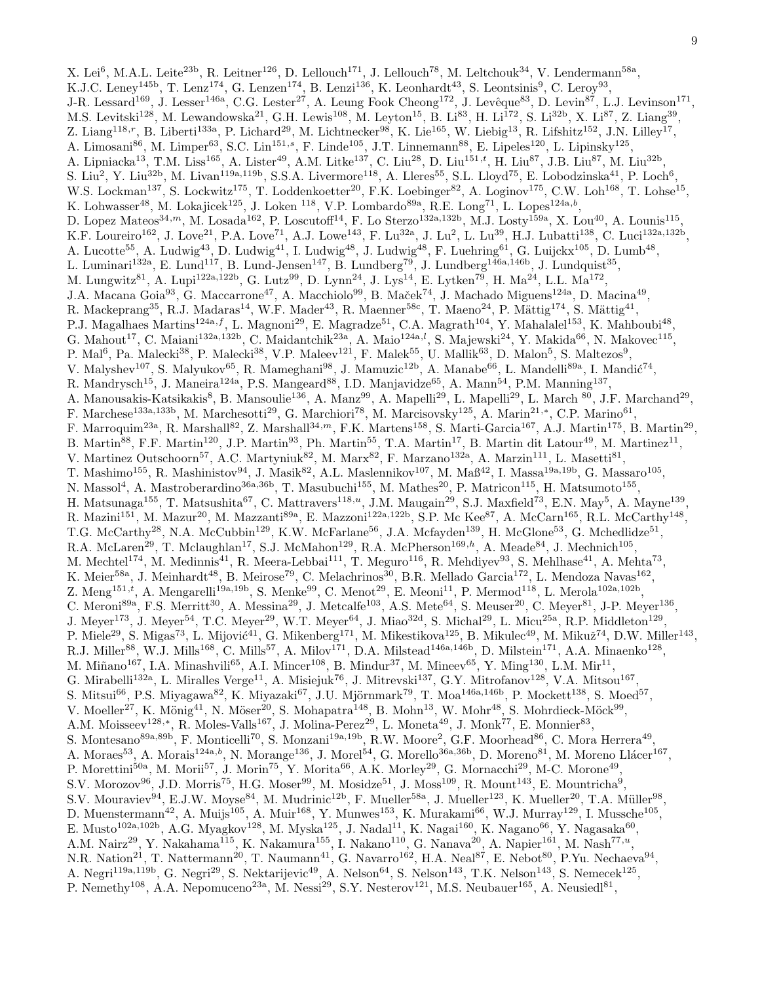X. Lei<sup>6</sup>, M.A.L. Leite<sup>23b</sup>, R. Leitner<sup>126</sup>, D. Lellouch<sup>171</sup>, J. Lellouch<sup>78</sup>, M. Leltchouk<sup>34</sup>, V. Lendermann<sup>58a</sup>, K.J.C. Leney<sup>145b</sup>, T. Lenz<sup>174</sup>, G. Lenzen<sup>174</sup>, B. Lenzi<sup>136</sup>, K. Leonhardt<sup>43</sup>, S. Leontsinis<sup>9</sup>, C. Leroy<sup>93</sup>, J-R. Lessard<sup>169</sup>, J. Lesser<sup>146a</sup>, C.G. Lester<sup>27</sup>, A. Leung Fook Cheong<sup>172</sup>, J. Levêque<sup>83</sup>, D. Levin<sup>87</sup>, L.J. Levinson<sup>171</sup>, M.S. Levitski<sup>128</sup>, M. Lewandowska<sup>21</sup>, G.H. Lewis<sup>108</sup>, M. Leyton<sup>15</sup>, B. Li<sup>83</sup>, H. Li<sup>172</sup>, S. Li<sup>32b</sup>, X. Li<sup>87</sup>, Z. Liang<sup>39</sup>, Z. Liang<sup>118,r</sup>, B. Liberti<sup>133a</sup>, P. Lichard<sup>29</sup>, M. Lichtnecker<sup>98</sup>, K. Lie<sup>165</sup>, W. Liebig<sup>13</sup>, R. Lifshitz<sup>152</sup>, J.N. Lilley<sup>17</sup>, A. Limosani<sup>86</sup>, M. Limper<sup>63</sup>, S.C. Lin<sup>151,s</sup>, F. Linde<sup>105</sup>, J.T. Linnemann<sup>88</sup>, E. Lipeles<sup>120</sup>, L. Lipinsky<sup>125</sup>, A. Lipniacka<sup>13</sup>, T.M. Liss<sup>165</sup>, A. Lister<sup>49</sup>, A.M. Litke<sup>137</sup>, C. Liu<sup>28</sup>, D. Liu<sup>151,*t*</sup>, H. Liu<sup>87</sup>, J.B. Liu<sup>87</sup>, M. Liu<sup>32b</sup>, S. Liu<sup>2</sup>, Y. Liu<sup>32b</sup>, M. Livan<sup>119a,119b</sup>, S.S.A. Livermore<sup>118</sup>, A. Lleres<sup>55</sup>, S.L. Lloyd<sup>75</sup>, E. Lobodzinska<sup>41</sup>, P. Loch<sup>6</sup>, W.S. Lockman<sup>137</sup>, S. Lockwitz<sup>175</sup>, T. Loddenkoetter<sup>20</sup>, F.K. Loebinger<sup>82</sup>, A. Loginov<sup>175</sup>, C.W. Loh<sup>168</sup>, T. Lohse<sup>15</sup>, K. Lohwasser<sup>48</sup>, M. Lokajicek<sup>125</sup>, J. Loken <sup>118</sup>, V.P. Lombardo<sup>89a</sup>, R.E. Long<sup>71</sup>, L. Lopes<sup>124a,b</sup>, D. Lopez Mateos<sup>34,m</sup>, M. Losada<sup>162</sup>, P. Loscutoff<sup>14</sup>, F. Lo Sterzo<sup>132a,132b</sup>, M.J. Losty<sup>159a</sup>, X. Lou<sup>40</sup>, A. Lounis<sup>115</sup>, K.F. Loureiro<sup>162</sup>, J. Love<sup>21</sup>, P.A. Love<sup>71</sup>, A.J. Lowe<sup>143</sup>, F. Lu<sup>32a</sup>, J. Lu<sup>2</sup>, L. Lu<sup>39</sup>, H.J. Lubatti<sup>138</sup>, C. Luci<sup>132a,132b</sup>, A. Lucotte<sup>55</sup>, A. Ludwig<sup>43</sup>, D. Ludwig<sup>41</sup>, I. Ludwig<sup>48</sup>, J. Ludwig<sup>48</sup>, F. Luehring<sup>61</sup>, G. Luijckx<sup>105</sup>, D. Lumb<sup>48</sup>, L. Luminari<sup>132a</sup>, E. Lund<sup>117</sup>, B. Lund-Jensen<sup>147</sup>, B. Lundberg<sup>79</sup>, J. Lundberg<sup>146a,146b</sup>, J. Lundquist<sup>35</sup>, M. Lungwitz<sup>81</sup>, A. Lupi<sup>122a,122b</sup>, G. Lutz<sup>99</sup>, D. Lynn<sup>24</sup>, J. Lys<sup>14</sup>, E. Lytken<sup>79</sup>, H. Ma<sup>24</sup>, L.L. Ma<sup>172</sup>, J.A. Macana Goia<sup>93</sup>, G. Maccarrone<sup>47</sup>, A. Macchiolo<sup>99</sup>, B. Maček<sup>74</sup>, J. Machado Miguens<sup>124a</sup>, D. Macina<sup>49</sup>, R. Mackeprang<sup>35</sup>, R.J. Madaras<sup>14</sup>, W.F. Mader<sup>43</sup>, R. Maenner<sup>58c</sup>, T. Maeno<sup>24</sup>, P. Mättig<sup>174</sup>, S. Mättig<sup>41</sup>, P.J. Magalhaes Martins<sup>124a,f</sup>, L. Magnoni<sup>29</sup>, E. Magradze<sup>51</sup>, C.A. Magrath<sup>104</sup>, Y. Mahalalel<sup>153</sup>, K. Mahboubi<sup>48</sup>, G. Mahout<sup>17</sup>, C. Maiani<sup>132a,132b</sup>, C. Maidantchik<sup>23a</sup>, A. Maio<sup>124a,*l*</sup>, S. Majewski<sup>24</sup>, Y. Makida<sup>66</sup>, N. Makovec<sup>115</sup>, P. Mal<sup>6</sup>, Pa. Malecki<sup>38</sup>, P. Malecki<sup>38</sup>, V.P. Maleev<sup>121</sup>, F. Malek<sup>55</sup>, U. Mallik<sup>63</sup>, D. Malon<sup>5</sup>, S. Maltezos<sup>9</sup>, V. Malyshev<sup>107</sup>, S. Malyukov<sup>65</sup>, R. Mameghani<sup>98</sup>, J. Mamuzic<sup>12b</sup>, A. Manabe<sup>66</sup>, L. Mandelli<sup>89a</sup>, I. Mandić<sup>74</sup>, R. Mandrysch<sup>15</sup>, J. Maneira<sup>124a</sup>, P.S. Mangeard<sup>88</sup>, I.D. Manjavidze<sup>65</sup>, A. Mann<sup>54</sup>, P.M. Manning<sup>137</sup>, A. Manousakis-Katsikakis<sup>8</sup>, B. Mansoulie<sup>136</sup>, A. Manz<sup>99</sup>, A. Mapelli<sup>29</sup>, L. Mapelli<sup>29</sup>, L. March <sup>80</sup>, J.F. Marchand<sup>29</sup>, F. Marchese<sup>133a,133b</sup>, M. Marchesotti<sup>29</sup>, G. Marchiori<sup>78</sup>, M. Marcisovsky<sup>125</sup>, A. Marin<sup>21,∗</sup>, C.P. Marino<sup>61</sup>, F. Marroquim<sup>23a</sup>, R. Marshall<sup>82</sup>, Z. Marshall<sup>34,m</sup>, F.K. Martens<sup>158</sup>, S. Marti-Garcia<sup>167</sup>, A.J. Martin<sup>175</sup>, B. Martin<sup>29</sup>, B. Martin<sup>88</sup>, F.F. Martin<sup>120</sup>, J.P. Martin<sup>93</sup>, Ph. Martin<sup>55</sup>, T.A. Martin<sup>17</sup>, B. Martin dit Latour<sup>49</sup>, M. Martinez<sup>11</sup>, V. Martinez Outschoorn<sup>57</sup>, A.C. Martyniuk<sup>82</sup>, M. Marx<sup>82</sup>, F. Marzano<sup>132a</sup>, A. Marzin<sup>111</sup>, L. Masetti<sup>81</sup>, T. Mashimo<sup>155</sup>, R. Mashinistov<sup>94</sup>, J. Masik<sup>82</sup>, A.L. Maslennikov<sup>107</sup>, M. Maß<sup>42</sup>, I. Massa<sup>19a,19b</sup>, G. Massaro<sup>105</sup>, N. Massol<sup>4</sup>, A. Mastroberardino<sup>36a,36b</sup>, T. Masubuchi<sup>155</sup>, M. Mathes<sup>20</sup>, P. Matricon<sup>115</sup>, H. Matsumoto<sup>155</sup>, H. Matsunaga<sup>155</sup>, T. Matsushita<sup>67</sup>, C. Mattravers<sup>118,*u*</sup>, J.M. Maugain<sup>29</sup>, S.J. Maxfield<sup>73</sup>, E.N. May<sup>5</sup>, A. Mayne<sup>139</sup>, R. Mazini<sup>151</sup>, M. Mazur<sup>20</sup>, M. Mazzanti<sup>89a</sup>, E. Mazzoni<sup>122a,122b</sup>, S.P. Mc Kee<sup>87</sup>, A. McCarn<sup>165</sup>, R.L. McCarthy<sup>148</sup>, T.G. McCarthy<sup>28</sup>, N.A. McCubbin<sup>129</sup>, K.W. McFarlane<sup>56</sup>, J.A. Mcfayden<sup>139</sup>, H. McGlone<sup>53</sup>, G. Mchedlidze<sup>51</sup>, R.A. McLaren<sup>29</sup>, T. Mclaughlan<sup>17</sup>, S.J. McMahon<sup>129</sup>, R.A. McPherson<sup>169,h</sup>, A. Meade<sup>84</sup>, J. Mechnich<sup>105</sup>, M. Mechtel<sup>174</sup>, M. Medinnis<sup>41</sup>, R. Meera-Lebbai<sup>111</sup>, T. Meguro<sup>116</sup>, R. Mehdiyev<sup>93</sup>, S. Mehlhase<sup>41</sup>, A. Mehta<sup>73</sup>, K. Meier<sup>58a</sup>, J. Meinhardt<sup>48</sup>, B. Meirose<sup>79</sup>, C. Melachrinos<sup>30</sup>, B.R. Mellado Garcia<sup>172</sup>, L. Mendoza Navas<sup>162</sup>, Z. Meng<sup>151,*t*</sup>, A. Mengarelli<sup>19a,19b</sup>, S. Menke<sup>99</sup>, C. Menot<sup>29</sup>, E. Meoni<sup>11</sup>, P. Mermod<sup>118</sup>, L. Merola<sup>102a,102b</sup>, C. Meroni<sup>89a</sup>, F.S. Merritt<sup>30</sup>, A. Messina<sup>29</sup>, J. Metcalfe<sup>103</sup>, A.S. Mete<sup>64</sup>, S. Meuser<sup>20</sup>, C. Meyer<sup>81</sup>, J-P. Meyer<sup>136</sup>, J. Meyer<sup>173</sup>, J. Meyer<sup>54</sup>, T.C. Meyer<sup>29</sup>, W.T. Meyer<sup>64</sup>, J. Miao<sup>32d</sup>, S. Michal<sup>29</sup>, L. Micu<sup>25a</sup>, R.P. Middleton<sup>129</sup>, P. Miele<sup>29</sup>, S. Migas<sup>73</sup>, L. Mijović<sup>41</sup>, G. Mikenberg<sup>171</sup>, M. Mikestikova<sup>125</sup>, B. Mikulec<sup>49</sup>, M. Mikuž<sup>74</sup>, D.W. Miller<sup>143</sup>, R.J. Miller<sup>88</sup>, W.J. Mills<sup>168</sup>, C. Mills<sup>57</sup>, A. Milov<sup>171</sup>, D.A. Milstead<sup>146a,146b</sup>, D. Milstein<sup>171</sup>, A.A. Minaenko<sup>128</sup>, M. Miñano<sup>167</sup>, I.A. Minashvili<sup>65</sup>, A.I. Mincer<sup>108</sup>, B. Mindur<sup>37</sup>, M. Mineev<sup>65</sup>, Y. Ming<sup>130</sup>, L.M. Mir<sup>11</sup>, G. Mirabelli<sup>132a</sup>, L. Miralles Verge<sup>11</sup>, A. Misiejuk<sup>76</sup>, J. Mitrevski<sup>137</sup>, G.Y. Mitrofanov<sup>128</sup>, V.A. Mitsou<sup>167</sup>, S. Mitsui $^{66}$ , P.S. Miyagawa $^{82}$ , K. Miyazaki $^{67}$ , J.U. Mjörnmark $^{79}$ , T. Moa $^{146a,146b}$ , P. Mockett $^{138}$ , S. Moed $^{57}$ , V. Moeller<sup>27</sup>, K. Mönig<sup>41</sup>, N. Möser<sup>20</sup>, S. Mohapatra<sup>148</sup>, B. Mohn<sup>13</sup>, W. Mohr<sup>48</sup>, S. Mohrdieck-Möck<sup>99</sup>, A.M. Moisseev<sup>128,∗</sup>, R. Moles-Valls<sup>167</sup>, J. Molina-Perez<sup>29</sup>, L. Moneta<sup>49</sup>, J. Monk<sup>77</sup>, E. Monnier<sup>83</sup>, S. Montesano<sup>89a,89b</sup>, F. Monticelli<sup>70</sup>, S. Monzani<sup>19a,19b</sup>, R.W. Moore<sup>2</sup>, G.F. Moorhead<sup>86</sup>, C. Mora Herrera<sup>49</sup>, A. Moraes<sup>53</sup>, A. Morais<sup>124a,b</sup>, N. Morange<sup>136</sup>, J. Morel<sup>54</sup>, G. Morello<sup>36a,36b</sup>, D. Moreno<sup>81</sup>, M. Moreno Llácer<sup>167</sup>, P. Morettini<sup>50a</sup>, M. Morii<sup>57</sup>, J. Morin<sup>75</sup>, Y. Morita<sup>66</sup>, A.K. Morley<sup>29</sup>, G. Mornacchi<sup>29</sup>, M-C. Morone<sup>49</sup>, S.V. Morozov<sup>96</sup>, J.D. Morris<sup>75</sup>, H.G. Moser<sup>99</sup>, M. Mosidze<sup>51</sup>, J. Moss<sup>109</sup>, R. Mount<sup>143</sup>, E. Mountricha<sup>9</sup>, S.V. Mouraviev<sup>94</sup>, E.J.W. Moyse<sup>84</sup>, M. Mudrinic<sup>12b</sup>, F. Mueller<sup>58a</sup>, J. Mueller<sup>123</sup>, K. Mueller<sup>20</sup>, T.A. Müller<sup>98</sup>, D. Muenstermann<sup>42</sup>, A. Muijs<sup>105</sup>, A. Muir<sup>168</sup>, Y. Munwes<sup>153</sup>, K. Murakami<sup>66</sup>, W.J. Murray<sup>129</sup>, I. Mussche<sup>105</sup>, E. Musto<sup>102a,102b</sup>, A.G. Myagkov<sup>128</sup>, M. Myska<sup>125</sup>, J. Nadal<sup>11</sup>, K. Nagai<sup>160</sup>, K. Nagano<sup>66</sup>, Y. Nagasaka<sup>60</sup>, A.M. Nairz<sup>29</sup>, Y. Nakahama<sup>115</sup>, K. Nakamura<sup>155</sup>, I. Nakano<sup>110</sup>, G. Nanava<sup>20</sup>, A. Napier<sup>161</sup>, M. Nash<sup>77,*u*</sup>, N.R. Nation<sup>21</sup>, T. Nattermann<sup>20</sup>, T. Naumann<sup>41</sup>, G. Navarro<sup>162</sup>, H.A. Neal<sup>87</sup>, E. Nebot<sup>80</sup>, P.Yu. Nechaeva<sup>94</sup>, A. Negri<sup>119a,119b</sup>, G. Negri<sup>29</sup>, S. Nektarijevic<sup>49</sup>, A. Nelson<sup>64</sup>, S. Nelson<sup>143</sup>, T.K. Nelson<sup>143</sup>, S. Nemecek<sup>125</sup>, P. Nemethy<sup>108</sup>, A.A. Nepomuceno<sup>23a</sup>, M. Nessi<sup>29</sup>, S.Y. Nesterov<sup>121</sup>, M.S. Neubauer<sup>165</sup>, A. Neusiedl<sup>81</sup>,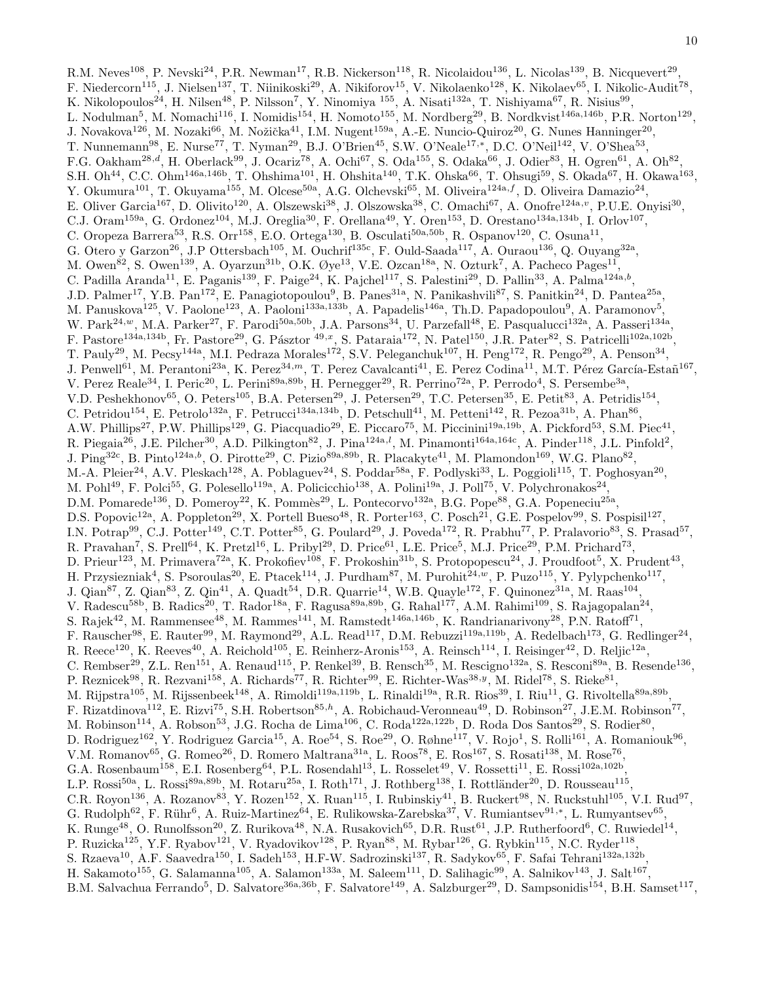R.M. Neves<sup>108</sup>, P. Nevski<sup>24</sup>, P.R. Newman<sup>17</sup>, R.B. Nickerson<sup>118</sup>, R. Nicolaidou<sup>136</sup>, L. Nicolas<sup>139</sup>, B. Nicquevert<sup>29</sup>, F. Niedercorn<sup>115</sup>, J. Nielsen<sup>137</sup>, T. Niinikoski<sup>29</sup>, A. Nikiforov<sup>15</sup>, V. Nikolaenko<sup>128</sup>, K. Nikolaev<sup>65</sup>, I. Nikolic-Audit<sup>78</sup>, K. Nikolopoulos<sup>24</sup>, H. Nilsen<sup>48</sup>, P. Nilsson<sup>7</sup>, Y. Ninomiya <sup>155</sup>, A. Nisati<sup>132a</sup>, T. Nishiyama<sup>67</sup>, R. Nisius<sup>99</sup>, L. Nodulman<sup>5</sup>, M. Nomachi<sup>116</sup>, I. Nomidis<sup>154</sup>, H. Nomoto<sup>155</sup>, M. Nordberg<sup>29</sup>, B. Nordkvist<sup>146a,146b</sup>, P.R. Norton<sup>129</sup>, J. Novakova<sup>126</sup>, M. Nozaki<sup>66</sup>, M. Nožička<sup>41</sup>, I.M. Nugent<sup>159a</sup>, A.-E. Nuncio-Quiroz<sup>20</sup>, G. Nunes Hanninger<sup>20</sup>, T. Nunnemann<sup>98</sup>, E. Nurse<sup>77</sup>, T. Nyman<sup>29</sup>, B.J. O'Brien<sup>45</sup>, S.W. O'Neale<sup>17,\*</sup>, D.C. O'Neil<sup>142</sup>, V. O'Shea<sup>53</sup>, F.G. Oakham<sup>28,d</sup>, H. Oberlack<sup>99</sup>, J. Ocariz<sup>78</sup>, A. Ochi<sup>67</sup>, S. Oda<sup>155</sup>, S. Odaka<sup>66</sup>, J. Odier<sup>83</sup>, H. Ogren<sup>61</sup>, A. Oh<sup>82</sup>, S.H. Oh<sup>44</sup>, C.C. Ohm<sup>146a,146b</sup>, T. Ohshima<sup>101</sup>, H. Ohshita<sup>140</sup>, T.K. Ohska<sup>66</sup>, T. Ohsugi<sup>59</sup>, S. Okada<sup>67</sup>, H. Okawa<sup>163</sup>, Y. Okumura<sup>101</sup>, T. Okuyama<sup>155</sup>, M. Olcese<sup>50a</sup>, A.G. Olchevski<sup>65</sup>, M. Oliveira<sup>124a,f</sup>, D. Oliveira Damazio<sup>24</sup>, E. Oliver Garcia<sup>167</sup>, D. Olivito<sup>120</sup>, A. Olszewski<sup>38</sup>, J. Olszowska<sup>38</sup>, C. Omachi<sup>67</sup>, A. Onofre<sup>124a,</sup><sup>v</sup>, P.U.E. Onyisi<sup>30</sup>, C.J. Oram<sup>159a</sup>, G. Ordonez<sup>104</sup>, M.J. Oreglia<sup>30</sup>, F. Orellana<sup>49</sup>, Y. Oren<sup>153</sup>, D. Orestano<sup>134a,134b</sup>, I. Orlov<sup>107</sup>, C. Oropeza Barrera<sup>53</sup>, R.S. Orr<sup>158</sup>, E.O. Ortega<sup>130</sup>, B. Osculati<sup>50a,50b</sup>, R. Ospanov<sup>120</sup>, C. Osuna<sup>11</sup>, G. Otero y Garzon<sup>26</sup>, J.P Ottersbach<sup>105</sup>, M. Ouchrif<sup>135c</sup>, F. Ould-Saada<sup>117</sup>, A. Ouraou<sup>136</sup>, Q. Ouyang<sup>32a</sup>, M. Owen<sup>82</sup>, S. Owen<sup>139</sup>, A. Oyarzun<sup>31b</sup>, O.K. Øye<sup>13</sup>, V.E. Ozcan<sup>18a</sup>, N. Ozturk<sup>7</sup>, A. Pacheco Pages<sup>11</sup>, C. Padilla Aranda<sup>11</sup>, E. Paganis<sup>139</sup>, F. Paige<sup>24</sup>, K. Pajchel<sup>117</sup>, S. Palestini<sup>29</sup>, D. Pallin<sup>33</sup>, A. Palma<sup>124a,b</sup>, J.D. Palmer<sup>17</sup>, Y.B. Pan<sup>172</sup>, E. Panagiotopoulou<sup>9</sup>, B. Panes<sup>31a</sup>, N. Panikashvili<sup>87</sup>, S. Panitkin<sup>24</sup>, D. Pantea<sup>25a</sup>, M. Panuskova<sup>125</sup>, V. Paolone<sup>123</sup>, A. Paoloni<sup>133a,133b</sup>, A. Papadelis<sup>146a</sup>, Th.D. Papadopoulou<sup>9</sup>, A. Paramonov<sup>5</sup>, W. Park<sup>24,w</sup>, M.A. Parker<sup>27</sup>, F. Parodi<sup>50a,50b</sup>, J.A. Parsons<sup>34</sup>, U. Parzefall<sup>48</sup>, E. Pasqualucci<sup>132a</sup>, A. Passeri<sup>134a</sup>, F. Pastore<sup>134a,134b</sup>, Fr. Pastore<sup>29</sup>, G. Pásztor <sup>49,x</sup>, S. Pataraia<sup>172</sup>, N. Patel<sup>150</sup>, J.R. Pater<sup>82</sup>, S. Patricelli<sup>102a,102b</sup>, T. Pauly<sup>29</sup>, M. Pecsy<sup>144a</sup>, M.I. Pedraza Morales<sup>172</sup>, S.V. Peleganchuk<sup>107</sup>, H. Peng<sup>172</sup>, R. Pengo<sup>29</sup>, A. Penson<sup>34</sup>, J. Penwell<sup>61</sup>, M. Perantoni<sup>23a</sup>, K. Perez<sup>34,*m*</sup>, T. Perez Cavalcanti<sup>41</sup>, E. Perez Codina<sup>11</sup>, M.T. Pérez García-Estañ<sup>167</sup>, V. Perez Reale<sup>34</sup>, I. Peric<sup>20</sup>, L. Perini<sup>89a,89b</sup>, H. Pernegger<sup>29</sup>, R. Perrino<sup>72a</sup>, P. Perrodo<sup>4</sup>, S. Persembe<sup>3a</sup>, V.D. Peshekhonov<sup>65</sup>, O. Peters<sup>105</sup>, B.A. Petersen<sup>29</sup>, J. Petersen<sup>29</sup>, T.C. Petersen<sup>35</sup>, E. Petit<sup>83</sup>, A. Petridis<sup>154</sup>, C. Petridou<sup>154</sup>, E. Petrolo<sup>132a</sup>, F. Petrucci<sup>134a,134b</sup>, D. Petschull<sup>41</sup>, M. Petteni<sup>142</sup>, R. Pezoa<sup>31b</sup>, A. Phan<sup>86</sup>, A.W. Phillips<sup>27</sup>, P.W. Phillips<sup>129</sup>, G. Piacquadio<sup>29</sup>, E. Piccaro<sup>75</sup>, M. Piccinini<sup>19a,19b</sup>, A. Pickford<sup>53</sup>, S.M. Piec<sup>41</sup>, R. Piegaia<sup>26</sup>, J.E. Pilcher<sup>30</sup>, A.D. Pilkington<sup>82</sup>, J. Pina<sup>124a,*l*</sup>, M. Pinamonti<sup>164a,164c</sup>, A. Pinder<sup>118</sup>, J.L. Pinfold<sup>2</sup>, J. Ping<sup>32c</sup>, B. Pinto<sup>124a,b</sup>, O. Pirotte<sup>29</sup>, C. Pizio<sup>89a,89b</sup>, R. Placakyte<sup>41</sup>, M. Plamondon<sup>169</sup>, W.G. Plano<sup>82</sup>, M.-A. Pleier<sup>24</sup>, A.V. Pleskach<sup>128</sup>, A. Poblaguev<sup>24</sup>, S. Poddar<sup>58a</sup>, F. Podlyski<sup>33</sup>, L. Poggioli<sup>115</sup>, T. Poghosyan<sup>20</sup>, M. Pohl $^{49}$ , F. Polci $^{55}$ , G. Polesello $^{119a}$ , A. Policicchio $^{138}$ , A. Polini $^{19a}$ , J. Poll $^{75}$ , V. Polychronakos $^{24}$ , D.M. Pomarede<sup>136</sup>, D. Pomeroy<sup>22</sup>, K. Pommès<sup>29</sup>, L. Pontecorvo<sup>132a</sup>, B.G. Pope<sup>88</sup>, G.A. Popeneciu<sup>25a</sup>, D.S. Popovic<sup>12a</sup>, A. Poppleton<sup>29</sup>, X. Portell Bueso<sup>48</sup>, R. Porter<sup>163</sup>, C. Posch<sup>21</sup>, G.E. Pospelov<sup>99</sup>, S. Pospisil<sup>127</sup>, I.N. Potrap<sup>99</sup>, C.J. Potter<sup>149</sup>, C.T. Potter<sup>85</sup>, G. Poulard<sup>29</sup>, J. Poveda<sup>172</sup>, R. Prabhu<sup>77</sup>, P. Pralavorio<sup>83</sup>, S. Prasad<sup>57</sup>, R. Pravahan<sup>7</sup>, S. Prell<sup>64</sup>, K. Pretzl<sup>16</sup>, L. Pribyl<sup>29</sup>, D. Price<sup>61</sup>, L.E. Price<sup>5</sup>, M.J. Price<sup>29</sup>, P.M. Prichard<sup>73</sup>, D. Prieur<sup>123</sup>, M. Primavera<sup>72a</sup>, K. Prokofiev<sup>108</sup>, F. Prokoshin<sup>31b</sup>, S. Protopopescu<sup>24</sup>, J. Proudfoot<sup>5</sup>, X. Prudent<sup>43</sup>, H. Przysiezniak<sup>4</sup>, S. Psoroulas<sup>20</sup>, E. Ptacek<sup>114</sup>, J. Purdham<sup>87</sup>, M. Purohit<sup>24,w</sup>, P. Puzo<sup>115</sup>, Y. Pylypchenko<sup>117</sup>, J. Qian<sup>87</sup>, Z. Qian<sup>83</sup>, Z. Qin<sup>41</sup>, A. Quadt<sup>54</sup>, D.R. Quarrie<sup>14</sup>, W.B. Quayle<sup>172</sup>, F. Quinonez<sup>31a</sup>, M. Raas<sup>104</sup>, V. Radescu<sup>58b</sup>, B. Radics<sup>20</sup>, T. Rador<sup>18a</sup>, F. Ragusa<sup>89a,89b</sup>, G. Rahal<sup>177</sup>, A.M. Rahimi<sup>109</sup>, S. Rajagopalan<sup>24</sup>, S. Rajek<sup>42</sup>, M. Rammensee<sup>48</sup>, M. Rammes<sup>141</sup>, M. Ramstedt<sup>146a,146b</sup>, K. Randrianarivony<sup>28</sup>, P.N. Ratoff<sup>71</sup>, F. Rauscher<sup>98</sup>, E. Rauter<sup>99</sup>, M. Raymond<sup>29</sup>, A.L. Read<sup>117</sup>, D.M. Rebuzzi<sup>119a,119b</sup>, A. Redelbach<sup>173</sup>, G. Redlinger<sup>24</sup>, R. Reece<sup>120</sup>, K. Reeves<sup>40</sup>, A. Reichold<sup>105</sup>, E. Reinherz-Aronis<sup>153</sup>, A. Reinsch<sup>114</sup>, I. Reisinger<sup>42</sup>, D. Reljic<sup>12a</sup>, C. Rembser<sup>29</sup>, Z.L. Ren<sup>151</sup>, A. Renaud<sup>115</sup>, P. Renkel<sup>39</sup>, B. Rensch<sup>35</sup>, M. Rescigno<sup>132a</sup>, S. Resconi<sup>89a</sup>, B. Resende<sup>136</sup>, P. Reznicek<sup>98</sup>, R. Rezvani<sup>158</sup>, A. Richards<sup>77</sup>, R. Richter<sup>99</sup>, E. Richter-Was<sup>38, y</sup>, M. Ridel<sup>78</sup>, S. Rieke<sup>81</sup>, M. Rijpstra<sup>105</sup>, M. Rijssenbeek<sup>148</sup>, A. Rimoldi<sup>119a,119b</sup>, L. Rinaldi<sup>19a</sup>, R.R. Rios<sup>39</sup>, I. Riu<sup>11</sup>, G. Rivoltella<sup>89a,89b</sup>, F. Rizatdinova<sup>112</sup>, E. Rizvi<sup>75</sup>, S.H. Robertson<sup>85,h</sup>, A. Robichaud-Veronneau<sup>49</sup>, D. Robinson<sup>27</sup>, J.E.M. Robinson<sup>77</sup>, M. Robinson<sup>114</sup>, A. Robson<sup>53</sup>, J.G. Rocha de Lima<sup>106</sup>, C. Roda<sup>122a,122b</sup>, D. Roda Dos Santos<sup>29</sup>, S. Rodier<sup>80</sup>, D. Rodriguez<sup>162</sup>, Y. Rodriguez Garcia<sup>15</sup>, A. Roe<sup>54</sup>, S. Roe<sup>29</sup>, O. Røhne<sup>117</sup>, V. Rojo<sup>1</sup>, S. Rolli<sup>161</sup>, A. Romaniouk<sup>96</sup>, V.M. Romanov $^{65}$ , G. Romeo $^{26}$ , D. Romero Maltrana $^{31a}$ , L. Roos $^{78}$ , E. Ros $^{167}$ , S. Rosati $^{138}$ , M. Rose $^{76}$ , G.A. Rosenbaum<sup>158</sup>, E.I. Rosenberg<sup>64</sup>, P.L. Rosendahl<sup>13</sup>, L. Rosselet<sup>49</sup>, V. Rossetti<sup>11</sup>, E. Rossi<sup>102a,102b</sup>, L.P. Rossi<sup>50a</sup>, L. Rossi<sup>89a,89b</sup>, M. Rotaru<sup>25a</sup>, I. Roth<sup>171</sup>, J. Rothberg<sup>138</sup>, I. Rottländer<sup>20</sup>, D. Rousseau<sup>115</sup>, C.R. Royon<sup>136</sup>, A. Rozanov<sup>83</sup>, Y. Rozen<sup>152</sup>, X. Ruan<sup>115</sup>, I. Rubinskiy<sup>41</sup>, B. Ruckert<sup>98</sup>, N. Ruckstuhl<sup>105</sup>, V.I. Rud<sup>97</sup>, G. Rudolph<sup>62</sup>, F. Rühr<sup>6</sup>, A. Ruiz-Martinez<sup>64</sup>, E. Rulikowska-Zarebska<sup>37</sup>, V. Rumiantsev<sup>91,\*</sup>, L. Rumyantsev<sup>65</sup>, K. Runge<sup>48</sup>, O. Runolfsson<sup>20</sup>, Z. Rurikova<sup>48</sup>, N.A. Rusakovich<sup>65</sup>, D.R. Rust<sup>61</sup>, J.P. Rutherfoord<sup>6</sup>, C. Ruwiedel<sup>14</sup>, P. Ruzicka<sup>125</sup>, Y.F. Ryabov<sup>121</sup>, V. Ryadovikov<sup>128</sup>, P. Ryan<sup>88</sup>, M. Rybar<sup>126</sup>, G. Rybkin<sup>115</sup>, N.C. Ryder<sup>118</sup>, S. Rzaeva<sup>10</sup>, A.F. Saavedra<sup>150</sup>, I. Sadeh<sup>153</sup>, H.F-W. Sadrozinski<sup>137</sup>, R. Sadykov<sup>65</sup>, F. Safai Tehrani<sup>132a,132b</sup>, H. Sakamoto<sup>155</sup>, G. Salamanna<sup>105</sup>, A. Salamon<sup>133a</sup>, M. Saleem<sup>111</sup>, D. Salihagic<sup>99</sup>, A. Salnikov<sup>143</sup>, J. Salt<sup>167</sup>, B.M. Salvachua Ferrando<sup>5</sup>, D. Salvatore<sup>36a,36b</sup>, F. Salvatore<sup>149</sup>, A. Salzburger<sup>29</sup>, D. Sampsonidis<sup>154</sup>, B.H. Samset<sup>117</sup>,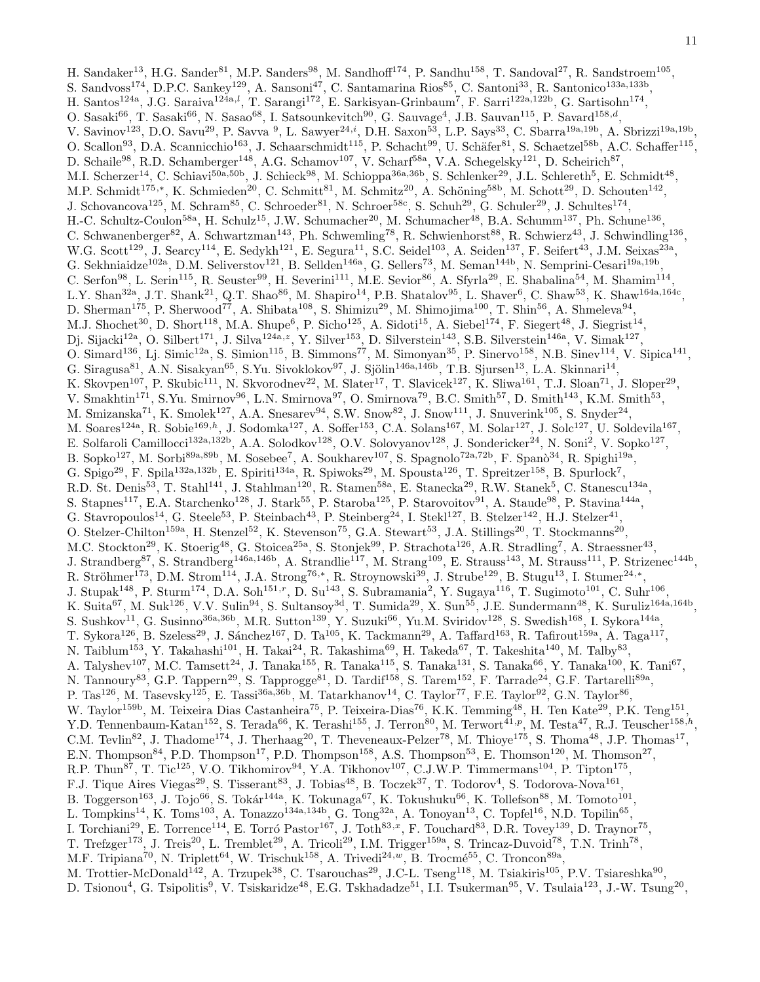H. Sandaker<sup>13</sup>, H.G. Sander<sup>81</sup>, M.P. Sanders<sup>98</sup>, M. Sandhoff<sup>174</sup>, P. Sandhu<sup>158</sup>, T. Sandoval<sup>27</sup>, R. Sandstroem<sup>105</sup>, S. Sandvoss<sup>174</sup>, D.P.C. Sankey<sup>129</sup>, A. Sansoni<sup>47</sup>, C. Santamarina Rios<sup>85</sup>, C. Santoni<sup>33</sup>, R. Santonico<sup>133a,133b</sup>, H. Santos<sup>124a</sup>, J.G. Saraiva<sup>124a, l</sup>, T. Sarangi<sup>172</sup>, E. Sarkisyan-Grinbaum<sup>7</sup>, F. Sarri<sup>122a,122b</sup>, G. Sartisohn<sup>174</sup>, O. Sasaki<sup>66</sup>, T. Sasaki<sup>66</sup>, N. Sasao<sup>68</sup>, I. Satsounkevitch<sup>90</sup>, G. Sauvage<sup>4</sup>, J.B. Sauvan<sup>115</sup>, P. Savard<sup>158,d</sup>, V. Savinov<sup>123</sup>, D.O. Savu<sup>29</sup>, P. Savva <sup>9</sup>, L. Sawyer<sup>24,*i*</sup>, D.H. Saxon<sup>53</sup>, L.P. Says<sup>33</sup>, C. Sbarra<sup>19a,19b</sup>, A. Sbrizzi<sup>19a,19b</sup>, O. Scallon<sup>93</sup>, D.A. Scannicchio<sup>163</sup>, J. Schaarschmidt<sup>115</sup>, P. Schacht<sup>99</sup>, U. Schäfer<sup>81</sup>, S. Schaetzel<sup>58b</sup>, A.C. Schaffer<sup>115</sup>, D. Schaile<sup>98</sup>, R.D. Schamberger<sup>148</sup>, A.G. Schamov<sup>107</sup>, V. Scharf<sup>58a</sup>, V.A. Schegelsky<sup>121</sup>, D. Scheirich<sup>87</sup>, M.I. Scherzer<sup>14</sup>, C. Schiavi<sup>50a,50b</sup>, J. Schieck<sup>98</sup>, M. Schioppa<sup>36a,36b</sup>, S. Schlenker<sup>29</sup>, J.L. Schlereth<sup>5</sup>, E. Schmidt<sup>48</sup>, M.P. Schmidt<sup>175,\*</sup>, K. Schmieden<sup>20</sup>, C. Schmitt<sup>81</sup>, M. Schmitz<sup>20</sup>, A. Schöning<sup>58b</sup>, M. Schott<sup>29</sup>, D. Schouten<sup>142</sup>, J. Schovancova<sup>125</sup>, M. Schram<sup>85</sup>, C. Schroeder<sup>81</sup>, N. Schroer<sup>58c</sup>, S. Schuh<sup>29</sup>, G. Schuler<sup>29</sup>, J. Schultes<sup>174</sup>, H.-C. Schultz-Coulon<sup>58a</sup>, H. Schulz<sup>15</sup>, J.W. Schumacher<sup>20</sup>, M. Schumacher<sup>48</sup>, B.A. Schumm<sup>137</sup>, Ph. Schune<sup>136</sup>, C. Schwanenberger<sup>82</sup>, A. Schwartzman<sup>143</sup>, Ph. Schwemling<sup>78</sup>, R. Schwienhorst<sup>88</sup>, R. Schwierz<sup>43</sup>, J. Schwindling<sup>136</sup>, W.G. Scott<sup>129</sup>, J. Searcy<sup>114</sup>, E. Sedykh<sup>121</sup>, E. Segura<sup>11</sup>, S.C. Seidel<sup>103</sup>, A. Seiden<sup>137</sup>, F. Seifert<sup>43</sup>, J.M. Seixas<sup>23a</sup>, G. Sekhniaidze<sup>102a</sup>, D.M. Seliverstov<sup>121</sup>, B. Sellden<sup>146a</sup>, G. Sellers<sup>73</sup>, M. Seman<sup>144b</sup>, N. Semprini-Cesari<sup>19a,19b</sup>, C. Serfon<sup>98</sup>, L. Serin<sup>115</sup>, R. Seuster<sup>99</sup>, H. Severini<sup>111</sup>, M.E. Sevior<sup>86</sup>, A. Sfyrla<sup>29</sup>, E. Shabalina<sup>54</sup>, M. Shamim<sup>114</sup>, L.Y. Shan<sup>32a</sup>, J.T. Shank<sup>21</sup>, Q.T. Shao<sup>86</sup>, M. Shapiro<sup>14</sup>, P.B. Shatalov<sup>95</sup>, L. Shaver<sup>6</sup>, C. Shaw<sup>53</sup>, K. Shaw<sup>164a,164c</sup>, D. Sherman<sup>175</sup>, P. Sherwood<sup>77</sup>, A. Shibata<sup>108</sup>, S. Shimizu<sup>29</sup>, M. Shimojima<sup>100</sup>, T. Shin<sup>56</sup>, A. Shmeleva<sup>94</sup>, M.J. Shochet<sup>30</sup>, D. Short<sup>118</sup>, M.A. Shupe<sup>6</sup>, P. Sicho<sup>125</sup>, A. Sidoti<sup>15</sup>, A. Siebel<sup>174</sup>, F. Siegert<sup>48</sup>, J. Siegrist<sup>14</sup>, Dj. Sijacki<sup>12a</sup>, O. Silbert<sup>171</sup>, J. Silva<sup>124a,z</sup>, Y. Silver<sup>153</sup>, D. Silverstein<sup>143</sup>, S.B. Silverstein<sup>146a</sup>, V. Simak<sup>127</sup>, O. Simard<sup>136</sup>, Lj. Simic<sup>12a</sup>, S. Simion<sup>115</sup>, B. Simmons<sup>77</sup>, M. Simonyan<sup>35</sup>, P. Sinervo<sup>158</sup>, N.B. Sinev<sup>114</sup>, V. Sipica<sup>141</sup>, G. Siragusa $^{81}$ , A.N. Sisakyan $^{65}$ , S.Yu. Sivoklokov $^{97}$ , J. Sjölin $^{146a,146b}$ , T.B. Sjursen $^{13}$ , L.A. Skinnari $^{14}$ , K. Skovpen<sup>107</sup>, P. Skubic<sup>111</sup>, N. Skvorodnev<sup>22</sup>, M. Slater<sup>17</sup>, T. Slavicek<sup>127</sup>, K. Sliwa<sup>161</sup>, T.J. Sloan<sup>71</sup>, J. Sloper<sup>29</sup>, V. Smakhtin<sup>171</sup>, S.Yu. Smirnov<sup>96</sup>, L.N. Smirnova<sup>97</sup>, O. Smirnova<sup>79</sup>, B.C. Smith<sup>57</sup>, D. Smith<sup>143</sup>, K.M. Smith<sup>53</sup>, M. Smizanska<sup>71</sup>, K. Smolek<sup>127</sup>, A.A. Snesarev<sup>94</sup>, S.W. Snow<sup>82</sup>, J. Snow<sup>111</sup>, J. Snuverink<sup>105</sup>, S. Snyder<sup>24</sup>, M. Soares<sup>124a</sup>, R. Sobie<sup>169,h</sup>, J. Sodomka<sup>127</sup>, A. Soffer<sup>153</sup>, C.A. Solans<sup>167</sup>, M. Solar<sup>127</sup>, J. Solc<sup>127</sup>, U. Soldevila<sup>167</sup>, E. Solfaroli Camillocci<sup>132a,132b</sup>, A.A. Solodkov<sup>128</sup>, O.V. Solovyanov<sup>128</sup>, J. Sondericker<sup>24</sup>, N. Soni<sup>2</sup>, V. Sopko<sup>127</sup>, B. Sopko<sup>127</sup>, M. Sorbi<sup>89a,89b</sup>, M. Sosebee<sup>7</sup>, A. Soukharev<sup>107</sup>, S. Spagnolo<sup>72a,72b</sup>, F. Spanò<sup>34</sup>, R. Spighi<sup>19a</sup>, G. Spigo<sup>29</sup>, F. Spila<sup>132a,132b</sup>, E. Spiriti<sup>134a</sup>, R. Spiwoks<sup>29</sup>, M. Spousta<sup>126</sup>, T. Spreitzer<sup>158</sup>, B. Spurlock<sup>7</sup>, R.D. St. Denis<sup>53</sup>, T. Stahl<sup>141</sup>, J. Stahlman<sup>120</sup>, R. Stamen<sup>58a</sup>, E. Stanecka<sup>29</sup>, R.W. Stanek<sup>5</sup>, C. Stanescu<sup>134a</sup>, S. Stapnes<sup>117</sup>, E.A. Starchenko<sup>128</sup>, J. Stark<sup>55</sup>, P. Staroba<sup>125</sup>, P. Starovoitov<sup>91</sup>, A. Staude<sup>98</sup>, P. Stavina<sup>144a</sup>, G. Stavropoulos<sup>14</sup>, G. Steele<sup>53</sup>, P. Steinbach<sup>43</sup>, P. Steinberg<sup>24</sup>, I. Stekl<sup>127</sup>, B. Stelzer<sup>142</sup>, H.J. Stelzer<sup>41</sup>, O. Stelzer-Chilton<sup>159a</sup>, H. Stenzel<sup>52</sup>, K. Stevenson<sup>75</sup>, G.A. Stewart<sup>53</sup>, J.A. Stillings<sup>20</sup>, T. Stockmanns<sup>20</sup>, M.C. Stockton<sup>29</sup>, K. Stoerig<sup>48</sup>, G. Stoicea<sup>25a</sup>, S. Stonjek<sup>99</sup>, P. Strachota<sup>126</sup>, A.R. Stradling<sup>7</sup>, A. Straessner<sup>43</sup>, J. Strandberg<sup>87</sup>, S. Strandberg<sup>146a,146b</sup>, A. Strandlie<sup>117</sup>, M. Strang<sup>109</sup>, E. Strauss<sup>143</sup>, M. Strauss<sup>111</sup>, P. Strizenec<sup>144b</sup>, R. Ströhmer<sup>173</sup>, D.M. Strom<sup>114</sup>, J.A. Strong<sup>76,\*</sup>, R. Stroynowski<sup>39</sup>, J. Strube<sup>129</sup>, B. Stugu<sup>13</sup>, I. Stumer<sup>24,\*</sup>, J. Stupak<sup>148</sup>, P. Sturm<sup>174</sup>, D.A. Soh<sup>151,r</sup>, D. Su<sup>143</sup>, S. Subramania<sup>2</sup>, Y. Sugaya<sup>116</sup>, T. Sugimoto<sup>101</sup>, C. Suhr<sup>106</sup>, K. Suita<sup>67</sup>, M. Suk<sup>126</sup>, V.V. Sulin<sup>94</sup>, S. Sultansoy<sup>3d</sup>, T. Sumida<sup>29</sup>, X. Sun<sup>55</sup>, J.E. Sundermann<sup>48</sup>, K. Suruliz<sup>164a,164b</sup>, S. Sushkov<sup>11</sup>, G. Susinno<sup>36a,36b</sup>, M.R. Sutton<sup>139</sup>, Y. Suzuki<sup>66</sup>, Yu.M. Sviridov<sup>128</sup>, S. Swedish<sup>168</sup>, I. Sykora<sup>144a</sup>, T. Sykora<sup>126</sup>, B. Szeless<sup>29</sup>, J. Sánchez<sup>167</sup>, D. Ta<sup>105</sup>, K. Tackmann<sup>29</sup>, A. Taffard<sup>163</sup>, R. Tafirout<sup>159a</sup>, A. Taga<sup>117</sup>, N. Taiblum<sup>153</sup>, Y. Takahashi<sup>101</sup>, H. Takai<sup>24</sup>, R. Takashima<sup>69</sup>, H. Takeda<sup>67</sup>, T. Takeshita<sup>140</sup>, M. Talby<sup>83</sup>, A. Talyshev<sup>107</sup>, M.C. Tamsett<sup>24</sup>, J. Tanaka<sup>155</sup>, R. Tanaka<sup>115</sup>, S. Tanaka<sup>131</sup>, S. Tanaka<sup>66</sup>, Y. Tanaka<sup>100</sup>, K. Tani<sup>67</sup>, N. Tannoury<sup>83</sup>, G.P. Tappern<sup>29</sup>, S. Tapprogge<sup>81</sup>, D. Tardif<sup>158</sup>, S. Tarem<sup>152</sup>, F. Tarrade<sup>24</sup>, G.F. Tartarelli<sup>89a</sup>, P. Tas<sup>126</sup>, M. Tasevsky<sup>125</sup>, E. Tassi<sup>36a,36b</sup>, M. Tatarkhanov<sup>14</sup>, C. Taylor<sup>77</sup>, F.E. Taylor<sup>92</sup>, G.N. Taylor<sup>86</sup>, W. Taylor<sup>159b</sup>, M. Teixeira Dias Castanheira<sup>75</sup>, P. Teixeira-Dias<sup>76</sup>, K.K. Temming<sup>48</sup>, H. Ten Kate<sup>29</sup>, P.K. Teng<sup>151</sup>, Y.D. Tennenbaum-Katan<sup>152</sup>, S. Terada<sup>66</sup>, K. Terashi<sup>155</sup>, J. Terron<sup>80</sup>, M. Terwort<sup>41,p</sup>, M. Testa<sup>47</sup>, R.J. Teuscher<sup>158,h</sup>, C.M. Tevlin<sup>82</sup>, J. Thadome<sup>174</sup>, J. Therhaag<sup>20</sup>, T. Theveneaux-Pelzer<sup>78</sup>, M. Thioye<sup>175</sup>, S. Thoma<sup>48</sup>, J.P. Thomas<sup>17</sup>, E.N. Thompson<sup>84</sup>, P.D. Thompson<sup>17</sup>, P.D. Thompson<sup>158</sup>, A.S. Thompson<sup>53</sup>, E. Thomson<sup>120</sup>, M. Thomson<sup>27</sup>, R.P. Thun<sup>87</sup>, T. Tic<sup>125</sup>, V.O. Tikhomirov<sup>94</sup>, Y.A. Tikhonov<sup>107</sup>, C.J.W.P. Timmermans<sup>104</sup>, P. Tipton<sup>175</sup>, F.J. Tique Aires Viegas<sup>29</sup>, S. Tisserant<sup>83</sup>, J. Tobias<sup>48</sup>, B. Toczek<sup>37</sup>, T. Todorov<sup>4</sup>, S. Todorova-Nova<sup>161</sup>, B. Toggerson<sup>163</sup>, J. Tojo<sup>66</sup>, S. Tokár<sup>144a</sup>, K. Tokunaga<sup>67</sup>, K. Tokushuku<sup>66</sup>, K. Tollefson<sup>88</sup>, M. Tomoto<sup>101</sup>, L. Tompkins<sup>14</sup>, K. Toms<sup>103</sup>, A. Tonazzo<sup>134a,134b</sup>, G. Tong<sup>32a</sup>, A. Tonoyan<sup>13</sup>, C. Topfel<sup>16</sup>, N.D. Topilin<sup>65</sup>, I. Torchiani<sup>29</sup>, E. Torrence<sup>114</sup>, E. Torró Pastor<sup>167</sup>, J. Toth<sup>83,x</sup>, F. Touchard<sup>83</sup>, D.R. Tovey<sup>139</sup>, D. Traynor<sup>75</sup>, T. Trefzger<sup>173</sup>, J. Treis<sup>20</sup>, L. Tremblet<sup>29</sup>, A. Tricoli<sup>29</sup>, I.M. Trigger<sup>159a</sup>, S. Trincaz-Duvoid<sup>78</sup>, T.N. Trinh<sup>78</sup>, M.F. Tripiana<sup>70</sup>, N. Triplett<sup>64</sup>, W. Trischuk<sup>158</sup>, A. Trivedi<sup>24,w</sup>, B. Trocmé<sup>55</sup>, C. Troncon<sup>89a</sup>, M. Trottier-McDonald<sup>142</sup>, A. Trzupek<sup>38</sup>, C. Tsarouchas<sup>29</sup>, J.C-L. Tseng<sup>118</sup>, M. Tsiakiris<sup>105</sup>, P.V. Tsiareshka<sup>90</sup>, D. Tsionou<sup>4</sup>, G. Tsipolitis<sup>9</sup>, V. Tsiskaridze<sup>48</sup>, E.G. Tskhadadze<sup>51</sup>, I.I. Tsukerman<sup>95</sup>, V. Tsulaia<sup>123</sup>, J.-W. Tsung<sup>20</sup>,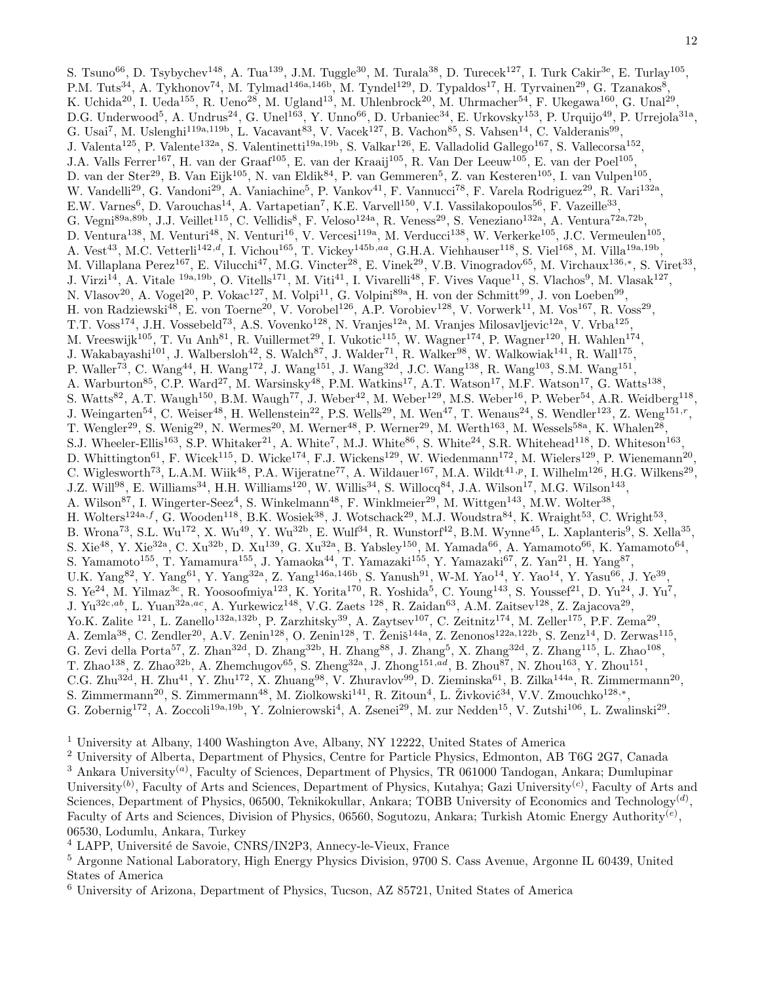S. Tsuno<sup>66</sup>, D. Tsybychev<sup>148</sup>, A. Tua<sup>139</sup>, J.M. Tuggle<sup>30</sup>, M. Turala<sup>38</sup>, D. Turecek<sup>127</sup>, I. Turk Cakir<sup>3e</sup>, E. Turlay<sup>105</sup>, P.M. Tuts<sup>34</sup>, A. Tykhonov<sup>74</sup>, M. Tylmad<sup>146a,146b</sup>, M. Tyndel<sup>129</sup>, D. Typaldos<sup>17</sup>, H. Tyrvainen<sup>29</sup>, G. Tzanakos<sup>8</sup>, K. Uchida<sup>20</sup>, I. Ueda<sup>155</sup>, R. Ueno<sup>28</sup>, M. Ugland<sup>13</sup>, M. Uhlenbrock<sup>20</sup>, M. Uhrmacher<sup>54</sup>, F. Ukegawa<sup>160</sup>, G. Unal<sup>29</sup>, D.G. Underwood<sup>5</sup>, A. Undrus<sup>24</sup>, G. Unel<sup>163</sup>, Y. Unno<sup>66</sup>, D. Urbaniec<sup>34</sup>, E. Urkovsky<sup>153</sup>, P. Urquijo<sup>49</sup>, P. Urrejola<sup>31a</sup>, G. Usai<sup>7</sup>, M. Uslenghi<sup>119a,119b</sup>, L. Vacavant<sup>83</sup>, V. Vacek<sup>127</sup>, B. Vachon<sup>85</sup>, S. Vahsen<sup>14</sup>, C. Valderanis<sup>99</sup>, J. Valenta<sup>125</sup>, P. Valente<sup>132a</sup>, S. Valentinetti<sup>19a,19b</sup>, S. Valkar<sup>126</sup>, E. Valladolid Gallego<sup>167</sup>, S. Vallecorsa<sup>152</sup>, J.A. Valls Ferrer<sup>167</sup>, H. van der Graaf<sup>105</sup>, E. van der Kraaij<sup>105</sup>, R. Van Der Leeuw<sup>105</sup>, E. van der Poel<sup>105</sup>, D. van der Ster<sup>29</sup>, B. Van Eijk<sup>105</sup>, N. van Eldik<sup>84</sup>, P. van Gemmeren<sup>5</sup>, Z. van Kesteren<sup>105</sup>, I. van Vulpen<sup>105</sup>, W. Vandelli<sup>29</sup>, G. Vandoni<sup>29</sup>, A. Vaniachine<sup>5</sup>, P. Vankov<sup>41</sup>, F. Vannucci<sup>78</sup>, F. Varela Rodriguez<sup>29</sup>, R. Vari<sup>132a</sup>, E.W. Varnes<sup>6</sup>, D. Varouchas<sup>14</sup>, A. Vartapetian<sup>7</sup>, K.E. Varvell<sup>150</sup>, V.I. Vassilakopoulos<sup>56</sup>, F. Vazeille<sup>33</sup>, G. Vegni<sup>89a,89b</sup>, J.J. Veillet<sup>115</sup>, C. Vellidis<sup>8</sup>, F. Veloso<sup>124a</sup>, R. Veness<sup>29</sup>, S. Veneziano<sup>132a</sup>, A. Ventura<sup>72a,72b</sup>, D. Ventura<sup>138</sup>, M. Venturi<sup>48</sup>, N. Venturi<sup>16</sup>, V. Vercesi<sup>119a</sup>, M. Verducci<sup>138</sup>, W. Verkerke<sup>105</sup>, J.C. Vermeulen<sup>105</sup>, A. Vest<sup>43</sup>, M.C. Vetterli<sup>142,d</sup>, I. Vichou<sup>165</sup>, T. Vickey<sup>145b,aa</sup>, G.H.A. Viehhauser<sup>118</sup>, S. Viel<sup>168</sup>, M. Villa<sup>19a,19b</sup>, M. Villaplana Perez<sup>167</sup>, E. Vilucchi<sup>47</sup>, M.G. Vincter<sup>28</sup>, E. Vinek<sup>29</sup>, V.B. Vinogradov<sup>65</sup>, M. Virchaux<sup>136,∗</sup>, S. Viret<sup>33</sup>, J. Virzi<sup>14</sup>, A. Vitale <sup>19a, 19b</sup>, O. Vitells<sup>171</sup>, M. Viti<sup>41</sup>, I. Vivarelli<sup>48</sup>, F. Vives Vaque<sup>11</sup>, S. Vlachos<sup>9</sup>, M. Vlasak<sup>127</sup>, N. Vlasov<sup>20</sup>, A. Vogel<sup>20</sup>, P. Vokac<sup>127</sup>, M. Volpi<sup>11</sup>, G. Volpini<sup>89a</sup>, H. von der Schmitt<sup>99</sup>, J. von Loeben<sup>99</sup>, H. von Radziewski<sup>48</sup>, E. von Toerne<sup>20</sup>, V. Vorobel<sup>126</sup>, A.P. Vorobiev<sup>128</sup>, V. Vorwerk<sup>11</sup>, M. Vos<sup>167</sup>, R. Voss<sup>29</sup>, T.T. Voss<sup>174</sup>, J.H. Vossebeld<sup>73</sup>, A.S. Vovenko<sup>128</sup>, N. Vranjes<sup>12a</sup>, M. Vranjes Milosavljevic<sup>12a</sup>, V. Vrba<sup>125</sup>, M. Vreeswijk<sup>105</sup>, T. Vu Anh<sup>81</sup>, R. Vuillermet<sup>29</sup>, I. Vukotic<sup>115</sup>, W. Wagner<sup>174</sup>, P. Wagner<sup>120</sup>, H. Wahlen<sup>174</sup>, J. Wakabayashi<sup>101</sup>, J. Walbersloh<sup>42</sup>, S. Walch<sup>87</sup>, J. Walder<sup>71</sup>, R. Walker<sup>98</sup>, W. Walkowiak<sup>141</sup>, R. Wall<sup>175</sup>, P. Waller<sup>73</sup>, C. Wang<sup>44</sup>, H. Wang<sup>172</sup>, J. Wang<sup>151</sup>, J. Wang<sup>32d</sup>, J.C. Wang<sup>138</sup>, R. Wang<sup>103</sup>, S.M. Wang<sup>151</sup>, A. Warburton<sup>85</sup>, C.P. Ward<sup>27</sup>, M. Warsinsky<sup>48</sup>, P.M. Watkins<sup>17</sup>, A.T. Watson<sup>17</sup>, M.F. Watson<sup>17</sup>, G. Watts<sup>138</sup>, S. Watts<sup>82</sup>, A.T. Waugh<sup>150</sup>, B.M. Waugh<sup>77</sup>, J. Weber<sup>42</sup>, M. Weber<sup>129</sup>, M.S. Weber<sup>16</sup>, P. Weber<sup>54</sup>, A.R. Weidberg<sup>118</sup>, J. Weingarten<sup>54</sup>, C. Weiser<sup>48</sup>, H. Wellenstein<sup>22</sup>, P.S. Wells<sup>29</sup>, M. Wen<sup>47</sup>, T. Wenaus<sup>24</sup>, S. Wendler<sup>123</sup>, Z. Weng<sup>151,r</sup>, T. Wengler<sup>29</sup>, S. Wenig<sup>29</sup>, N. Wermes<sup>20</sup>, M. Werner<sup>48</sup>, P. Werner<sup>29</sup>, M. Werth<sup>163</sup>, M. Wessels<sup>58a</sup>, K. Whalen<sup>28</sup>, S.J. Wheeler-Ellis<sup>163</sup>, S.P. Whitaker<sup>21</sup>, A. White<sup>7</sup>, M.J. White<sup>86</sup>, S. White<sup>24</sup>, S.R. Whitehead<sup>118</sup>, D. Whiteson<sup>163</sup>, D. Whittington<sup>61</sup>, F. Wicek<sup>115</sup>, D. Wicke<sup>174</sup>, F.J. Wickens<sup>129</sup>, W. Wiedenmann<sup>172</sup>, M. Wielers<sup>129</sup>, P. Wienemann<sup>20</sup>, C. Wiglesworth<sup>73</sup>, L.A.M. Wiik<sup>48</sup>, P.A. Wijeratne<sup>77</sup>, A. Wildauer<sup>167</sup>, M.A. Wildt<sup>41,p</sup>, I. Wilhelm<sup>126</sup>, H.G. Wilkens<sup>29</sup>, J.Z. Will<sup>98</sup>, E. Williams<sup>34</sup>, H.H. Williams<sup>120</sup>, W. Willis<sup>34</sup>, S. Willocq<sup>84</sup>, J.A. Wilson<sup>17</sup>, M.G. Wilson<sup>143</sup>, A. Wilson<sup>87</sup>, I. Wingerter-Seez<sup>4</sup>, S. Winkelmann<sup>48</sup>, F. Winklmeier<sup>29</sup>, M. Wittgen<sup>143</sup>, M.W. Wolter<sup>38</sup>, H. Wolters<sup>124a,f</sup>, G. Wooden<sup>118</sup>, B.K. Wosiek<sup>38</sup>, J. Wotschack<sup>29</sup>, M.J. Woudstra<sup>84</sup>, K. Wraight<sup>53</sup>, C. Wright<sup>53</sup>, B. Wrona<sup>73</sup>, S.L. Wu<sup>172</sup>, X. Wu<sup>49</sup>, Y. Wu<sup>32b</sup>, E. Wulf<sup>34</sup>, R. Wunstorf<sup>42</sup>, B.M. Wynne<sup>45</sup>, L. Xaplanteris<sup>9</sup>, S. Xella<sup>35</sup>, S. Xie<sup>48</sup>, Y. Xie<sup>32a</sup>, C. Xu<sup>32b</sup>, D. Xu<sup>139</sup>, G. Xu<sup>32a</sup>, B. Yabsley<sup>150</sup>, M. Yamada<sup>66</sup>, A. Yamamoto<sup>66</sup>, K. Yamamoto<sup>64</sup>, S. Yamamoto<sup>155</sup>, T. Yamamura<sup>155</sup>, J. Yamaoka<sup>44</sup>, T. Yamazaki<sup>155</sup>, Y. Yamazaki<sup>67</sup>, Z. Yan<sup>21</sup>, H. Yang<sup>87</sup>, U.K. Yang<sup>82</sup>, Y. Yang<sup>61</sup>, Y. Yang<sup>32a</sup>, Z. Yang<sup>146a,146b</sup>, S. Yanush<sup>91</sup>, W-M. Yao<sup>14</sup>, Y. Yao<sup>14</sup>, Y. Yasu<sup>66</sup>, J. Ye<sup>39</sup>, S. Ye<sup>24</sup>, M. Yilmaz<sup>3c</sup>, R. Yoosoofmiya<sup>123</sup>, K. Yorita<sup>170</sup>, R. Yoshida<sup>5</sup>, C. Young<sup>143</sup>, S. Youssef<sup>21</sup>, D. Yu<sup>24</sup>, J. Yu<sup>7</sup>, J. Yu<sup>32c,ab</sup>, L. Yuan<sup>32a,ac</sup>, A. Yurkewicz<sup>148</sup>, V.G. Zaets <sup>128</sup>, R. Zaidan<sup>63</sup>, A.M. Zaitsev<sup>128</sup>, Z. Zajacova<sup>29</sup>, Yo.K. Zalite <sup>121</sup>, L. Zanello<sup>132a,132b</sup>, P. Zarzhitsky<sup>39</sup>, A. Zaytsev<sup>107</sup>, C. Zeitnitz<sup>174</sup>, M. Zeller<sup>175</sup>, P.F. Zema<sup>29</sup>, A. Zemla<sup>38</sup>, C. Zendler<sup>20</sup>, A.V. Zenin<sup>128</sup>, O. Zenin<sup>128</sup>, T. Ženiš<sup>144a</sup>, Z. Zenonos<sup>122a,122b</sup>, S. Zenz<sup>14</sup>, D. Zerwas<sup>115</sup>, G. Zevi della Porta<sup>57</sup>, Z. Zhan<sup>32d</sup>, D. Zhang<sup>32b</sup>, H. Zhang<sup>88</sup>, J. Zhang<sup>5</sup>, X. Zhang<sup>32d</sup>, Z. Zhang<sup>115</sup>, L. Zhao<sup>108</sup>, T. Zhao<sup>138</sup>, Z. Zhao<sup>32b</sup>, A. Zhemchugov<sup>65</sup>, S. Zheng<sup>32a</sup>, J. Zhong<sup>151,ad</sup>, B. Zhou<sup>87</sup>, N. Zhou<sup>163</sup>, Y. Zhou<sup>151</sup>, C.G. Zhu<sup>32d</sup>, H. Zhu<sup>41</sup>, Y. Zhu<sup>172</sup>, X. Zhuang<sup>98</sup>, V. Zhuravlov<sup>99</sup>, D. Zieminska<sup>61</sup>, B. Zilka<sup>144a</sup>, R. Zimmermann<sup>20</sup>, S. Zimmermann<sup>20</sup>, S. Zimmermann<sup>48</sup>, M. Ziolkowski<sup>141</sup>, R. Zitoun<sup>4</sup>, L. Živković<sup>34</sup>, V.V. Zmouchko<sup>128,\*</sup>, G. Zobernig<sup>172</sup>, A. Zoccoli<sup>19a,19b</sup>, Y. Zolnierowski<sup>4</sup>, A. Zsenei<sup>29</sup>, M. zur Nedden<sup>15</sup>, V. Zutshi<sup>106</sup>, L. Zwalinski<sup>29</sup>.

<sup>1</sup> University at Albany, 1400 Washington Ave, Albany, NY 12222, United States of America

<sup>2</sup> University of Alberta, Department of Physics, Centre for Particle Physics, Edmonton, AB T6G 2G7, Canada

 $3$  Ankara University<sup>(a)</sup>, Faculty of Sciences, Department of Physics, TR 061000 Tandogan, Ankara; Dumlupinar University<sup>(b)</sup>, Faculty of Arts and Sciences, Department of Physics, Kutahya; Gazi University<sup>(c)</sup>, Faculty of Arts and Sciences, Department of Physics, 06500, Teknikokullar, Ankara; TOBB University of Economics and Technology<sup>(d)</sup>, Faculty of Arts and Sciences, Division of Physics, 06560, Sogutozu, Ankara; Turkish Atomic Energy Authority<sup>(e)</sup>, 06530, Lodumlu, Ankara, Turkey

<sup>4</sup> LAPP, Université de Savoie, CNRS/IN2P3, Annecy-le-Vieux, France

<sup>5</sup> Argonne National Laboratory, High Energy Physics Division, 9700 S. Cass Avenue, Argonne IL 60439, United States of America

<sup>6</sup> University of Arizona, Department of Physics, Tucson, AZ 85721, United States of America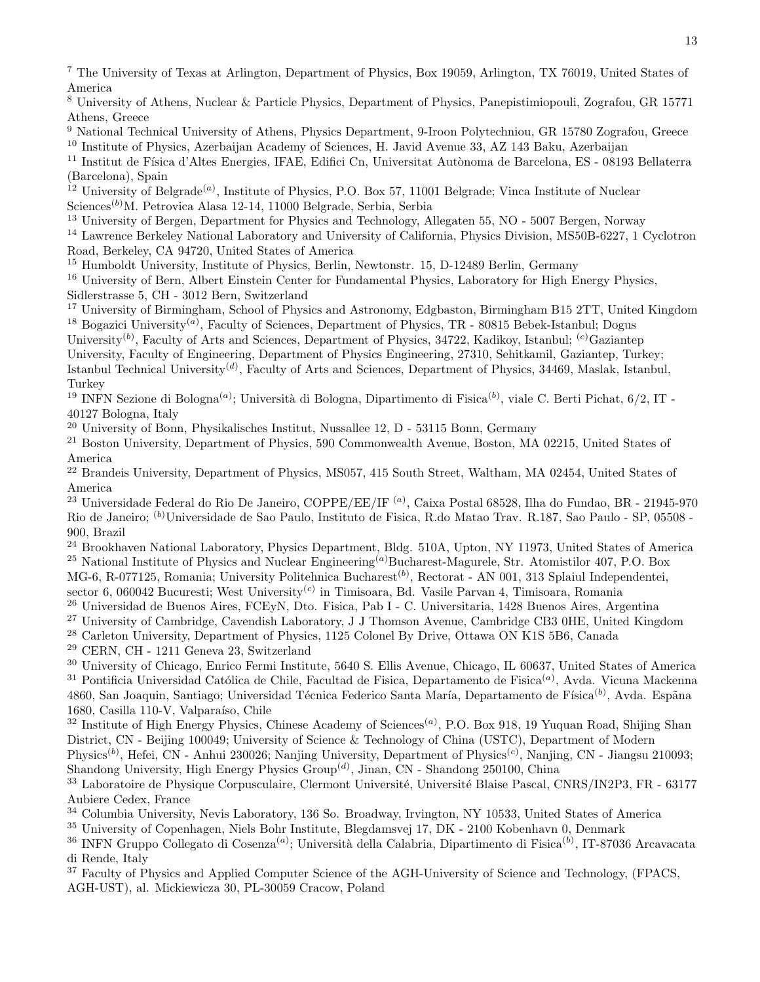<sup>7</sup> The University of Texas at Arlington, Department of Physics, Box 19059, Arlington, TX 76019, United States of America

<sup>8</sup> University of Athens, Nuclear & Particle Physics, Department of Physics, Panepistimiopouli, Zografou, GR 15771 Athens, Greece

<sup>9</sup> National Technical University of Athens, Physics Department, 9-Iroon Polytechniou, GR 15780 Zografou, Greece

<sup>10</sup> Institute of Physics, Azerbaijan Academy of Sciences, H. Javid Avenue 33, AZ 143 Baku, Azerbaijan

<sup>11</sup> Institut de Física d'Altes Energies, IFAE, Edifici Cn, Universitat Autònoma de Barcelona, ES - 08193 Bellaterra (Barcelona), Spain

<sup>12</sup> University of Belgrade<sup>(a)</sup>, Institute of Physics, P.O. Box 57, 11001 Belgrade; Vinca Institute of Nuclear Sciences<sup> $(b)$ </sup>M. Petrovica Alasa 12-14, 11000 Belgrade, Serbia, Serbia

<sup>13</sup> University of Bergen, Department for Physics and Technology, Allegaten 55, NO - 5007 Bergen, Norway

<sup>14</sup> Lawrence Berkeley National Laboratory and University of California, Physics Division, MS50B-6227, 1 Cyclotron Road, Berkeley, CA 94720, United States of America

<sup>15</sup> Humboldt University, Institute of Physics, Berlin, Newtonstr. 15, D-12489 Berlin, Germany

<sup>16</sup> University of Bern, Albert Einstein Center for Fundamental Physics, Laboratory for High Energy Physics, Sidlerstrasse 5, CH - 3012 Bern, Switzerland

<sup>17</sup> University of Birmingham, School of Physics and Astronomy, Edgbaston, Birmingham B15 2TT, United Kingdom <sup>18</sup> Bogazici University<sup>(a)</sup>, Faculty of Sciences, Department of Physics, TR - 80815 Bebek-Istanbul; Dogus

University<sup>(b)</sup>, Faculty of Arts and Sciences, Department of Physics, 34722, Kadikoy, Istanbul; <sup>(c)</sup>Gaziantep University, Faculty of Engineering, Department of Physics Engineering, 27310, Sehitkamil, Gaziantep, Turkey; Istanbul Technical University<sup>(d)</sup>, Faculty of Arts and Sciences, Department of Physics, 34469, Maslak, Istanbul, Turkey

<sup>19</sup> INFN Sezione di Bologna<sup>(a)</sup>; Università di Bologna, Dipartimento di Fisica<sup>(b)</sup>, viale C. Berti Pichat, 6/2, IT -40127 Bologna, Italy

<sup>20</sup> University of Bonn, Physikalisches Institut, Nussallee 12, D - 53115 Bonn, Germany

<sup>21</sup> Boston University, Department of Physics, 590 Commonwealth Avenue, Boston, MA 02215, United States of America

<sup>22</sup> Brandeis University, Department of Physics, MS057, 415 South Street, Waltham, MA 02454, United States of America

 $^{23}$  Universidade Federal do Rio De Janeiro, COPPE/EE/IF  $^{(a)}$ , Caixa Postal 68528, Ilha do Fundao, BR - 21945-970 Rio de Janeiro; (b)Universidade de Sao Paulo, Instituto de Fisica, R.do Matao Trav. R.187, Sao Paulo - SP, 05508 - 900, Brazil

<sup>24</sup> Brookhaven National Laboratory, Physics Department, Bldg. 510A, Upton, NY 11973, United States of America <sup>25</sup> National Institute of Physics and Nuclear Engineering<sup>(a)</sup>Bucharest-Magurele, Str. Atomistilor 407, P.O. Box MG-6, R-077125, Romania; University Politehnica Bucharest<sup>(b)</sup>, Rectorat - AN 001, 313 Splaiul Independentei,

sector 6, 060042 Bucuresti; West University<sup>(c)</sup> in Timisoara, Bd. Vasile Parvan 4, Timisoara, Romania

<sup>26</sup> Universidad de Buenos Aires, FCEyN, Dto. Fisica, Pab I - C. Universitaria, 1428 Buenos Aires, Argentina

<sup>27</sup> University of Cambridge, Cavendish Laboratory, J J Thomson Avenue, Cambridge CB3 0HE, United Kingdom

<sup>28</sup> Carleton University, Department of Physics, 1125 Colonel By Drive, Ottawa ON K1S 5B6, Canada

<sup>29</sup> CERN, CH - 1211 Geneva 23, Switzerland

<sup>30</sup> University of Chicago, Enrico Fermi Institute, 5640 S. Ellis Avenue, Chicago, IL 60637, United States of America  $^{31}$  Pontificia Universidad Católica de Chile, Facultad de Fisica, Departamento de Fisica<sup>(a)</sup>, Avda. Vicuna Mackenna 4860, San Joaquin, Santiago; Universidad Técnica Federico Santa María, Departamento de Física<sup>(b)</sup>, Avda. Espãna 1680, Casilla 110-V, Valparaíso, Chile

 $32$  Institute of High Energy Physics, Chinese Academy of Sciences<sup>(a)</sup>, P.O. Box 918, 19 Yuquan Road, Shijing Shan District, CN - Beijing 100049; University of Science & Technology of China (USTC), Department of Modern

Physics<sup>(b)</sup>, Hefei, CN - Anhui 230026; Nanjing University, Department of Physics<sup>(c)</sup>, Nanjing, CN - Jiangsu 210093; Shandong University, High Energy Physics  $Group^{(d)}$ , Jinan, CN - Shandong 250100, China

<sup>33</sup> Laboratoire de Physique Corpusculaire, Clermont Université, Université Blaise Pascal, CNRS/IN2P3, FR - 63177 Aubiere Cedex, France

<sup>34</sup> Columbia University, Nevis Laboratory, 136 So. Broadway, Irvington, NY 10533, United States of America

<sup>35</sup> University of Copenhagen, Niels Bohr Institute, Blegdamsvej 17, DK - 2100 Kobenhavn 0, Denmark

 $^{36}$  INFN Gruppo Collegato di Cosenza $^{(a)}$ ; Università della Calabria, Dipartimento di Fisica $^{(b)}$ , IT-87036 Arcavacata di Rende, Italy

<sup>37</sup> Faculty of Physics and Applied Computer Science of the AGH-University of Science and Technology, (FPACS, AGH-UST), al. Mickiewicza 30, PL-30059 Cracow, Poland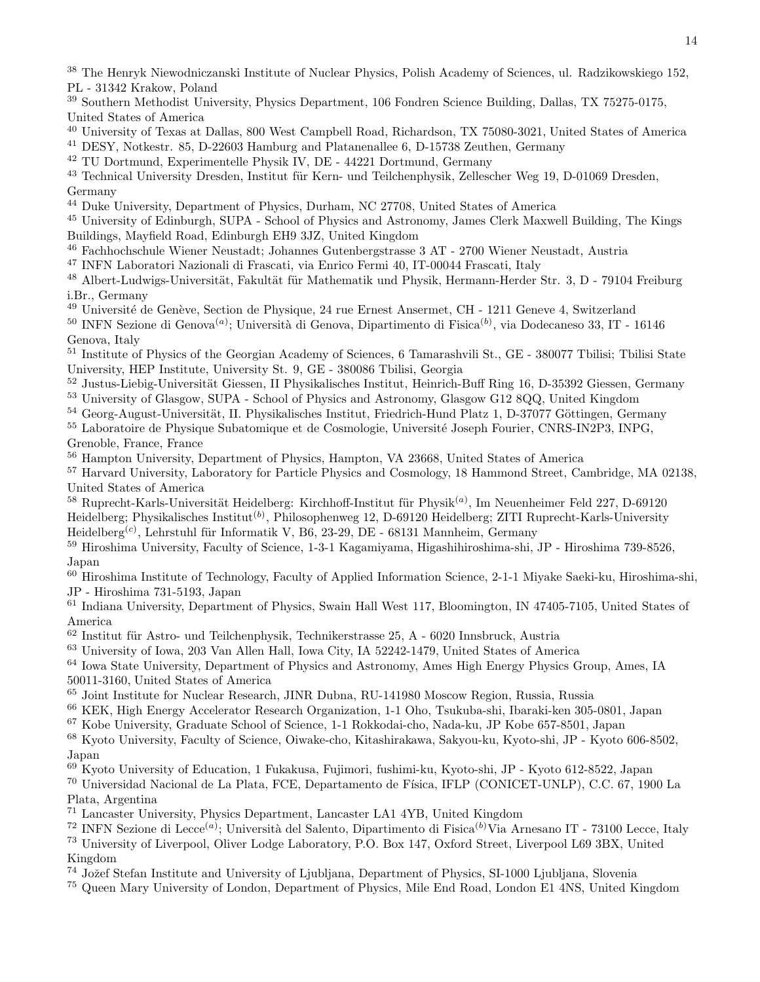<sup>38</sup> The Henryk Niewodniczanski Institute of Nuclear Physics, Polish Academy of Sciences, ul. Radzikowskiego 152, PL - 31342 Krakow, Poland

- <sup>39</sup> Southern Methodist University, Physics Department, 106 Fondren Science Building, Dallas, TX 75275-0175, United States of America
- <sup>40</sup> University of Texas at Dallas, 800 West Campbell Road, Richardson, TX 75080-3021, United States of America

<sup>41</sup> DESY, Notkestr. 85, D-22603 Hamburg and Platanenallee 6, D-15738 Zeuthen, Germany

<sup>42</sup> TU Dortmund, Experimentelle Physik IV, DE - 44221 Dortmund, Germany

<sup>43</sup> Technical University Dresden, Institut für Kern- und Teilchenphysik, Zellescher Weg 19, D-01069 Dresden, Germany

<sup>44</sup> Duke University, Department of Physics, Durham, NC 27708, United States of America

<sup>45</sup> University of Edinburgh, SUPA - School of Physics and Astronomy, James Clerk Maxwell Building, The Kings Buildings, Mayfield Road, Edinburgh EH9 3JZ, United Kingdom

<sup>46</sup> Fachhochschule Wiener Neustadt; Johannes Gutenbergstrasse 3 AT - 2700 Wiener Neustadt, Austria

<sup>47</sup> INFN Laboratori Nazionali di Frascati, via Enrico Fermi 40, IT-00044 Frascati, Italy

<sup>48</sup> Albert-Ludwigs-Universität, Fakultät für Mathematik und Physik, Hermann-Herder Str. 3, D - 79104 Freiburg i.Br., Germany

 $^{49}$ Université de Genève, Section de Physique, 24 rue Ernest Ansermet, CH - 1211 Geneve 4, Switzerland

<sup>50</sup> INFN Sezione di Genova<sup>(a)</sup>; Università di Genova, Dipartimento di Fisica<sup>(b)</sup>, via Dodecaneso 33, IT - 16146 Genova, Italy

<sup>51</sup> Institute of Physics of the Georgian Academy of Sciences, 6 Tamarashvili St., GE - 380077 Tbilisi; Tbilisi State University, HEP Institute, University St. 9, GE - 380086 Tbilisi, Georgia

<sup>52</sup> Justus-Liebig-Universität Giessen, II Physikalisches Institut, Heinrich-Buff Ring 16, D-35392 Giessen, Germany

<sup>53</sup> University of Glasgow, SUPA - School of Physics and Astronomy, Glasgow G12 8QQ, United Kingdom

<sup>54</sup> Georg-August-Universität, II. Physikalisches Institut, Friedrich-Hund Platz 1, D-37077 Göttingen, Germany

<sup>55</sup> Laboratoire de Physique Subatomique et de Cosmologie, Université Joseph Fourier, CNRS-IN2P3, INPG, Grenoble, France, France

<sup>56</sup> Hampton University, Department of Physics, Hampton, VA 23668, United States of America

<sup>57</sup> Harvard University, Laboratory for Particle Physics and Cosmology, 18 Hammond Street, Cambridge, MA 02138, United States of America

<sup>58</sup> Ruprecht-Karls-Universität Heidelberg: Kirchhoff-Institut für Physik<sup>(a)</sup>, Im Neuenheimer Feld 227, D-69120 Heidelberg; Physikalisches Institut<sup>(b)</sup>, Philosophenweg 12, D-69120 Heidelberg; ZITI Ruprecht-Karls-University Heidelberg<sup>(c)</sup>, Lehrstuhl für Informatik V, B6, 23-29, DE - 68131 Mannheim, Germany

<sup>59</sup> Hiroshima University, Faculty of Science, 1-3-1 Kagamiyama, Higashihiroshima-shi, JP - Hiroshima 739-8526, Japan

<sup>60</sup> Hiroshima Institute of Technology, Faculty of Applied Information Science, 2-1-1 Miyake Saeki-ku, Hiroshima-shi, JP - Hiroshima 731-5193, Japan

<sup>61</sup> Indiana University, Department of Physics, Swain Hall West 117, Bloomington, IN 47405-7105, United States of America

 $62$  Institut für Astro- und Teilchenphysik, Technikerstrasse 25, A - 6020 Innsbruck, Austria

<sup>63</sup> University of Iowa, 203 Van Allen Hall, Iowa City, IA 52242-1479, United States of America

<sup>64</sup> Iowa State University, Department of Physics and Astronomy, Ames High Energy Physics Group, Ames, IA 50011-3160, United States of America

<sup>65</sup> Joint Institute for Nuclear Research, JINR Dubna, RU-141980 Moscow Region, Russia, Russia

<sup>66</sup> KEK, High Energy Accelerator Research Organization, 1-1 Oho, Tsukuba-shi, Ibaraki-ken 305-0801, Japan

<sup>67</sup> Kobe University, Graduate School of Science, 1-1 Rokkodai-cho, Nada-ku, JP Kobe 657-8501, Japan

<sup>68</sup> Kyoto University, Faculty of Science, Oiwake-cho, Kitashirakawa, Sakyou-ku, Kyoto-shi, JP - Kyoto 606-8502, Japan

<sup>69</sup> Kyoto University of Education, 1 Fukakusa, Fujimori, fushimi-ku, Kyoto-shi, JP - Kyoto 612-8522, Japan

<sup>70</sup> Universidad Nacional de La Plata, FCE, Departamento de Física, IFLP (CONICET-UNLP), C.C. 67, 1900 La Plata, Argentina

<sup>71</sup> Lancaster University, Physics Department, Lancaster LA1 4YB, United Kingdom

<sup>72</sup> INFN Sezione di Lecce<sup>(a)</sup>; Università del Salento, Dipartimento di Fisica<sup>(b)</sup>Via Arnesano IT - 73100 Lecce, Italy <sup>73</sup> University of Liverpool, Oliver Lodge Laboratory, P.O. Box 147, Oxford Street, Liverpool L69 3BX, United Kingdom

<sup>74</sup> Jožef Stefan Institute and University of Ljubljana, Department of Physics, SI-1000 Ljubljana, Slovenia

<sup>75</sup> Queen Mary University of London, Department of Physics, Mile End Road, London E1 4NS, United Kingdom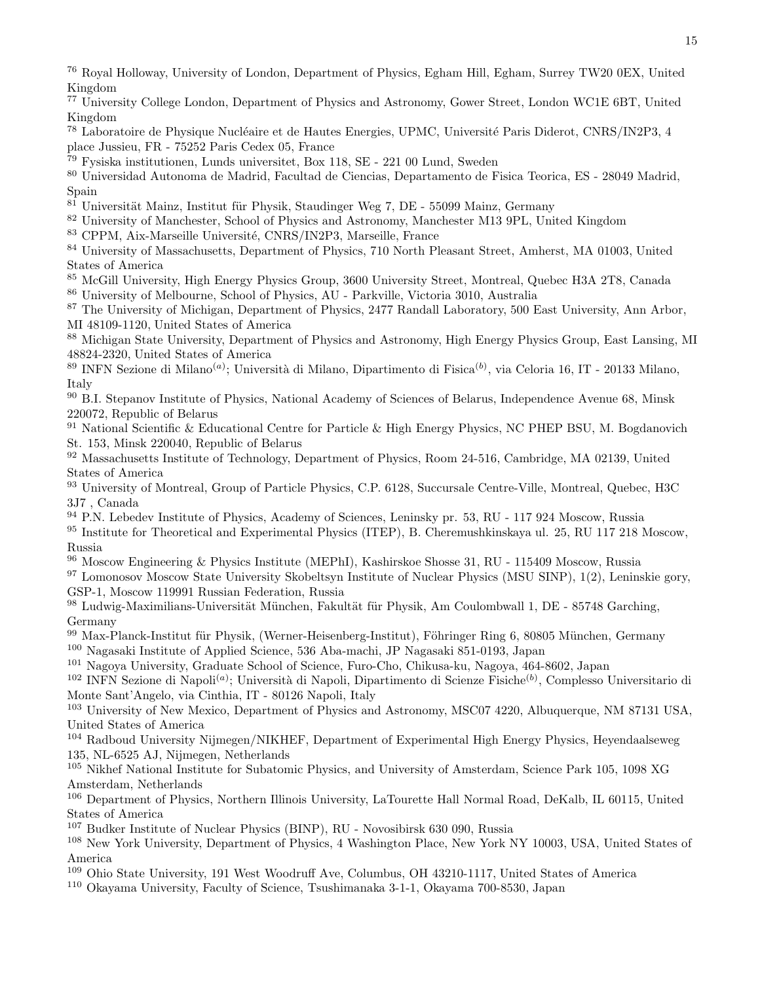<sup>76</sup> Royal Holloway, University of London, Department of Physics, Egham Hill, Egham, Surrey TW20 0EX, United Kingdom

- <sup>77</sup> University College London, Department of Physics and Astronomy, Gower Street, London WC1E 6BT, United Kingdom
- <sup>78</sup> Laboratoire de Physique Nucléaire et de Hautes Energies, UPMC, Université Paris Diderot, CNRS/IN2P3, 4 place Jussieu, FR - 75252 Paris Cedex 05, France

<sup>79</sup> Fysiska institutionen, Lunds universitet, Box 118, SE - 221 00 Lund, Sweden

<sup>80</sup> Universidad Autonoma de Madrid, Facultad de Ciencias, Departamento de Fisica Teorica, ES - 28049 Madrid, Spain

 $81$  Universität Mainz, Institut für Physik, Staudinger Weg 7, DE - 55099 Mainz, Germany

<sup>82</sup> University of Manchester, School of Physics and Astronomy, Manchester M13 9PL, United Kingdom

<sup>83</sup> CPPM, Aix-Marseille Université, CNRS/IN2P3, Marseille, France

<sup>84</sup> University of Massachusetts, Department of Physics, 710 North Pleasant Street, Amherst, MA 01003, United States of America

<sup>85</sup> McGill University, High Energy Physics Group, 3600 University Street, Montreal, Quebec H3A 2T8, Canada <sup>86</sup> University of Melbourne, School of Physics, AU - Parkville, Victoria 3010, Australia

<sup>87</sup> The University of Michigan, Department of Physics, 2477 Randall Laboratory, 500 East University, Ann Arbor, MI 48109-1120, United States of America

<sup>88</sup> Michigan State University, Department of Physics and Astronomy, High Energy Physics Group, East Lansing, MI 48824-2320, United States of America

 $^{89}$  INFN Sezione di Milano<sup>(a)</sup>; Università di Milano, Dipartimento di Fisica<sup>(b)</sup>, via Celoria 16, IT - 20133 Milano, Italy

<sup>90</sup> B.I. Stepanov Institute of Physics, National Academy of Sciences of Belarus, Independence Avenue 68, Minsk 220072, Republic of Belarus

<sup>91</sup> National Scientific & Educational Centre for Particle & High Energy Physics, NC PHEP BSU, M. Bogdanovich St. 153, Minsk 220040, Republic of Belarus

<sup>92</sup> Massachusetts Institute of Technology, Department of Physics, Room 24-516, Cambridge, MA 02139, United States of America

<sup>93</sup> University of Montreal, Group of Particle Physics, C.P. 6128, Succursale Centre-Ville, Montreal, Quebec, H3C 3J7 , Canada

<sup>94</sup> P.N. Lebedev Institute of Physics, Academy of Sciences, Leninsky pr. 53, RU - 117 924 Moscow, Russia

<sup>95</sup> Institute for Theoretical and Experimental Physics (ITEP), B. Cheremushkinskaya ul. 25, RU 117 218 Moscow, Russia

<sup>96</sup> Moscow Engineering & Physics Institute (MEPhI), Kashirskoe Shosse 31, RU - 115409 Moscow, Russia

<sup>97</sup> Lomonosov Moscow State University Skobeltsyn Institute of Nuclear Physics (MSU SINP), 1(2), Leninskie gory, GSP-1, Moscow 119991 Russian Federation, Russia

98 Ludwig-Maximilians-Universität München, Fakultät für Physik, Am Coulombwall 1, DE - 85748 Garching, Germany

99 Max-Planck-Institut für Physik, (Werner-Heisenberg-Institut), Föhringer Ring 6, 80805 München, Germany <sup>100</sup> Nagasaki Institute of Applied Science, 536 Aba-machi, JP Nagasaki 851-0193, Japan

<sup>101</sup> Nagoya University, Graduate School of Science, Furo-Cho, Chikusa-ku, Nagoya, 464-8602, Japan

<sup>102</sup> INFN Sezione di Napoli<sup>(a)</sup>; Università di Napoli, Dipartimento di Scienze Fisiche<sup>(b)</sup>, Complesso Universitario di Monte Sant'Angelo, via Cinthia, IT - 80126 Napoli, Italy

<sup>103</sup> University of New Mexico, Department of Physics and Astronomy, MSC07 4220, Albuquerque, NM 87131 USA, United States of America

<sup>104</sup> Radboud University Nijmegen/NIKHEF, Department of Experimental High Energy Physics, Heyendaalseweg 135, NL-6525 AJ, Nijmegen, Netherlands

<sup>105</sup> Nikhef National Institute for Subatomic Physics, and University of Amsterdam, Science Park 105, 1098 XG Amsterdam, Netherlands

<sup>106</sup> Department of Physics, Northern Illinois University, LaTourette Hall Normal Road, DeKalb, IL 60115, United States of America

<sup>107</sup> Budker Institute of Nuclear Physics (BINP), RU - Novosibirsk 630 090, Russia

<sup>108</sup> New York University, Department of Physics, 4 Washington Place, New York NY 10003, USA, United States of America

<sup>109</sup> Ohio State University, 191 West Woodruff Ave, Columbus, OH 43210-1117, United States of America

<sup>110</sup> Okayama University, Faculty of Science, Tsushimanaka 3-1-1, Okayama 700-8530, Japan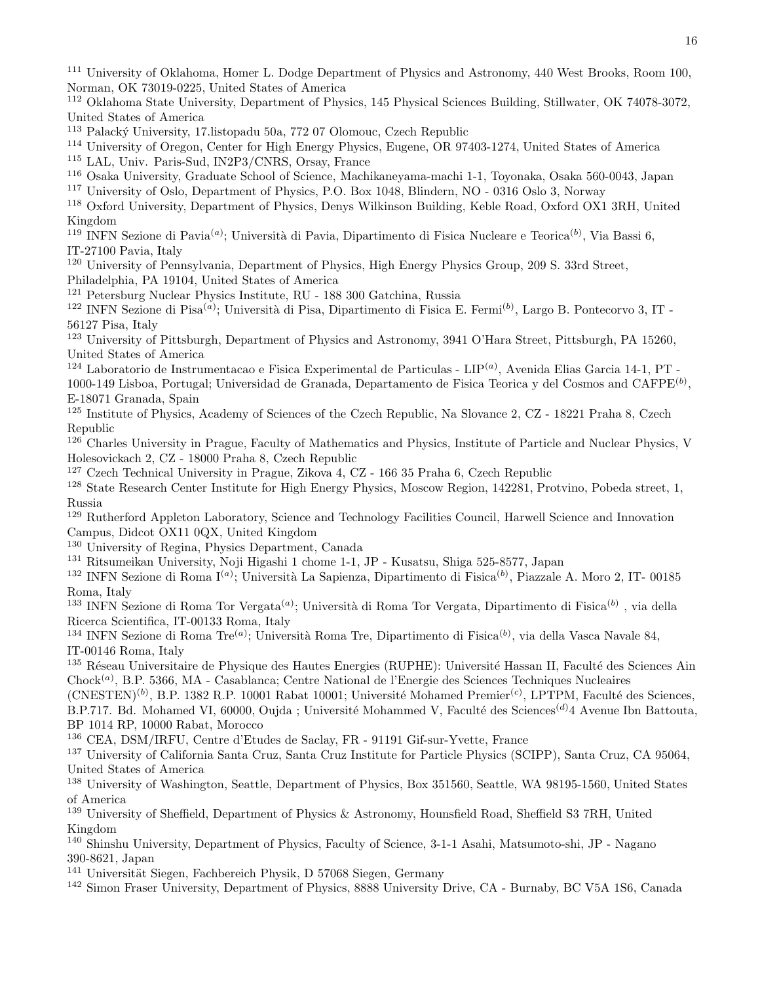<sup>111</sup> University of Oklahoma, Homer L. Dodge Department of Physics and Astronomy, 440 West Brooks, Room 100, Norman, OK 73019-0225, United States of America

<sup>112</sup> Oklahoma State University, Department of Physics, 145 Physical Sciences Building, Stillwater, OK 74078-3072, United States of America

<sup>113</sup> Palacký University, 17. listopadu 50a, 772 07 Olomouc, Czech Republic

<sup>114</sup> University of Oregon, Center for High Energy Physics, Eugene, OR 97403-1274, United States of America

<sup>115</sup> LAL, Univ. Paris-Sud, IN2P3/CNRS, Orsay, France

<sup>116</sup> Osaka University, Graduate School of Science, Machikaneyama-machi 1-1, Toyonaka, Osaka 560-0043, Japan

<sup>117</sup> University of Oslo, Department of Physics, P.O. Box 1048, Blindern, NO - 0316 Oslo 3, Norway

<sup>118</sup> Oxford University, Department of Physics, Denys Wilkinson Building, Keble Road, Oxford OX1 3RH, United Kingdom

<sup>119</sup> INFN Sezione di Pavia<sup>(a)</sup>; Università di Pavia, Dipartimento di Fisica Nucleare e Teorica<sup>(b)</sup>, Via Bassi 6, IT-27100 Pavia, Italy

<sup>120</sup> University of Pennsylvania, Department of Physics, High Energy Physics Group, 209 S. 33rd Street, Philadelphia, PA 19104, United States of America

<sup>121</sup> Petersburg Nuclear Physics Institute, RU - 188 300 Gatchina, Russia

<sup>122</sup> INFN Sezione di Pisa<sup>(a)</sup>; Università di Pisa, Dipartimento di Fisica E. Fermi<sup>(b)</sup>, Largo B. Pontecorvo 3, IT -56127 Pisa, Italy

<sup>123</sup> University of Pittsburgh, Department of Physics and Astronomy, 3941 O'Hara Street, Pittsburgh, PA 15260, United States of America

<sup>124</sup> Laboratorio de Instrumentacao e Fisica Experimental de Particulas - LIP<sup>(a)</sup>, Avenida Elias Garcia 14-1, PT -

1000-149 Lisboa, Portugal; Universidad de Granada, Departamento de Fisica Teorica y del Cosmos and CAFPE<sup>(b)</sup>, E-18071 Granada, Spain

<sup>125</sup> Institute of Physics, Academy of Sciences of the Czech Republic, Na Slovance 2, CZ - 18221 Praha 8, Czech Republic

<sup>126</sup> Charles University in Prague, Faculty of Mathematics and Physics, Institute of Particle and Nuclear Physics, V Holesovickach 2, CZ - 18000 Praha 8, Czech Republic

<sup>127</sup> Czech Technical University in Prague, Zikova 4, CZ - 166 35 Praha 6, Czech Republic

<sup>128</sup> State Research Center Institute for High Energy Physics, Moscow Region, 142281, Protvino, Pobeda street, 1, Russia

<sup>129</sup> Rutherford Appleton Laboratory, Science and Technology Facilities Council, Harwell Science and Innovation Campus, Didcot OX11 0QX, United Kingdom

<sup>130</sup> University of Regina, Physics Department, Canada

<sup>131</sup> Ritsumeikan University, Noji Higashi 1 chome 1-1, JP - Kusatsu, Shiga 525-8577, Japan

<sup>132</sup> INFN Sezione di Roma I<sup>(a)</sup>; Università La Sapienza, Dipartimento di Fisica<sup>(b)</sup>, Piazzale A. Moro 2, IT- 00185 Roma, Italy

<sup>133</sup> INFN Sezione di Roma Tor Vergata<sup>(a)</sup>; Università di Roma Tor Vergata, Dipartimento di Fisica<sup>(b)</sup>, via della Ricerca Scientifica, IT-00133 Roma, Italy

<sup>134</sup> INFN Sezione di Roma Tre<sup>(a)</sup>; Università Roma Tre, Dipartimento di Fisica<sup>(b)</sup>, via della Vasca Navale 84, IT-00146 Roma, Italy

<sup>135</sup> Réseau Universitaire de Physique des Hautes Energies (RUPHE): Université Hassan II, Faculté des Sciences Ain Chock<sup>(a)</sup>, B.P. 5366, MA - Casablanca; Centre National de l'Energie des Sciences Techniques Nucleaires

 $(CNESTEN)^{(b)}$ , B.P. 1382 R.P. 10001 Rabat 10001; Université Mohamed Premier<sup>(c)</sup>, LPTPM, Faculté des Sciences, B.P.717. Bd. Mohamed VI, 60000, Oujda ; Université Mohammed V, Faculté des Sciences<sup>(d)</sup>4 Avenue Ibn Battouta, BP 1014 RP, 10000 Rabat, Morocco

<sup>136</sup> CEA, DSM/IRFU, Centre d'Etudes de Saclay, FR - 91191 Gif-sur-Yvette, France

<sup>137</sup> University of California Santa Cruz, Santa Cruz Institute for Particle Physics (SCIPP), Santa Cruz, CA 95064, United States of America

<sup>138</sup> University of Washington, Seattle, Department of Physics, Box 351560, Seattle, WA 98195-1560, United States of America

<sup>139</sup> University of Sheffield, Department of Physics & Astronomy, Hounsfield Road, Sheffield S3 7RH, United Kingdom

<sup>140</sup> Shinshu University, Department of Physics, Faculty of Science, 3-1-1 Asahi, Matsumoto-shi, JP - Nagano 390-8621, Japan

<sup>141</sup> Universität Siegen, Fachbereich Physik, D 57068 Siegen, Germany

<sup>142</sup> Simon Fraser University, Department of Physics, 8888 University Drive, CA - Burnaby, BC V5A 1S6, Canada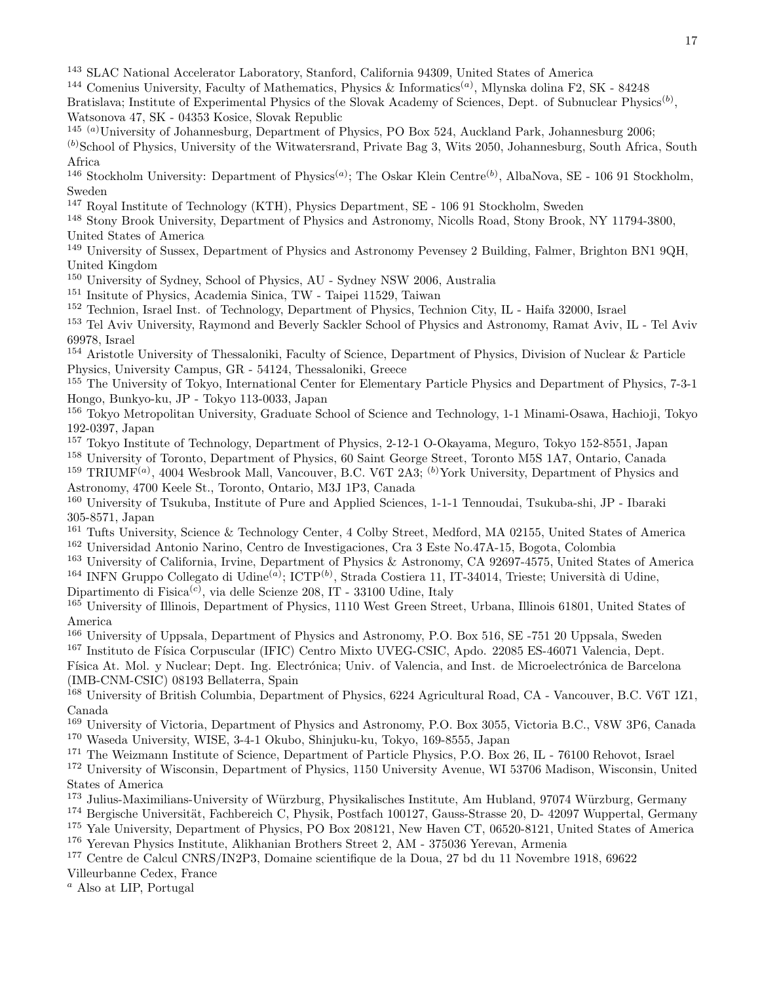<sup>143</sup> SLAC National Accelerator Laboratory, Stanford, California 94309, United States of America

- <sup>144</sup> Comenius University, Faculty of Mathematics, Physics & Informatics<sup>(a)</sup>, Mlynska dolina F2, SK 84248 Bratislava; Institute of Experimental Physics of the Slovak Academy of Sciences, Dept. of Subnuclear Physics<sup>(b)</sup>, Watsonova 47, SK - 04353 Kosice, Slovak Republic
- 145 (a)University of Johannesburg, Department of Physics, PO Box 524, Auckland Park, Johannesburg 2006;
- $<sup>(b)</sup>$ School of Physics, University of the Witwatersrand, Private Bag 3, Wits 2050, Johannesburg, South Africa, South</sup> Africa
- <sup>146</sup> Stockholm University: Department of Physics<sup>(a)</sup>; The Oskar Klein Centre<sup>(b)</sup>, AlbaNova, SE 106 91 Stockholm, Sweden
- <sup>147</sup> Royal Institute of Technology (KTH), Physics Department, SE 106 91 Stockholm, Sweden
- <sup>148</sup> Stony Brook University, Department of Physics and Astronomy, Nicolls Road, Stony Brook, NY 11794-3800, United States of America
- <sup>149</sup> University of Sussex, Department of Physics and Astronomy Pevensey 2 Building, Falmer, Brighton BN1 9QH, United Kingdom
- <sup>150</sup> University of Sydney, School of Physics, AU Sydney NSW 2006, Australia
- <sup>151</sup> Insitute of Physics, Academia Sinica, TW Taipei 11529, Taiwan
- <sup>152</sup> Technion, Israel Inst. of Technology, Department of Physics, Technion City, IL Haifa 32000, Israel
- <sup>153</sup> Tel Aviv University, Raymond and Beverly Sackler School of Physics and Astronomy, Ramat Aviv, IL Tel Aviv 69978, Israel
- <sup>154</sup> Aristotle University of Thessaloniki, Faculty of Science, Department of Physics, Division of Nuclear & Particle Physics, University Campus, GR - 54124, Thessaloniki, Greece
- <sup>155</sup> The University of Tokyo, International Center for Elementary Particle Physics and Department of Physics, 7-3-1 Hongo, Bunkyo-ku, JP - Tokyo 113-0033, Japan
- <sup>156</sup> Tokyo Metropolitan University, Graduate School of Science and Technology, 1-1 Minami-Osawa, Hachioji, Tokyo 192-0397, Japan
- <sup>157</sup> Tokyo Institute of Technology, Department of Physics, 2-12-1 O-Okayama, Meguro, Tokyo 152-8551, Japan
- <sup>158</sup> University of Toronto, Department of Physics, 60 Saint George Street, Toronto M5S 1A7, Ontario, Canada
- <sup>159</sup> TRIUMF<sup>(a)</sup>, 4004 Wesbrook Mall, Vancouver, B.C. V6T 2A3; <sup>(b)</sup>York University, Department of Physics and Astronomy, 4700 Keele St., Toronto, Ontario, M3J 1P3, Canada
- <sup>160</sup> University of Tsukuba, Institute of Pure and Applied Sciences, 1-1-1 Tennoudai, Tsukuba-shi, JP Ibaraki 305-8571, Japan
- <sup>161</sup> Tufts University, Science & Technology Center, 4 Colby Street, Medford, MA 02155, United States of America <sup>162</sup> Universidad Antonio Narino, Centro de Investigaciones, Cra 3 Este No.47A-15, Bogota, Colombia
- <sup>163</sup> University of California, Irvine, Department of Physics & Astronomy, CA 92697-4575, United States of America <sup>164</sup> INFN Gruppo Collegato di Udine<sup>(a)</sup>; ICTP<sup>(b)</sup>, Strada Costiera 11, IT-34014, Trieste; Università di Udine,
- Dipartimento di Fisica<sup>(c)</sup>, via delle Scienze 208, IT 33100 Udine, Italy
- <sup>165</sup> University of Illinois, Department of Physics, 1110 West Green Street, Urbana, Illinois 61801, United States of America
- <sup>166</sup> University of Uppsala, Department of Physics and Astronomy, P.O. Box 516, SE -751 20 Uppsala, Sweden
- <sup>167</sup> Instituto de Física Corpuscular (IFIC) Centro Mixto UVEG-CSIC, Apdo. 22085 ES-46071 Valencia, Dept.
- Física At. Mol. y Nuclear; Dept. Ing. Electrónica; Univ. of Valencia, and Inst. de Microelectrónica de Barcelona (IMB-CNM-CSIC) 08193 Bellaterra, Spain
- <sup>168</sup> University of British Columbia, Department of Physics, 6224 Agricultural Road, CA Vancouver, B.C. V6T 1Z1, Canada
- <sup>169</sup> University of Victoria, Department of Physics and Astronomy, P.O. Box 3055, Victoria B.C., V8W 3P6, Canada
- <sup>170</sup> Waseda University, WISE, 3-4-1 Okubo, Shinjuku-ku, Tokyo, 169-8555, Japan
- <sup>171</sup> The Weizmann Institute of Science, Department of Particle Physics, P.O. Box 26, IL 76100 Rehovot, Israel
- <sup>172</sup> University of Wisconsin, Department of Physics, 1150 University Avenue, WI 53706 Madison, Wisconsin, United States of America
- <sup>173</sup> Julius-Maximilians-University of Würzburg, Physikalisches Institute, Am Hubland, 97074 Würzburg, Germany
- <sup>174</sup> Bergische Universität, Fachbereich C, Physik, Postfach 100127, Gauss-Strasse 20, D- 42097 Wuppertal, Germany
- <sup>175</sup> Yale University, Department of Physics, PO Box 208121, New Haven CT, 06520-8121, United States of America
- <sup>176</sup> Yerevan Physics Institute, Alikhanian Brothers Street 2, AM 375036 Yerevan, Armenia
- <sup>177</sup> Centre de Calcul CNRS/IN2P3, Domaine scientifique de la Doua, 27 bd du 11 Novembre 1918, 69622
- Villeurbanne Cedex, France
- <sup>a</sup> Also at LIP, Portugal